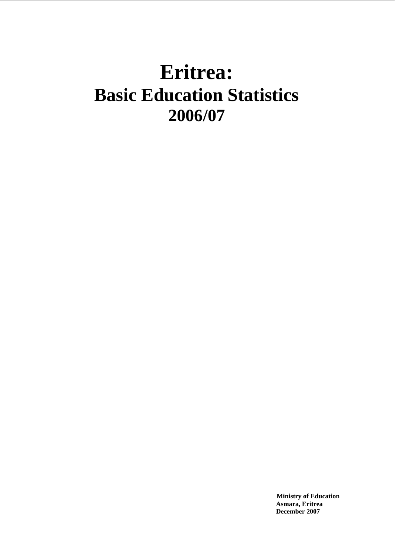# **Eritrea: Basic Education Statistics 2006/07**

 **Ministry of Education Asmara, Eritrea December 2007**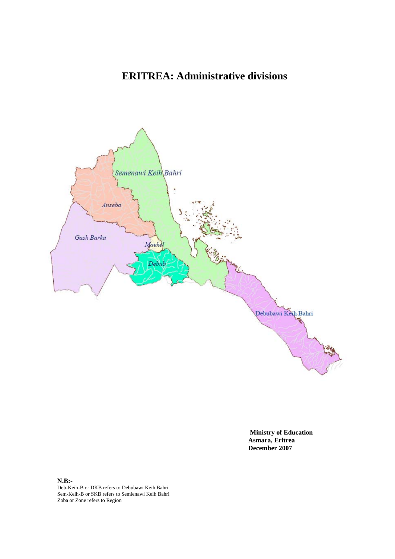# **ERITREA: Administrative divisions**



 **Ministry of Education Asmara, Eritrea December 2007** 

**N.B:-** Deb-Keih-B or DKB refers to Debubawi Keih Bahri Sem-Keih-B or SKB refers to Semienawi Keih Bahri Zoba or Zone refers to Region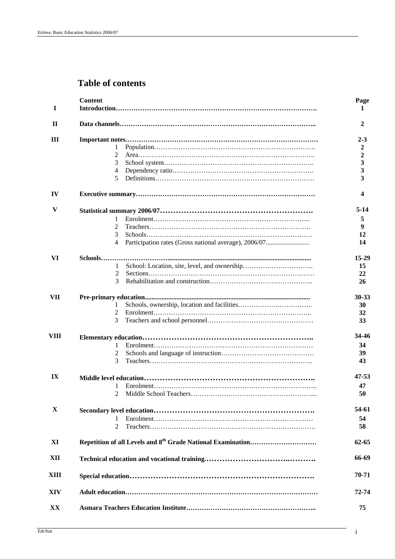# **Table of contents**

| I                       | <b>Content</b>                                             | Page<br>1 |
|-------------------------|------------------------------------------------------------|-----------|
| $\mathbf{H}$            |                                                            | 2         |
| Ш                       |                                                            | $2 - 3$   |
|                         | 1                                                          | 2         |
|                         | 2                                                          | 2         |
|                         | 3                                                          | 3         |
|                         | $\overline{4}$                                             | 3         |
|                         | 5                                                          | 3         |
| IV                      |                                                            |           |
| V                       |                                                            | 5-14      |
|                         | 1                                                          | 5         |
|                         | 2                                                          | 9         |
|                         | 3                                                          | 12        |
|                         | Participation rates (Gross national average), 2006/07<br>4 | 14        |
|                         |                                                            |           |
| VI                      | Schools                                                    | 15-29     |
|                         | 1                                                          | 15        |
|                         | $\overline{c}$                                             | 22        |
|                         | 3                                                          | 26        |
| <b>VII</b>              |                                                            | $30 - 33$ |
|                         | 1                                                          | 30        |
|                         | 2                                                          | 32        |
|                         | 3                                                          | 33        |
| VIII                    |                                                            | 34-46     |
|                         | 1                                                          | 34        |
|                         |                                                            | 39        |
|                         | 3                                                          | 43        |
|                         |                                                            |           |
| $\mathbf{I} \mathbf{X}$ |                                                            | 47-53     |
|                         |                                                            | 47        |
|                         |                                                            | 50        |
| $\mathbf{X}$            |                                                            | 54-61     |
|                         | 1                                                          | 54        |
|                         | 2                                                          | 58        |
| XI                      |                                                            | $62 - 65$ |
| XII                     |                                                            | 66-69     |
| XIII                    |                                                            | 70-71     |
| XIV                     |                                                            | 72-74     |
| XX                      |                                                            | 75        |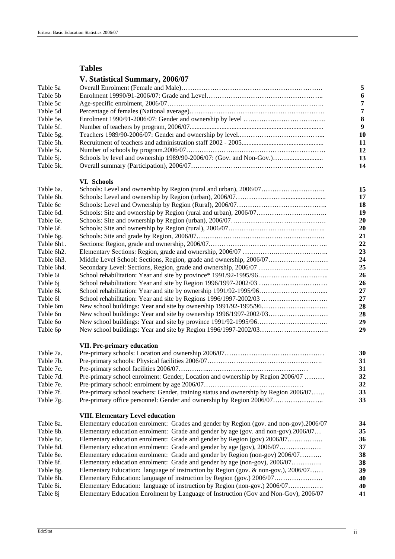# **Tables**

# **V. Statistical Summary, 2006/07**

|                    | $\ldots$ , biailental building $\ldots$                             |  |
|--------------------|---------------------------------------------------------------------|--|
| Table 5a           |                                                                     |  |
| Table 5b           |                                                                     |  |
| Table 5c           |                                                                     |  |
| Table 5d           |                                                                     |  |
| Table 5e.          |                                                                     |  |
| Table 5f.          |                                                                     |  |
| Table 5g.          |                                                                     |  |
| Table 5h.          |                                                                     |  |
| Table 5i.          |                                                                     |  |
| Table 5 <i>j</i> . | Schools by level and ownership 1989/90-2006/07: (Gov. and Non-Gov.) |  |
| Table 5k.          |                                                                     |  |
|                    | VI. Schools                                                         |  |
| Table 6a.          |                                                                     |  |
| Table 6b.          |                                                                     |  |
| Table 6c           |                                                                     |  |
| Table 6d.          |                                                                     |  |
| Table 6e.          |                                                                     |  |
| Table 6f.          |                                                                     |  |
| Table 6g.          |                                                                     |  |
| Table 6h1.         |                                                                     |  |
| Table 6h2.         |                                                                     |  |
| Table 6h3.         | Middle Level School: Sections, Region, grade and ownership, 2006/07 |  |
| Table 6h4.         | Secondary Level: Sections, Region, grade and ownership, 2006/07     |  |
| Table 6i           |                                                                     |  |
| Table 6i           | School rehabilitation: Year and site by Region 1996/1997-2002/03    |  |
| Table 6k           |                                                                     |  |
| Table 61           | School rehabilitation: Year and site by Regions 1996/1997-2002/03   |  |
| Table 6m           |                                                                     |  |
| Table 6n           |                                                                     |  |
| Table 60           |                                                                     |  |
| Table 6p           |                                                                     |  |
|                    | <b>VII. Pre-primary education</b>                                   |  |
| Table 7a.          |                                                                     |  |
| Table 7b.          |                                                                     |  |
| Table 7c.          |                                                                     |  |

| Table 7e. |                                                                                      | 32 |
|-----------|--------------------------------------------------------------------------------------|----|
| Table 7f. | Pre-primary school teachers: Gender, training status and ownership by Region 2006/07 | 33 |
| Table 7g. | Pre-primary office personnel: Gender and ownership by Region 2006/07                 | 33 |

Table 7d. Pre-primary school enrolment: Gender, Location and ownership by Region 2006/07 ……… **32** 

#### **VIII. Elementary Level education**

| Table 8a.        | Elementary education enrolment: Grades and gender by Region (gov. and non-gov).2006/07 | 34 |
|------------------|----------------------------------------------------------------------------------------|----|
| Table 8b.        | Elementary education enrolment: Grade and gender by age (gov. and non-gov).2006/07     | 35 |
| Table 8c.        | Elementary education enrolment: Grade and gender by Region (gov) 2006/07               | 36 |
| Table 8d.        |                                                                                        | 37 |
| Table 8e.        | Elementary education enrolment: Grade and gender by Region (non-gov) 2006/07           | 38 |
| Table 8f.        | Elementary education enrolment: Grade and gender by age (non-gov), 2006/07             | 38 |
| Table 8g.        | Elementary Education: language of instruction by Region (gov. & non-gov.), 2006/07     | 39 |
| Table 8h.        |                                                                                        | 40 |
| Table 8i.        | Elementary Education: language of instruction by Region (non-gov.) 2006/07             | 40 |
| Table 8 <i>i</i> | Elementary Education Enrolment by Language of Instruction (Gov and Non-Gov), 2006/07   | 41 |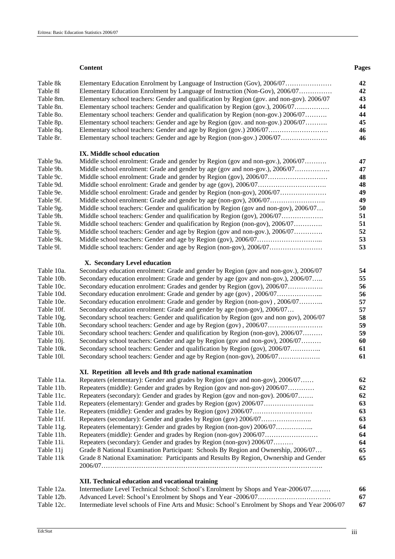#### **Content Pages**

| Table 8k                 |                                                                                                                                                            | 42       |  |  |
|--------------------------|------------------------------------------------------------------------------------------------------------------------------------------------------------|----------|--|--|
| Table 81                 | Elementary Education Enrolment by Language of Instruction (Non-Gov), 2006/07                                                                               |          |  |  |
| Table 8m.                | Elementary school teachers: Gender and qualification by Region (gov. and non-gov). 2006/07                                                                 | 43       |  |  |
| Table 8n.                | Elementary school teachers: Gender and qualification by Region (gov.), 2006/07                                                                             | 44       |  |  |
| Table 80.                | Elementary school teachers: Gender and qualification by Region (non-gov.) 2006/07                                                                          |          |  |  |
| Table 8p.                | Elementary school teachers: Gender and age by Region (gov. and non-gov.) 2006/07                                                                           |          |  |  |
| Table 8q.                | Elementary school teachers: Gender and age by Region (gov.) 2006/07                                                                                        |          |  |  |
| Table 8r.                |                                                                                                                                                            | 46       |  |  |
|                          | IX. Middle school education                                                                                                                                |          |  |  |
| Table 9a.                | Middle school enrolment: Grade and gender by Region (gov and non-gov.), 2006/07                                                                            | 47       |  |  |
| Table 9b.                |                                                                                                                                                            | 47       |  |  |
| Table 9c.                |                                                                                                                                                            | 48       |  |  |
| Table 9d.                |                                                                                                                                                            | 48       |  |  |
| Table 9e.                | Middle school enrolment: Grade and gender by Region (non-gov), 2006/07                                                                                     | 49       |  |  |
| Table 9f.                | Middle school enrolment: Grade and gender by age (non-gov), 2006/07                                                                                        | 49       |  |  |
| Table 9g.                | Middle school teachers: Gender and qualification by Region (gov and non-gov), 2006/07                                                                      | 50       |  |  |
| Table 9h.                | Middle school teachers: Gender and qualification by Region (gov), 2006/07                                                                                  | 51       |  |  |
| Table 9i.                | Middle school teachers: Gender and qualification by Region (non-gov), 2006/07                                                                              | 51       |  |  |
| Table 9 <i>j</i> .       | Middle school teachers: Gender and age by Region (gov and non-gov.), 2006/07                                                                               | 52       |  |  |
| Table 9k.                |                                                                                                                                                            | 53       |  |  |
| Table 91.                | Middle school teachers: Gender and age by Region (non-gov), 2006/07                                                                                        | 53       |  |  |
|                          | X. Secondary Level education                                                                                                                               |          |  |  |
| Table 10a.               | Secondary education enrolment: Grade and gender by Region (gov and non-gov.), 2006/07                                                                      | 54       |  |  |
| Table 10b.               | Secondary education enrolment: Grade and gender by age (gov and non-gov.), 2006/07                                                                         | 55       |  |  |
| Table 10c.               | Secondary education enrolment: Grades and gender by Region (gov), 2006/07                                                                                  | 56       |  |  |
| Table 10d.               | Secondary education enrolment: Grade and gender by age (gov), 2006/07                                                                                      | 56       |  |  |
| Table 10e.               | Secondary education enrolment: Grade and gender by Region (non-gov), 2006/07                                                                               | 57       |  |  |
| Table 10f.               | Secondary education enrolment: Grade and gender by age (non-gov), 2006/07                                                                                  | 57       |  |  |
| Table 10g.               | Secondary school teachers: Gender and qualification by Region (gov and non gov), 2006/07                                                                   | 58       |  |  |
| Table 10h.               |                                                                                                                                                            | 59       |  |  |
| Table 10i.               | Secondary school teachers: Gender and qualification by Region (non-gov), 2006/07                                                                           | 59       |  |  |
| Table 10j.               | Secondary school teachers: Gender and age by Region (gov and non-gov), 2006/07                                                                             | 60       |  |  |
| Table 10k.               | Secondary school teachers: Gender and qualification by Region (gov), 2006/07                                                                               | 61       |  |  |
| Table 101.               | Secondary school teachers: Gender and age by Region (non-gov), 2006/07                                                                                     | 61       |  |  |
|                          | XI. Repetition all levels and 8th grade national examination                                                                                               |          |  |  |
| Table 11a.               | Repeaters (elementary): Gender and grades by Region (gov and non-gov), 2006/07                                                                             | 62       |  |  |
| Table 11b.               | Repeaters (middle): Gender and grades by Region (gov and non-gov) 2006/07                                                                                  | 62       |  |  |
| Table 11c.               | Repeaters (secondary): Gender and grades by Region (gov and non-gov). 2006/07                                                                              | 62       |  |  |
| Table 11d.               |                                                                                                                                                            | 63       |  |  |
| Table 11e.               |                                                                                                                                                            | 63       |  |  |
| Table 11f.               |                                                                                                                                                            | 63       |  |  |
| Table 11g.               | Repeaters (elementary): Gender and grades by Region (non-gov) 2006/07                                                                                      | 64       |  |  |
| Table 11h.<br>Table 11i. |                                                                                                                                                            | 64       |  |  |
|                          | Repeaters (secondary): Gender and grades by Region (non-gov) 2006/07<br>Grade 8 National Examination Participant: Schools By Region and Ownership, 2006/07 | 64<br>65 |  |  |
| Table 11j<br>Table 11k   | Grade 8 National Examination: Participants and Results By Region, Ownership and Gender                                                                     | 65       |  |  |
|                          |                                                                                                                                                            |          |  |  |
|                          | XII. Technical education and vocational training                                                                                                           |          |  |  |
| Table 12a.               | Intermediate Level Technical School: School's Enrolment by Shops and Year-2006/07                                                                          | 66       |  |  |
| Table 12b.               |                                                                                                                                                            | 67       |  |  |
| Table 12c.               | Intermediate level schools of Fine Arts and Music: School's Enrolment by Shops and Year 2006/07                                                            | 67       |  |  |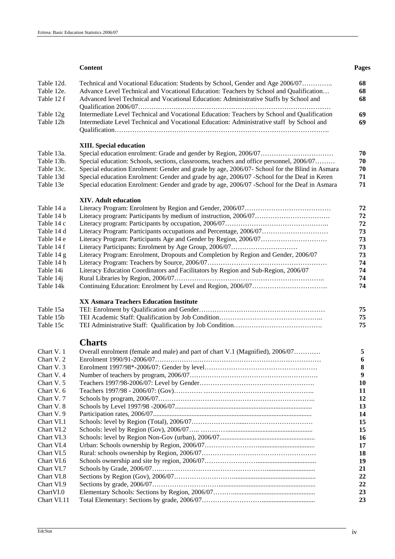|                          | <b>Content</b>                                                                                | Pages    |
|--------------------------|-----------------------------------------------------------------------------------------------|----------|
| Table 12d.               | Technical and Vocational Education: Students by School, Gender and Age 2006/07                | 68       |
| Table 12e.               | Advance Level Technical and Vocational Education: Teachers by School and Qualification        | 68       |
| Table 12 f               | Advanced level Technical and Vocational Education: Administrative Staffs by School and        | 68       |
|                          |                                                                                               |          |
| Table 12g                | Intermediate Level Technical and Vocational Education: Teachers by School and Qualification   | 69       |
| Table 12h                | Intermediate Level Technical and Vocational Education: Administrative staff by School and     | 69       |
|                          |                                                                                               |          |
|                          |                                                                                               |          |
|                          | <b>XIII.</b> Special education                                                                |          |
| Table 13a.               |                                                                                               | 70       |
| Table 13b.               | Special education: Schools, sections, classrooms, teachers and office personnel, 2006/07      | 70       |
| Table 13c.               | Special education Enrolment: Gender and grade by age, 2006/07- School for the Blind in Asmara | 70       |
| Table 13d                | Special education Enrolment: Gender and grade by age, 2006/07 -School for the Deaf in Keren   | 71       |
| Table 13e                | Special education Enrolment: Gender and grade by age, 2006/07 -School for the Deaf in Asmara  | 71       |
|                          |                                                                                               |          |
|                          | <b>XIV.</b> Adult education                                                                   |          |
| Table 14 a               |                                                                                               | 72       |
| Table 14 b               |                                                                                               | 72       |
| Table 14 c               |                                                                                               | 72       |
| Table 14 d               |                                                                                               | 73       |
| Table 14 e               |                                                                                               | 73       |
| Table 14 f               |                                                                                               | 73       |
| Table 14 g               | Literacy Program: Enrolment, Dropouts and Completion by Region and Gender, 2006/07            | 73       |
| Table 14 h               |                                                                                               | 74       |
| Table 14i                | Literacy Education Coordinators and Facilitators by Region and Sub-Region, 2006/07            | 74       |
| Table 14j                |                                                                                               | 74       |
| Table 14k                |                                                                                               | 74       |
|                          |                                                                                               |          |
|                          | <b>XX Asmara Teachers Education Institute</b>                                                 |          |
| Table 15a                |                                                                                               | 75       |
| Table 15b                |                                                                                               | 75       |
| Table 15c                |                                                                                               | 75       |
|                          | <b>Charts</b>                                                                                 |          |
|                          |                                                                                               |          |
| Chart V. 1               | Overall enrolment (female and male) and part of chart V.1 (Magnified), 2006/07                | 5        |
| Chart V. 2<br>Chart V. 3 |                                                                                               | 6        |
| Chart V. 4               |                                                                                               | 8<br>9   |
| Chart V. 5               |                                                                                               |          |
| Chart V. 6               |                                                                                               | 10<br>11 |
| Chart V.7                |                                                                                               | 12       |
| Chart V. 8               |                                                                                               | 13       |
| Chart V.9                |                                                                                               | 14       |
| Chart VI.1               |                                                                                               | 15       |
| Chart VI.2               |                                                                                               | 15       |
| Chart VI.3               |                                                                                               | 16       |
| Chart VI.4               |                                                                                               | 17       |
| Chart VI.5               |                                                                                               | 18       |
| Chart VI.6               |                                                                                               | 19       |
| Chart VI.7               |                                                                                               | 21       |
| Chart VI.8               |                                                                                               | 22       |
| Chart VI.9               |                                                                                               | 22       |
| ChartVI.0                |                                                                                               | 23       |
| Chart VI.11              |                                                                                               | 23       |
|                          |                                                                                               |          |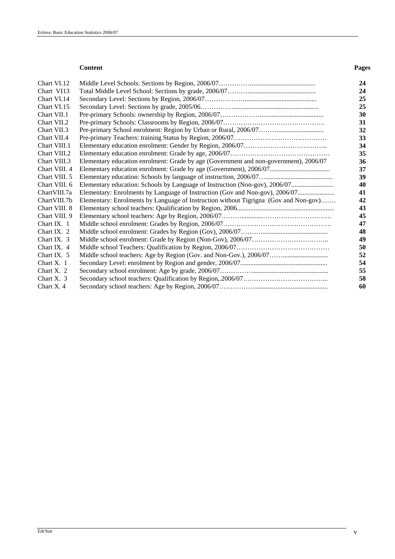#### **Content Pages**

| Chart VI.12<br>Chart VI13                                                                             |  |
|-------------------------------------------------------------------------------------------------------|--|
|                                                                                                       |  |
|                                                                                                       |  |
| Chart VI.14                                                                                           |  |
| Chart VI.15                                                                                           |  |
| Chart VII.1                                                                                           |  |
| Chart VII.2                                                                                           |  |
| Chart VII.3                                                                                           |  |
| Chart VII.4                                                                                           |  |
| Chart VIII.1                                                                                          |  |
| Chart VIII.2                                                                                          |  |
| Chart VIII.3<br>Elementary education enrolment: Grade by age (Government and non-government), 2006/07 |  |
| Chart VIII. 4                                                                                         |  |
| Chart VIII. 5                                                                                         |  |
| Chart VIII. 6                                                                                         |  |
| Chart VIII.7a<br>Elementary: Enrolments by Language of Instruction (Gov and Non-gov), 2006/07         |  |
| ChartVIII.7b<br>Elementary: Enrolments by Language of Instruction without Tigrigna (Gov and Non-gov)  |  |
| Chart VIII. 8                                                                                         |  |
| Chart VIII. 9                                                                                         |  |
| Chart IX. 1                                                                                           |  |
| Chart IX. 2                                                                                           |  |
| Chart IX. $3$                                                                                         |  |
| Chart IX. 4                                                                                           |  |
| Chart IX. 5                                                                                           |  |
| Chart $X$ , 1                                                                                         |  |
| Chart X. $2$                                                                                          |  |
| Chart X. 3                                                                                            |  |
| Chart $X$ . 4                                                                                         |  |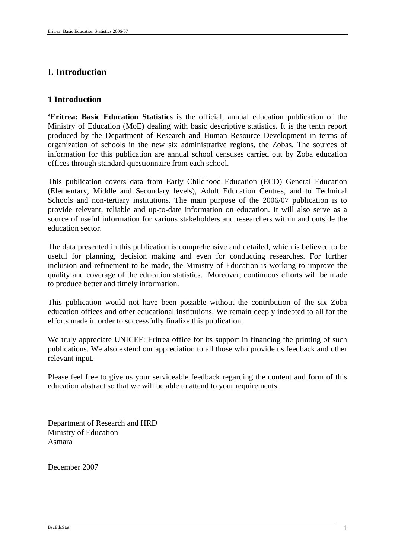# **I. Introduction**

# **1 Introduction**

**'Eritrea: Basic Education Statistics** is the official, annual education publication of the Ministry of Education (MoE) dealing with basic descriptive statistics. It is the tenth report produced by the Department of Research and Human Resource Development in terms of organization of schools in the new six administrative regions, the Zobas. The sources of information for this publication are annual school censuses carried out by Zoba education offices through standard questionnaire from each school.

This publication covers data from Early Childhood Education (ECD) General Education (Elementary, Middle and Secondary levels), Adult Education Centres, and to Technical Schools and non-tertiary institutions. The main purpose of the 2006/07 publication is to provide relevant, reliable and up-to-date information on education. It will also serve as a source of useful information for various stakeholders and researchers within and outside the education sector.

The data presented in this publication is comprehensive and detailed, which is believed to be useful for planning, decision making and even for conducting researches. For further inclusion and refinement to be made, the Ministry of Education is working to improve the quality and coverage of the education statistics. Moreover, continuous efforts will be made to produce better and timely information.

This publication would not have been possible without the contribution of the six Zoba education offices and other educational institutions. We remain deeply indebted to all for the efforts made in order to successfully finalize this publication.

We truly appreciate UNICEF: Eritrea office for its support in financing the printing of such publications. We also extend our appreciation to all those who provide us feedback and other relevant input.

Please feel free to give us your serviceable feedback regarding the content and form of this education abstract so that we will be able to attend to your requirements.

Department of Research and HRD Ministry of Education Asmara

December 2007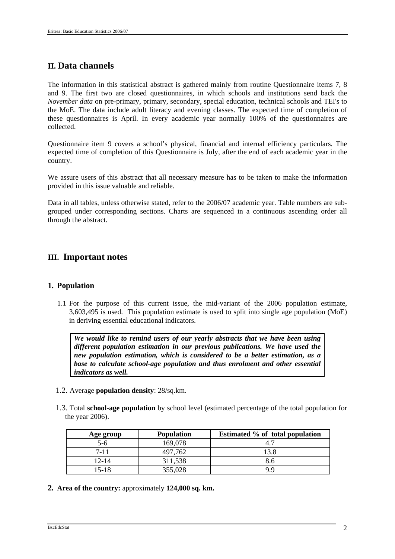# **II. Data channels**

The information in this statistical abstract is gathered mainly from routine Questionnaire items 7, 8 and 9. The first two are closed questionnaires, in which schools and institutions send back the *November data* on pre-primary, primary, secondary, special education, technical schools and TEI's to the MoE. The data include adult literacy and evening classes. The expected time of completion of these questionnaires is April. In every academic year normally 100% of the questionnaires are collected.

Questionnaire item 9 covers a school's physical, financial and internal efficiency particulars. The expected time of completion of this Questionnaire is July, after the end of each academic year in the country.

We assure users of this abstract that all necessary measure has to be taken to make the information provided in this issue valuable and reliable.

Data in all tables, unless otherwise stated, refer to the 2006/07 academic year. Table numbers are subgrouped under corresponding sections. Charts are sequenced in a continuous ascending order all through the abstract.

# **III. Important notes**

# **1. Population**

1.1 For the purpose of this current issue, the mid-variant of the 2006 population estimate, 3,603,495 is used. This population estimate is used to split into single age population (MoE) in deriving essential educational indicators.

*We would like to remind users of our yearly abstracts that we have been using different population estimation in our previous publications. We have used the new population estimation, which is considered to be a better estimation, as a base to calculate school-age population and thus enrolment and other essential indicators as well.* 

- 1.2. Average **population density**: 28/sq.km.
- 1.3. Total **school-age population** by school level (estimated percentage of the total population for the year 2006).

| Age group | <b>Population</b> | Estimated % of total population |
|-----------|-------------------|---------------------------------|
| $5-6$     | 169,078           |                                 |
| 7-11      | 497,762           | 13.8                            |
| $12 - 14$ | 311,538           | გ.ტ                             |
| 15-18     | 355,028           | Q Q                             |

**2. Area of the country:** approximately **124,000 sq. km.**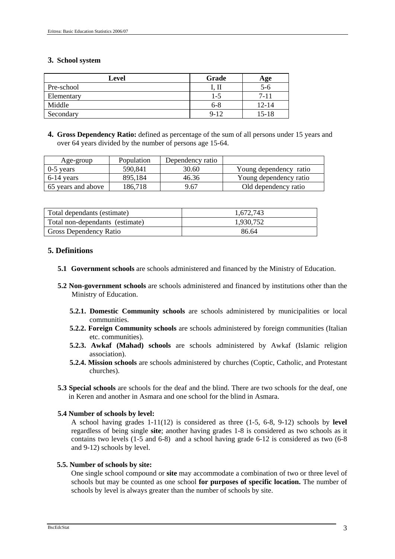# **3. School system**

| Level      | Grade    | Age       |
|------------|----------|-----------|
| Pre-school |          | ე-ი       |
| Elementary | 1-5      | $7 - 11$  |
| Middle     | $6 - 8$  | 12-14     |
| Secondary  | $9 - 12$ | $15 - 18$ |

**4. Gross Dependency Ratio:** defined as percentage of the sum of all persons under 15 years and over 64 years divided by the number of persons age 15-64.

| Age-group          | Population | Dependency ratio |                        |
|--------------------|------------|------------------|------------------------|
| $0-5$ years        | 590,841    | 30.60            | Young dependency ratio |
| $6-14$ years       | 895.184    | 46.36            | Young dependency ratio |
| 65 years and above | 186,718    | 9.67             | Old dependency ratio   |

| Total dependants (estimate)     | 1,672,743 |
|---------------------------------|-----------|
| Total non-dependants (estimate) | 1.930.752 |
| <b>Gross Dependency Ratio</b>   | 86.64     |

# **5. Definitions**

- **5.1 Government schools** are schools administered and financed by the Ministry of Education.
- **5.2 Non-government schools** are schools administered and financed by institutions other than the Ministry of Education.
	- **5.2.1. Domestic Community schools** are schools administered by municipalities or local communities.
	- **5.2.2. Foreign Community schools** are schools administered by foreign communities (Italian etc. communities).
	- **5.2.3. Awkaf (Mahad) schools** are schools administered by Awkaf (Islamic religion association).
	- **5.2.4. Mission schools** are schools administered by churches (Coptic, Catholic, and Protestant churches).
- **5.3 Special schools** are schools for the deaf and the blind. There are two schools for the deaf, one in Keren and another in Asmara and one school for the blind in Asmara.

# **5.4 Number of schools by level:**

A school having grades 1-11(12) is considered as three (1-5, 6-8, 9-12) schools by **level** regardless of being single **site**; another having grades 1-8 is considered as two schools as it contains two levels (1-5 and 6-8) and a school having grade 6-12 is considered as two (6-8 and 9-12) schools by level.

# **5.5. Number of schools by site:**

One single school compound or **site** may accommodate a combination of two or three level of schools but may be counted as one school **for purposes of specific location.** The number of schools by level is always greater than the number of schools by site.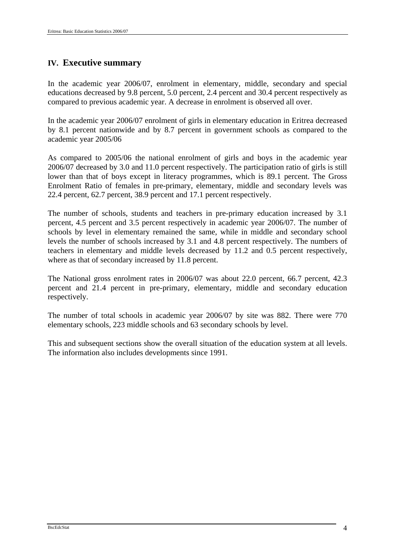# **IV. Executive summary**

In the academic year 2006/07, enrolment in elementary, middle, secondary and special educations decreased by 9.8 percent, 5.0 percent, 2.4 percent and 30.4 percent respectively as compared to previous academic year. A decrease in enrolment is observed all over.

In the academic year 2006/07 enrolment of girls in elementary education in Eritrea decreased by 8.1 percent nationwide and by 8.7 percent in government schools as compared to the academic year 2005/06

As compared to 2005/06 the national enrolment of girls and boys in the academic year 2006/07 decreased by 3.0 and 11.0 percent respectively. The participation ratio of girls is still lower than that of boys except in literacy programmes, which is 89.1 percent. The Gross Enrolment Ratio of females in pre-primary, elementary, middle and secondary levels was 22.4 percent, 62.7 percent, 38.9 percent and 17.1 percent respectively.

The number of schools, students and teachers in pre-primary education increased by 3.1 percent, 4.5 percent and 3.5 percent respectively in academic year 2006/07. The number of schools by level in elementary remained the same, while in middle and secondary school levels the number of schools increased by 3.1 and 4.8 percent respectively. The numbers of teachers in elementary and middle levels decreased by 11.2 and 0.5 percent respectively, where as that of secondary increased by 11.8 percent.

The National gross enrolment rates in 2006/07 was about 22.0 percent, 66.7 percent, 42.3 percent and 21.4 percent in pre-primary, elementary, middle and secondary education respectively.

The number of total schools in academic year 2006/07 by site was 882. There were 770 elementary schools, 223 middle schools and 63 secondary schools by level.

This and subsequent sections show the overall situation of the education system at all levels. The information also includes developments since 1991.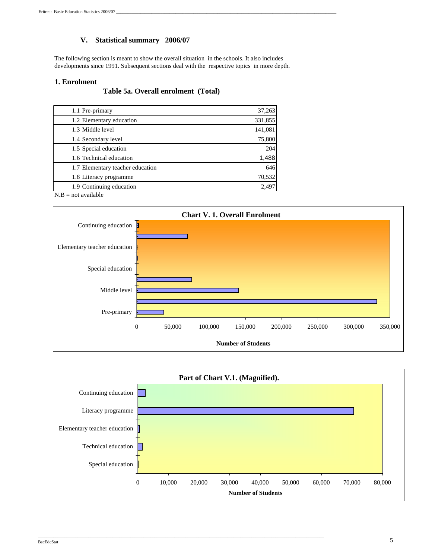# **V. Statistical summary 2006/07**

The following section is meant to show the overall situation in the schools. It also includes developments since 1991. Subsequent sections deal with the respective topics in more depth.

#### **1. Enrolment**

### **Table 5a. Overall enrolment (Total)**

|                       | 1.1 Pre-primary                  | 37,263  |
|-----------------------|----------------------------------|---------|
|                       | 1.2 Elementary education         | 331,855 |
|                       | 1.3 Middle level                 | 141,081 |
|                       | 1.4 Secondary level              | 75,800  |
|                       | 1.5 Special education            | 204     |
|                       | 1.6 Technical education          | 1,488   |
|                       | 1.7 Elementary teacher education | 646     |
|                       | 1.8 Literacy programme           | 70,532  |
|                       | 1.9 Continuing education         | 2.497   |
| $N.B = not available$ |                                  |         |





\_\_\_\_\_\_\_\_\_\_\_\_\_\_\_\_\_\_\_\_\_\_\_\_\_\_\_\_\_\_\_\_\_\_\_\_\_\_\_\_\_\_\_\_\_\_\_\_\_\_\_\_\_\_\_\_\_\_\_\_\_\_\_\_\_\_\_\_\_\_\_\_\_\_\_\_\_\_\_\_\_\_\_\_\_\_\_\_\_\_\_\_\_\_\_\_\_\_\_\_\_\_\_\_\_\_\_\_\_\_\_\_\_\_\_\_\_\_\_\_\_\_\_\_\_\_\_\_\_\_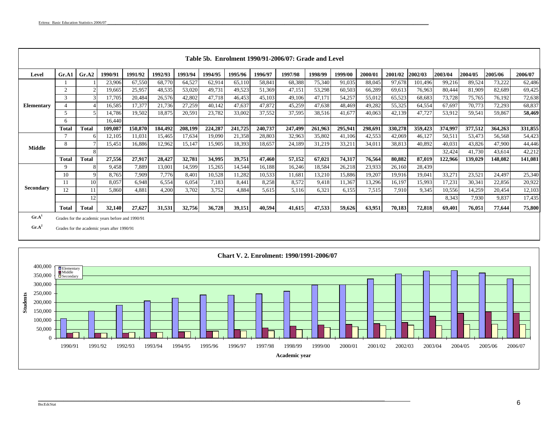|                   |                |              |         |         |         |         |         |         |         | Table 5b. Enrolment 1990/91-2006/07: Grade and Level |         |         |         |         |         |         |                |         |         |
|-------------------|----------------|--------------|---------|---------|---------|---------|---------|---------|---------|------------------------------------------------------|---------|---------|---------|---------|---------|---------|----------------|---------|---------|
| Level             | Gr.A1          | Gr.A2        | 1990/91 | 1991/92 | 1992/93 | 1993/94 | 1994/95 | 1995/96 | 1996/97 | 1997/98                                              | 1998/99 | 1999/00 | 2000/01 | 2001/02 | 2002/03 | 2003/04 | <b>2004/05</b> | 2005/06 | 2006/07 |
|                   |                |              | 23,906  | 67,550  | 68,770  | 64,527  | 62,914  | 65,110  | 58,841  | 68,388                                               | 75,340  | 91,035  | 88,045  | 97,678  | 101,496 | 99,216  | 89,524         | 73,222  | 62,486  |
|                   | $\overline{c}$ |              | 19,665  | 25,957  | 48,535  | 53,020  | 49,731  | 49,523  | 51,369  | 47,151                                               | 53,298  | 60,503  | 66,289  | 69,613  | 76,963  | 80,444  | 81,909         | 82,689  | 69,425  |
|                   | 3              |              | 17,705  | 20,484  | 26,576  | 42,802  | 47,718  | 46,453  | 45,103  | 49,106                                               | 47,171  | 54,257  | 55,012  | 65,523  | 68,683  | 73,728  | 75,765         | 76,192  | 72,638  |
| <b>Elementary</b> |                |              | 16,585  | 17,377  | 21,736  | 27,259  | 40,142  | 47,637  | 47,872  | 45,259                                               | 47,638  | 48,469  | 49,282  | 55,325  | 64,554  | 67,697  | 70,773         | 72,293  | 68,837  |
|                   | 5              |              | 14,786  | 19,502  | 18,875  | 20,591  | 23,782  | 33,002  | 37,552  | 37,595                                               | 38,516  | 41,677  | 40,063  | 42,139  | 47,727  | 53,912  | 59,541         | 59,867  | 58,469  |
|                   | 6              |              | 16,440  |         |         |         |         |         |         |                                                      |         |         |         |         |         |         |                |         |         |
|                   | Total          | Total        | 109,087 | 150,870 | 184,492 | 208,199 | 224,287 | 241,725 | 240,737 | 247,499                                              | 261,963 | 295,941 | 298,691 | 330,278 | 359,423 | 374,997 | 377,512        | 364,263 | 331,855 |
|                   |                |              | 12,105  | 11,031  | 15,465  | 17,634  | 19,090  | 21,358  | 28,803  | 32,963                                               | 35,802  | 41,106  | 42,553  | 42,069  | 46,127  | 50,511  | 53,473         | 56,568  | 54,423  |
| Middle            | 8              |              | 15,451  | 16,886  | 12,962  | 15,147  | 15,905  | 18,393  | 18,657  | 24,189                                               | 31,219  | 33,211  | 34,011  | 38,813  | 40,892  | 40,031  | 43,826         | 47,900  | 44,446  |
|                   |                |              |         |         |         |         |         |         |         |                                                      |         |         |         |         |         | 32,424  | 41,730         | 43,614  | 42,212  |
|                   | <b>Total</b>   | <b>Total</b> | 27,556  | 27,917  | 28,427  | 32,781  | 34,995  | 39,751  | 47,460  | 57,152                                               | 67,021  | 74,317  | 76,564  | 80,882  | 87,019  | 122,966 | 139,029        | 148,082 | 141,081 |
|                   | 9              |              | 9,458   | 7,889   | 13,001  | 14,599  | 15,265  | 14,544  | 16,188  | 16,246                                               | 18,584  | 26,218  | 23,933  | 26,160  | 28,439  |         |                |         |         |
|                   | 10             | 9            | 8,765   | 7,909   | 7,776   | 8,401   | 10,528  | 11,282  | 10,533  | 11,681                                               | 13,210  | 15,886  | 19,207  | 19,916  | 19,041  | 33,271  | 23,521         | 24,497  | 25,340  |
|                   |                | 10           | 8,057   | 6.948   | 6,554   | 6.054   | 7,183   | 8,441   | 8,258   | 8,572                                                | 9,418   | 11,367  | 13,296  | 16,197  | 15,993  | 17,231  | 30,341         | 22,856  | 20,922  |
| Secondary         | 12             |              | 5.860   | 4.881   | 4,200   | 3.702   | 3,752   | 4.884   | 5.615   | 5,116                                                | 6.321   | 6,155   | 7.515   | 7,910   | 9.345   | 10.556  | 14,259         | 20.454  | 12,103  |
|                   |                | 12           |         |         |         |         |         |         |         |                                                      |         |         |         |         |         | 8,343   | 7,930          | 9.837   | 17,435  |
| $\sim$ $-1$       | <b>Total</b>   | Total        | 32,140  | 27,627  | 31,531  | 32,756  | 36,728  | 39,151  | 40,594  | 41,615                                               | 47,533  | 59,626  | 63,951  | 70,183  | 72,818  | 69,401  | 76,051         | 77,644  | 75,800  |

**Gr.A<sup>1</sup>** Grades for the academic years before and 1990/91

Gr.A<sup>2</sup> Grades for the academic years after 1990/91



 $\mathcal{L}_\text{max} = \mathcal{L}_\text{max} = \mathcal{L}_\text{max} = \mathcal{L}_\text{max} = \mathcal{L}_\text{max} = \mathcal{L}_\text{max} = \mathcal{L}_\text{max} = \mathcal{L}_\text{max} = \mathcal{L}_\text{max} = \mathcal{L}_\text{max} = \mathcal{L}_\text{max} = \mathcal{L}_\text{max} = \mathcal{L}_\text{max} = \mathcal{L}_\text{max} = \mathcal{L}_\text{max} = \mathcal{L}_\text{max} = \mathcal{L}_\text{max} = \mathcal{L}_\text{max} = \mathcal{$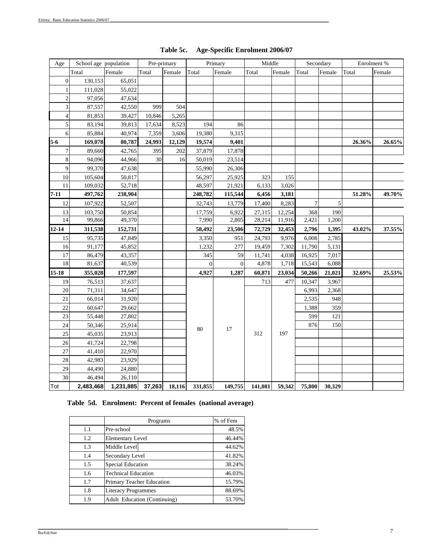| Age              | School age population |           | Pre-primary |        |          | Primary      | Middle  |        |        | Secondary |        | Enrolment % |
|------------------|-----------------------|-----------|-------------|--------|----------|--------------|---------|--------|--------|-----------|--------|-------------|
|                  | Total                 | Female    | Total       | Female | Total    | Female       | Total   | Female | Total  | Female    | Total  | Female      |
| $\boldsymbol{0}$ | 130,153               | 65,051    |             |        |          |              |         |        |        |           |        |             |
| $\mathbf{1}$     | 111,028               | 55,022    |             |        |          |              |         |        |        |           |        |             |
| $\sqrt{2}$       | 97,056                | 47,634    |             |        |          |              |         |        |        |           |        |             |
| 3                | 87,557                | 42,550    | 999         | 504    |          |              |         |        |        |           |        |             |
| $\overline{4}$   | 81,853                | 39,427    | 10,846      | 5,265  |          |              |         |        |        |           |        |             |
| 5                | 83,194                | 39,813    | 17,634      | 8,523  | 194      | 86           |         |        |        |           |        |             |
| 6                | 85,884                | 40,974    | 7,359       | 3,606  | 19,380   | 9,315        |         |        |        |           |        |             |
| $5-6$            | 169,078               | 80,787    | 24,993      | 12,129 | 19,574   | 9,401        |         |        |        |           | 26.36% | 26.65%      |
| $\tau$           | 89,660                | 42,765    | 395         | 202    | 37,879   | 17,878       |         |        |        |           |        |             |
| $\,8\,$          | 94,096                | 44,966    | 30          | 16     | 50,019   | 23,514       |         |        |        |           |        |             |
| 9                | 99,370                | 47,638    |             |        | 55,990   | 26,306       |         |        |        |           |        |             |
| $10\,$           | 105,604               | 50,817    |             |        | 56,297   | 25,925       | 323     | 155    |        |           |        |             |
| 11               | 109,032               | 52,718    |             |        | 48,597   | 21,921       | 6,133   | 3,026  |        |           |        |             |
| $7 - 11$         | 497,762               | 238,904   |             |        | 248,782  | 115,544      | 6,456   | 3,181  |        |           | 51.28% | 49.70%      |
| 12               | 107,922               | 52,507    |             |        | 32,743   | 13,779       | 17,400  | 8,283  | $\tau$ | 5         |        |             |
| 13               | 103,750               | 50,854    |             |        | 17,759   | 6,922        | 27,115  | 12,254 | 368    | 190       |        |             |
| 14               | 99,866                | 49,370    |             |        | 7,990    | 2,805        | 28,214  | 11,916 | 2,421  | 1,200     |        |             |
| $12 - 14$        | 311,538               | 152,731   |             |        | 58,492   | 23,506       | 72,729  | 32,453 | 2,796  | 1,395     | 43.02% | 37.55%      |
| 15               | 95,735                | 47,849    |             |        | 3,350    | 951          | 24,793  | 9,976  | 6,008  | 2,785     |        |             |
| 16               | 91,177                | 45,852    |             |        | 1,232    | 277          | 19,459  | 7,302  | 11,790 | 5,131     |        |             |
| 17               | 86,479                | 43,357    |             |        | 345      | 59           | 11,741  | 4,038  | 16,925 | 7,017     |        |             |
| 18               | 81,637                | 40,539    |             |        | $\Omega$ | $\mathbf{0}$ | 4,878   | 1,718  | 15,543 | 6,088     |        |             |
| $15-18$          | 355,028               | 177,597   |             |        | 4,927    | 1,287        | 60,871  | 23,034 | 50,266 | 21,021    | 32.69% | 25.53%      |
| 19               | 76,513                | 37,637    |             |        |          |              | 713     | 477    | 10,347 | 3,967     |        |             |
| 20               | 71,311                | 34,647    |             |        |          |              |         |        | 6,993  | 2,368     |        |             |
| 21               | 66,014                | 31,920    |             |        |          |              |         |        | 2,535  | 948       |        |             |
| 22               | 60,647                | 29,662    |             |        |          |              |         |        | 1,388  | 359       |        |             |
| 23               | 55,448                | 27,802    |             |        |          |              |         |        | 599    | 121       |        |             |
| 24               | 50,346                | 25,914    |             |        | 80       | 17           |         |        | 876    | 150       |        |             |
| 25               | 45,035                | 23,913    |             |        |          |              | 312     | 197    |        |           |        |             |
| 26               | 41,724                | 22,798    |             |        |          |              |         |        |        |           |        |             |
| 27               | 41,410                | 22,970    |             |        |          |              |         |        |        |           |        |             |
| 28               | 42,983                | 23,929    |             |        |          |              |         |        |        |           |        |             |
| 29               | 44,490                | 24,880    |             |        |          |              |         |        |        |           |        |             |
| 30               | 46,494                | 26,110    |             |        |          |              |         |        |        |           |        |             |
| Tot              | 2,483,468             | 1,231,885 | 37,263      | 18,116 | 331,855  | 149,755      | 141,081 | 59,342 | 75,800 | 30,329    |        |             |

# **Table 5c. Age-Specific Enrolment 2006/07**

# **Table 5d. Enrolment: Percent of females (national average)**

|     | Programs                            | % of Fem |
|-----|-------------------------------------|----------|
| 1.1 | Pre-school                          | 48.5%    |
| 1.2 | <b>Elementary Level</b>             | 46.44%   |
| 1.3 | Middle Level                        | 44.62%   |
| 1.4 | Secondary Level                     | 41.82%   |
| 1.5 | Special Education                   | 38.24%   |
| 1.6 | <b>Technical Education</b>          | 46.03%   |
| 1.7 | Primary Teacher Education           | 15.79%   |
| 1.8 | <b>Literacy Programmes</b>          | 88.69%   |
| 1.9 | <b>Adult Education (Continuing)</b> | 53.70%   |

 $\_$  , and the state of the state of the state of the state of the state of the state of the state of the state of the state of the state of the state of the state of the state of the state of the state of the state of the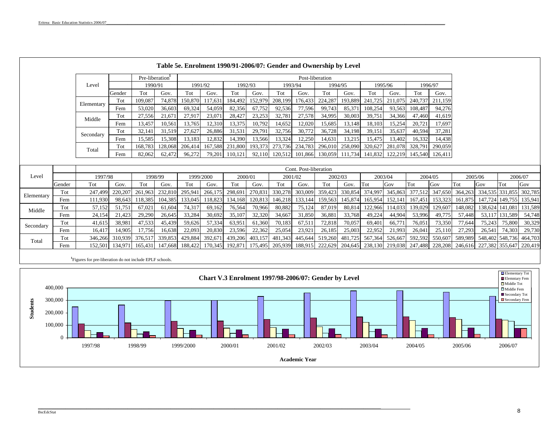|            |        |            |            |                   |                   |                   | Table 5e. Enrolment 1990/91-2006/07: Gender and Ownership by Level |                   |                   |                   |                       |                   |                   |                   |                   |                   |                   |         |         |                 |         |
|------------|--------|------------|------------|-------------------|-------------------|-------------------|--------------------------------------------------------------------|-------------------|-------------------|-------------------|-----------------------|-------------------|-------------------|-------------------|-------------------|-------------------|-------------------|---------|---------|-----------------|---------|
|            |        |            |            | Pre-liberation    |                   |                   |                                                                    |                   |                   |                   | Post-liberation       |                   |                   |                   |                   |                   |                   |         |         |                 |         |
|            |        | Level      |            | 1990/91           |                   | 1991/92           |                                                                    | 1992/93           |                   | 1993/94           |                       | 1994/95           |                   |                   | 1995/96           | 1996/97           |                   |         |         |                 |         |
|            |        |            | Gender     | Tot               | Gov.              | Tot               | Gov.                                                               | Tot               | Gov.              | Tot               | Gov.                  | Tot               | Gov.              | Tot               | Gov.              | Tot               | Gov.              |         |         |                 |         |
|            |        | Elementary | Tot        | 109,087           | 74,878            | 150,870           | 117,631                                                            | 184,492           | 152,979           | 208,199           | 176,433               | 224,287           | 193,889           | 241,725           | 211,075           | 240,737           | 211,159           |         |         |                 |         |
|            |        |            | Fem        | 53,020            | 36,603            | 69,324            | 54,059                                                             | 82,356            | 67,752            | 92,536            | 77,596                | 99,743            | 85,371            | 108,254           | 93,563            | 108,487           | 94,276            |         |         |                 |         |
|            |        | Middle     | Tot        | 27,556            | 21,671            | 27,917            | 23,071                                                             | 28,427            | 23,253            | 32,781            | 27,578                | 34,995            | 30,003            | 39,751            | 34,366            | 47,460            | 41.619            |         |         |                 |         |
|            |        |            | Fem        | 13,457            | 10,561            | 13,765            | 12,310                                                             | 13,375            | 10,792            | 14,652            | 12,020                | 15,685            | 13,148            | 18,103            | 15,254            | 20,721            | 17.697            |         |         |                 |         |
|            |        | Secondary  | Tot<br>Fem | 32,141            | 31,519            | 27,627            | 26,886                                                             | 31,531            | 29,791            | 32,756            | 30,772                | 36,728            | 34,198            | 39,151            | 35,637            | 40,594            | 37,281            |         |         |                 |         |
|            |        |            | Tot        | 15,585<br>168,783 | 15,308<br>128,068 | 13,183<br>206,414 | 12,832<br>167,588                                                  | 14,390<br>231,800 | 13,566<br>193,373 | 13,324<br>273,736 | 12,250<br>234,783     | 14,631<br>296,010 | 13,215<br>258,090 | 15,475<br>320,627 | 13,402<br>281,078 | 16,332<br>328,791 | 14,438<br>290,059 |         |         |                 |         |
|            |        | Total      | Fem        | 82,062            | 62,472            | 96,272            | 79,201                                                             | 110.121           | 92,110            | 120.512           |                       | 101,866 130,059   | 111.734           | 141,832           | 122.219           | 145,540           | 126,411           |         |         |                 |         |
|            |        |            |            |                   |                   |                   |                                                                    |                   |                   |                   |                       |                   |                   |                   |                   |                   |                   |         |         |                 |         |
|            |        |            |            |                   |                   |                   |                                                                    |                   |                   |                   | Cont. Post-liberation |                   |                   |                   |                   |                   |                   |         |         |                 |         |
| Level      |        | 1997/98    |            | 1998/99           |                   | 1999/2000         |                                                                    | 2000/01           |                   | 2001/02           |                       | 2002/03           |                   |                   | 2003/04           | 2004/05           |                   | 2005/06 |         | 2006/07         |         |
|            | Gender | Tot        | Gov.       | Tot               | Gov.              | Tot               | Gov.                                                               | Tot               | Gov.              | Tot               | Gov.                  | Tot               | Gov.              | Tot               | Gov               | Tot               | Gov               | Tot     | Gov     | Tot             | Gov     |
| Elementary | Tot    | 247,499    | 220,207    | 261,963           | 232,810           | 295,941           | 266,175                                                            | 298,691           | 270,83            | 330,278           | 303,009               | 359,423           | 330,854           | 374,997           | 345,863           | 377,512           | 347,650           | 364,263 |         | 334,535 331,855 | 302,785 |
|            | Fem    | 111,930    | 98,643     | 118,385           | 104,385           | 133,045           | 118,823                                                            | 134,168           | 120,81            | 146,218           | 133,144               | 159,563           | 145,874           | 165,954           | 152,141           | 167,451           | 153,323           | 161,875 | 147,724 | 149,755         | 135,941 |
| Middle     | Tot    | 57,152     | 51,751     | 67,021            | 61,604            | 74,317            | 69,162                                                             | 76,564            | 70,966            | 80,882            | 75,124                | 87,019            | 80,814            | 122,966           | 114,033           | 139,029           | 129,607           | 148,082 |         | 138,624 141,081 | 131,589 |
|            | Fem    | 24,154     | 21,423     | 29,290            | 26,645            | 33,284            | 30,692                                                             | 35,107            | 32,320            | 34,667            | 31,850                | 36,881            | 33,768            | 49,224            | 44,904            | 53,996            | 49,775            | 57,448  |         | 53,117 131,589  | 54,748  |
| Secondary  | Tot    | 41,615     | 38,981     | 47,533            | 45,439            | 59,626            | 57,334                                                             | 63,951            | 61,360            | 70,183            | 67,511                | 72,818            | 70,057            | 69,401            | 66,771            | 76,051            | 73,350            | 77,644  | 75,243  | 75,800          | 30,329  |
|            | Fem    | 16,417     | 14,905     | 17,756            | 16,638            | 22,093            | 20,830                                                             | 23,596            | 22,362            | 25,054            | 23,921                | 26,185            | 25,003            | 22,952            | 21,993            | 26,041            | 25,110            | 27,293  | 26,541  | 74,303          | 29,730  |
| Total      | Tot    | 346,266    | 310,939    | 376,517           | 339,853           | 429,884           | 392,671                                                            | 439,206           | 403,157           | 481,343           | 445,644               | 519,260           | 481,725           | 567,364           | 526,667           | 592,592           | 550,607           | 589,989 |         | 548,402 548,736 | 464,703 |
|            | Fem    | 152.501    | 134,971    | 165,431           | 147,668           | 188,422           | 170,345                                                            | 192,871           | 175,495           | 205,939           | 188,915               | 222,629           | 204,645           | 238,130           | 219,038           | 247,488           | 228,208           | 246,616 |         | 227,382 355,647 | 220,419 |

**<sup>1</sup>**Figures for pre-liberation do not include EPLF schools.

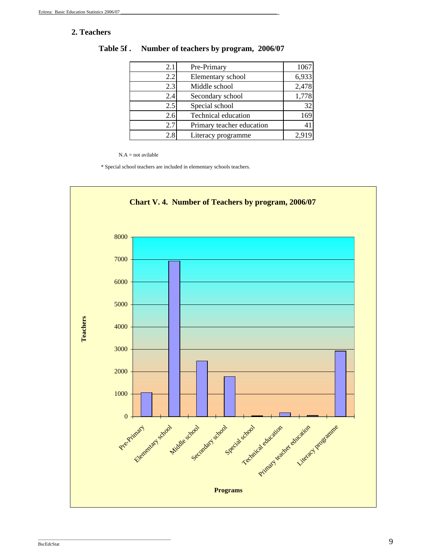# **2. Teachers**

| 2.1 | Pre-Primary                | 1067  |
|-----|----------------------------|-------|
| 2.2 | Elementary school          | 6,933 |
| 2.3 | Middle school              | 2,478 |
| 2.4 | Secondary school           | 1,778 |
| 2.5 | Special school             | 32    |
| 2.6 | <b>Technical education</b> | 169   |
| 2.7 | Primary teacher education  |       |
| 2.8 | Literacy programme         | 2,919 |

**Table 5f . Number of teachers by program, 2006/07**

 $N.A = not available$ 

\* Special school teachers are included in elementary schools teachers.



\_\_\_\_\_\_\_\_\_\_\_\_\_\_\_\_\_\_\_\_\_\_\_\_\_\_\_\_\_\_\_\_\_\_\_\_\_\_\_\_\_\_\_\_\_\_\_\_\_\_\_\_\_\_\_\_\_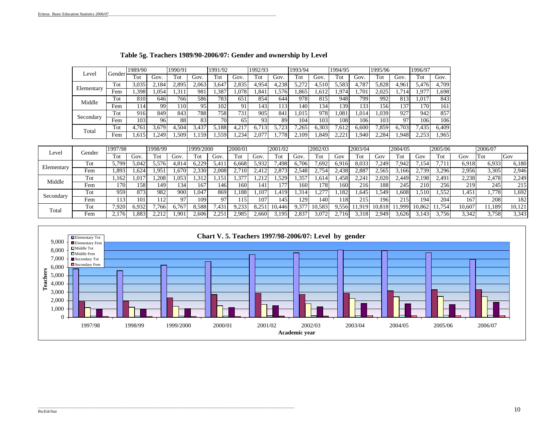| Level      | Gender | 1989/90 |       | 1990/91 |       | 1991/92 |                      | 1992/93          |       | 1993/94          |       | 1994/95          |               | 1995/96 |       | 1996/97 |       |
|------------|--------|---------|-------|---------|-------|---------|----------------------|------------------|-------|------------------|-------|------------------|---------------|---------|-------|---------|-------|
|            |        | Tot     | Gov   | Tot     | Gov.  | Tot     | Gov.                 | Tot              | Gov.  | Tot              | Gov.  | ľot              | Gov.          | Tot     | Gov.  | Tot     | Gov.  |
| Elementary | Tot    | 3.035   | .184  | 2,895   | 2.063 | .647    | 2.835                | 4.954            | 4,238 | : 272            | 4.510 | .583             | 4,787         | 5,828   | 4.961 | 5.476   | 4,709 |
|            | Fem    | .398    | .054  | .311    | 981   | .387    | .078                 | .84 <sup>1</sup> | .576  | .865             | .,612 | .974             | $.70^{\circ}$ | 2.025   | .714  | .977    | . 698 |
| Middle     | Tot    | 810     | 646   | 7661    | 586   | 783.    | 651                  | 854              | 644   | 978              | 815   | 948              | 799           | 992     | 813   | .017    | 843   |
|            | Fem    | 114     | 99    | .10     | ۵۲    | 102     |                      | 143              | 113   | 140 <sup>1</sup> | 34    | 139              | 133           | 156     | 137   | 170     | 161   |
|            | Tot    | 916     | 849   | 843     | 788   | 7581    | 731                  | 905              | 841   | .015             | 978   | .08 <sup>1</sup> | .014          | .039    | 927   | 942     | 857   |
| Secondary  | Fem    | 103     | 96    | 88      | 83    | 70      | 65                   | 93               | 89    | 104              | 103   | 108              | 106           | 103     | 97    | 106     | 106   |
| Total      | Tot    | 4.761   | 3.679 | 4.504   | 3,43' | 5.188   | $4,21$ <sup>-7</sup> | i.71             | .723  | .265             | ,303  | .612             | 6.600         | .859    | 6.703 | .435    | 6.409 |
|            | Fem    | .61     | .249  | .509    | 159   | .559    | .234                 | 2,077            | 778   | .109             | .849  | 221              | .940          | 2.284   | .948  | 2.253   | .965  |

### **Table 5g. Teachers 1989/90-2006/07: Gender and ownership by Level**

|                      |        | 1997/98      |                  | 1998/99      |      | 1999/2000 |                | 2000/01 |       | 2001/02 |               | 2002/03         |              | 2003/04 |              | 2004/05      |        | 2005/06 |        | 2006/07 |        |
|----------------------|--------|--------------|------------------|--------------|------|-----------|----------------|---------|-------|---------|---------------|-----------------|--------------|---------|--------------|--------------|--------|---------|--------|---------|--------|
| Level                | Gender | Fot          | ÌΟV              | $T_{\rm Of}$ | Gov. | Tot       | Gov.           | Tot     | Gov.  | Tot     | Gov           | Fot             | Ciov         | 'ot     | $\rm{Jov}$   | Tot          | Gov    | Tot     | Gov    | Tot     | Gov    |
| Elementary           | Tot    | 5.799        | 0.047            | .576         | 814، | 5.229     |                | 6.668   | 5.932 | .498    | 6.706         | $.69^\circ$     | 6.916        | 8.033   | .249         | 7.942        | .154   | .       | 6.918  | 5,933   | 6,180  |
|                      | Fem    | .893         | .624             | .951         | .670 | 2.330     | 2.008          | .710    |       | 873     | -549          | 75 <sub>0</sub> | $\angle 438$ | 2.887   | .565         | .166         | 739.   | .296    | 2,956  | 3.305   | 2,946  |
| Tot<br>Middle<br>Fem |        | .162         | .01 <sup>7</sup> | .208         | .053 |           | $.15^{\circ}$  | .37'    | 212   | .529    | $.35^{\circ}$ | .614            | .458         | 2.24    | 2,020        | $\angle 449$ | 2,198  | 2,491   | 2,238  | 2.478   | 2,249  |
|                      |        | 170          | 58               | 149          | 134  | 167       | 146            | 6۲ ا    | 141   | 77      | 160           | 178             | 160          | 216     | 188          | 245          | 210    | 256     | 219    | 245     | 215    |
|                      | Tot    | 959          | 873              | 982          | 90   | 0.047     | 869            | .188    | .107  | .419    | .314          | $\sim$          | .182         | .645    | .549         | .608         | .510   | .,552   | . 451  | .778    | 1,692  |
| Secondary            | Fem    | 113          | 101              |              | 07   | 109       | 97             |         | 107   | 145     | 129           | 140             | 118          | 215     | 196          | 215          | 194    | 204     | 167    | 208     | 182    |
| Total                | Tot    | .920         | 5.932            | 7,766        | 6.76 | 3.588     | $1.43^{\circ}$ | 1.23    | .25   | 446     | .37'          | .583            | .556         | .919    | 0.818<br>-10 | .999         | 10.862 | 754     | 10.607 | 1.189   | 10,121 |
|                      | Fem    | $\angle 176$ | $.88^$           | 01c          | .901 | 2.606     | 2.25           | 2.985   | 2.660 | .195    | 2.837         |                 |              | .31:    | .949         | .626         | 143    | .756    | 3.342  | 3.758   | 3,343  |

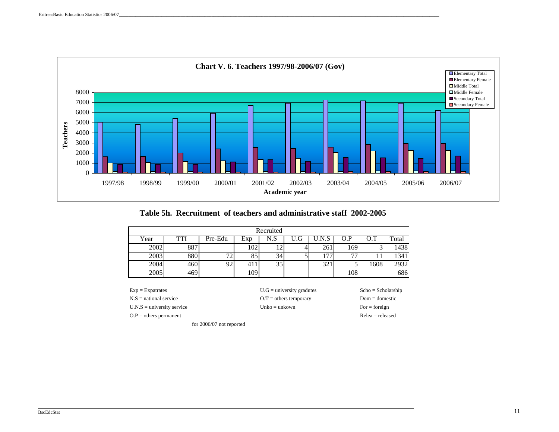

**Table 5h. Recruitment of teachers and administrative staff 2002-2005**

|      |     |              |     | Recruited       |     |                |                |      |       |
|------|-----|--------------|-----|-----------------|-----|----------------|----------------|------|-------|
| Year | TTI | Pre-Edu      | Exp | N.S             | Ū.G | U.N.S          | O.P            | O.T  | Total |
| 2002 | 887 |              | 102 | 12.             |     | 261            | . 69           |      | 1438  |
| 2003 | 880 | $\mathbf{H}$ | 85  | 34 <sub>1</sub> |     | $\overline{ }$ | $\overline{ }$ |      | 1341  |
| 2004 | 460 | 92           | 41. | 35 <sub>1</sub> |     | 321            |                | 1608 | 2932  |
| 2005 | 469 |              | 109 |                 |     |                | 108            |      | 686   |

O.P = others permanent Relea = released

N.S = national service O.T = others temporary Dom = domestic U.N.S = university service Unko = unkown For = foreign

Exp = Expatrates U.G = university gradutes Scho = Scholarship

for 2006/07 not reported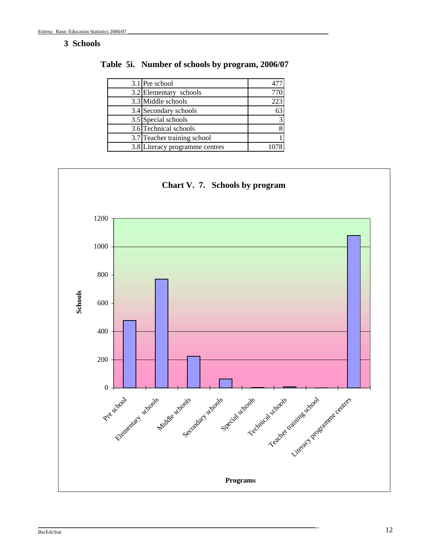# **3 Schools**

| 3.1 Pre school                 |     |
|--------------------------------|-----|
| 3.2 Elementary schools         |     |
| 3.3 Middle schools             | 223 |
| 3.4 Secondary schools          | 63  |
| 3.5 Special schools            |     |
| 3.6 Technical schools          |     |
| 3.7 Teacher training school    |     |
| 3.8 Literacy programme centres |     |

**Table 5i. Number of schools by program, 2006/07**



\_\_\_\_\_\_\_\_\_\_\_\_\_\_\_\_\_\_\_\_\_\_\_\_\_\_\_\_\_\_\_\_\_\_\_\_\_\_\_\_\_\_\_\_\_\_\_\_\_\_\_\_\_\_\_\_\_\_\_\_\_\_\_\_\_\_\_\_\_\_\_\_\_\_\_\_\_\_\_\_\_\_\_\_\_\_\_\_\_\_\_\_\_\_\_\_\_\_\_\_\_\_\_\_\_\_\_\_\_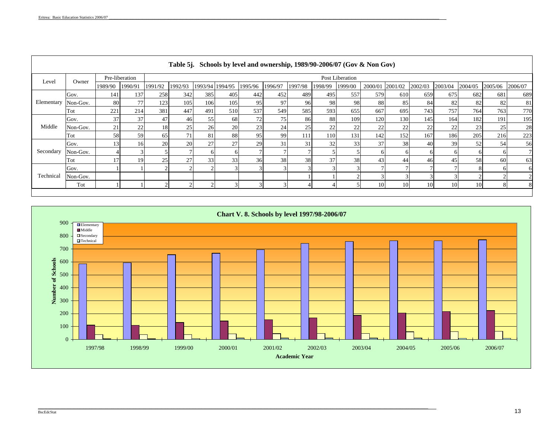- I

|            |          |         |                |                 | Table 5j. Schools by level and ownership, 1989/90-2006/07 (Gov & Non Gov) |     |                 |         |         |         |         |                 |         |         |         |         |         |         |         |
|------------|----------|---------|----------------|-----------------|---------------------------------------------------------------------------|-----|-----------------|---------|---------|---------|---------|-----------------|---------|---------|---------|---------|---------|---------|---------|
| Level      | Owner    |         | Pre-liberation |                 |                                                                           |     |                 |         |         |         |         | Post Liberation |         |         |         |         |         |         |         |
|            |          | 1989/90 | 1990/91        | 1991/92         | 1992/93                                                                   |     | 1993/94 1994/95 | 1995/96 | 1996/97 | 1997/98 | 1998/99 | 1999/00         | 2000/01 | 2001/02 | 2002/03 | 2003/04 | 2004/05 | 2005/06 | 2006/07 |
|            | Gov.     | 141     | 137            | 258             | 342                                                                       | 385 | 405             | 442     | 452     | 489     | 495     | 557             | 579     | 610     | 659     | 675     | 682     | 681     | 689     |
| Elementary | Non-Gov. | -80     | 77             | 123             | 105                                                                       | 106 | 105             | 95      | 97      | 96      | 98      | 98              | 88      | 85      | 84      | 82      | 82      | 82      | 81      |
|            | Tot      | 221     | 214            | 381             | 447                                                                       | 491 | 510             | 537     | 549     | 585     | 593     | 655             | 667     | 695     | 743     | 757     | 764     | 763     | 770     |
|            | Gov.     | 37      | 37             | 47              | 46                                                                        | 55  | 68              | 72      | 75      | 86      | 88      | 109             | 120     | 130     | 145     | 164     | 182     | 191     | 195     |
| Middle     | Non-Gov. | 21      | 22             | 18              | 25                                                                        | 26  | 20              | 23      | 24      | 25      | 22      | 22              | 22      | 22      | 22      | 22      | 23      | 25      | 28      |
|            | Tot      | 58      | 59             | 65              | 71                                                                        | 81  | 88              | 95      | 99      | 111     | 110     | 131             | 142     | 152     | 167     | 186     | 205     | 216     | 223     |
|            | Gov.     | 13      | 16             | <b>20</b>       | 20                                                                        | 27  | 27              | 29      | 31      | 31      | 32      | 33              | 37      | 38      | 40      | 39      | 52      | 54      | 56      |
| Secondary  | Non-Gov. |         |                |                 |                                                                           |     | h               |         |         |         |         |                 |         |         |         |         |         |         |         |
|            | Tot      |         | 19             | 25 <sub>1</sub> | 27                                                                        | 33  | 33              | 36      | 38      | 38      | 37      | 38              | 43      | 44      | 46      | 45      | 58      | 60      | 63      |
|            | Gov.     |         |                |                 |                                                                           |     |                 |         |         |         |         |                 |         |         |         |         |         |         | 61      |
| Technical  | Non-Gov. |         |                |                 |                                                                           |     |                 |         |         |         |         |                 |         |         |         |         |         |         |         |
|            | Tot      |         |                |                 |                                                                           |     |                 |         |         |         |         |                 | 10      | 10      | 10      | 10      | 10      |         | 81      |
|            |          |         |                |                 |                                                                           |     |                 |         |         |         |         |                 |         |         |         |         |         |         |         |

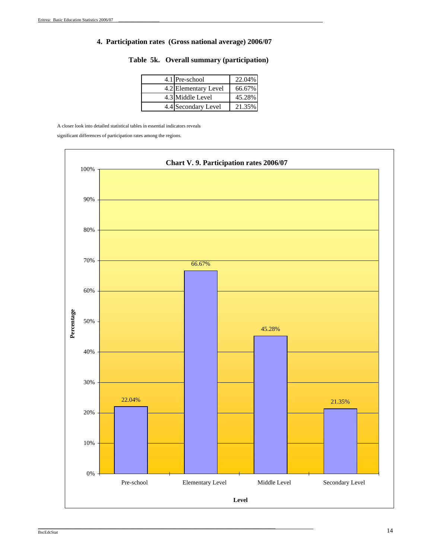### **4. Participation rates (Gross national average) 2006/07**

| 4.1 Pre-school       | 22.04% |
|----------------------|--------|
| 4.2 Elementary Level | 66.67% |
| 4.3 Middle Level     | 45.28% |
| 4.4 Secondary Level  | 21.35% |

### **Table 5k. Overall summary (participation)**

A closer look into detailed statistical tables in essential indicators reveals

\_\_\_\_\_\_\_\_\_\_\_\_\_\_\_\_\_\_\_\_\_\_\_\_\_\_\_\_\_\_\_\_\_\_\_\_\_\_\_\_\_\_\_\_\_\_\_\_\_\_\_\_\_\_\_\_\_\_\_\_\_\_\_\_\_\_\_\_\_\_\_\_\_\_\_\_\_\_\_\_\_\_\_\_\_\_\_\_\_\_\_\_\_\_\_\_\_\_\_\_\_\_\_\_\_\_\_\_\_\_

significant differences of participation rates among the regions.

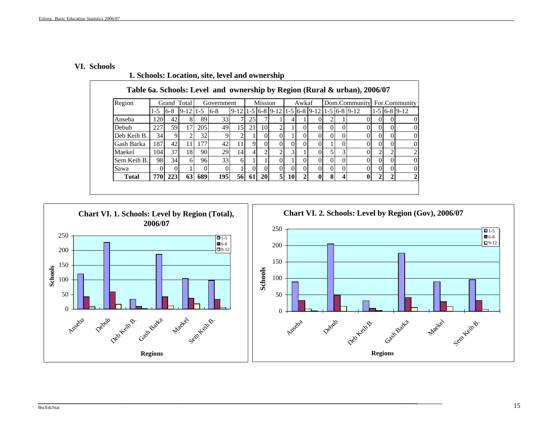#### **VI. Schools**

|                                                                                                                     |     |         |    |     |            |    |       |           |                |           |                |              |          |          | Table 6a. Schools: Level and ownership by Region (Rural & urban), 2006/07         |                |                |  |
|---------------------------------------------------------------------------------------------------------------------|-----|---------|----|-----|------------|----|-------|-----------|----------------|-----------|----------------|--------------|----------|----------|-----------------------------------------------------------------------------------|----------------|----------------|--|
| Region<br>Grand Total<br>$1-5$ 6-8 9-12 1-5 6-8<br>1201<br>42<br>Anseba<br>227<br>59I<br>Debub<br>34<br>Deb Keih B. |     |         |    |     | Government |    |       | Mission   |                |           | Awkaf          |              |          |          | Dom.Community                                                                     |                | For.Community  |  |
|                                                                                                                     |     |         |    |     |            |    |       |           |                |           |                |              |          |          | $9-12$   1 - 5   6 - 8   9 - 12   1 - 5   6 - 8   9 - 12   1 - 5   6 - 8   9 - 12 |                | $1-5$ 6-8 9-12 |  |
|                                                                                                                     |     |         | 8  | 89  | 33         |    | 25    |           |                |           |                |              |          |          |                                                                                   |                |                |  |
|                                                                                                                     |     |         | 17 | 205 | 49         | 15 | 21    | 10        |                |           | 0              | $\Omega$     | $\Omega$ | $\Omega$ |                                                                                   | $\Omega$       |                |  |
|                                                                                                                     |     |         |    | 32  |            |    |       |           |                |           | 0              | $\Omega$     |          |          |                                                                                   | $\Omega$       |                |  |
| Gash Barka                                                                                                          | 187 | 42      | 11 | 177 | 42         | 11 | 9     | $\Omega$  | $\Omega$       | $\Omega$  | $\Omega$       | $\Omega$     |          | $\Omega$ |                                                                                   | $\Omega$       | 0              |  |
| Maekel                                                                                                              | 104 | 37      | 18 | 90  | 29         | 14 |       | ↑         | າ              |           |                |              |          |          |                                                                                   | $\overline{c}$ |                |  |
| Sem Keih B.                                                                                                         | 98  | 34      | 61 | 96  | 33         | 6  |       |           |                |           | 0              | $\Omega$     | $\Omega$ | $\Omega$ |                                                                                   | $\Omega$       | 0              |  |
| Sawa                                                                                                                |     |         |    | 0   | 0          |    |       | $\Omega$  | $\Omega$       | $\Omega$  | $\Omega$       | $\Omega$     | $\Omega$ | $\Omega$ |                                                                                   | $\Omega$       | $\Omega$       |  |
| <b>Total</b>                                                                                                        |     | 770 223 | 63 | 689 | 195        |    | 56 61 | <b>20</b> | 5 <sup>1</sup> | <b>10</b> | $\overline{2}$ | $\mathbf{0}$ | 81       | $\Delta$ | 0                                                                                 | $\overline{2}$ | 2              |  |

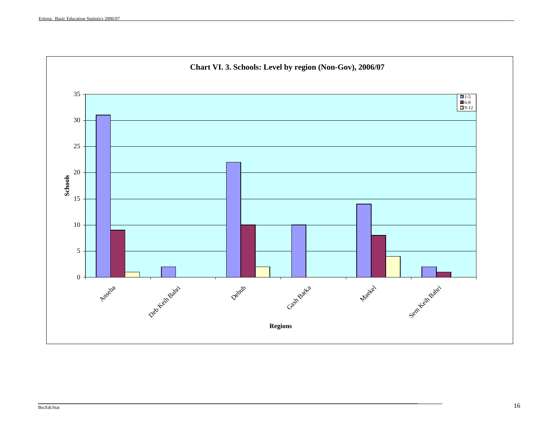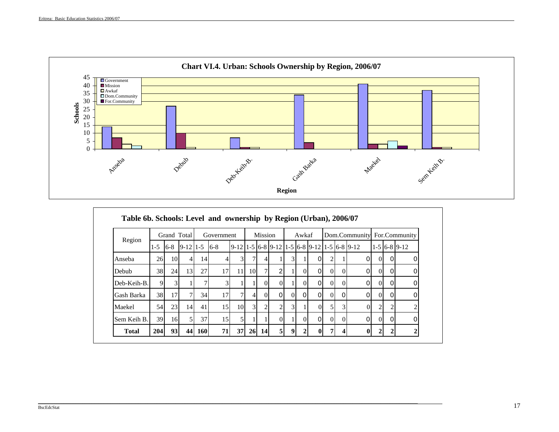

|              |            |         | Grand Total    |            | Government      |    |                | <b>Mission</b> |                |                | Awkaf    |                                                                 |          |          | Dom.Community |                |   | For.Community  |
|--------------|------------|---------|----------------|------------|-----------------|----|----------------|----------------|----------------|----------------|----------|-----------------------------------------------------------------|----------|----------|---------------|----------------|---|----------------|
| Region       | $1-5$      | $6 - 8$ | $9-12$   1-5   |            | $6 - 8$         |    |                |                |                |                |          | $9-12$ 1 - 5 6 - 8 9 - 12 1 - 5 6 - 8 9 - 12 1 - 5 6 - 8 9 - 12 |          |          |               |                |   | $1-5$ 6-8 9-12 |
| Anseba       | 26         | 10      | $\overline{4}$ | 14         | 41              | 3  |                | $\overline{4}$ |                | $\overline{3}$ |          | $\Omega$                                                        |          |          | 0             | $\Omega$       | 0 | 0              |
| Debub        | 38         | 24      | 13             | 27         | 17              | 11 | 10             | $\tau$         | $\overline{2}$ |                | $\Omega$ | $\Omega$                                                        | $\Omega$ | $\Omega$ | 0             | $\Omega$       | 0 | $\Omega$       |
| Deb-Keih-B.  | 9          |         |                |            |                 |    |                | $\Omega$       |                |                |          | 0I                                                              | $\Omega$ | $\Omega$ | 0             | $\Omega$       |   | 0              |
| Gash Barka   | 38         | 17      | $\tau$         | 34         | 17              | 7  | 41             | $\Omega$       | $\Omega$       | $\Omega$       | $\Omega$ | $\Omega$                                                        | $\Omega$ | $\Omega$ | $\Omega$      | $\Omega$       | 0 | ∩              |
| Maekel       | 54         | 23      | 14             | 41         | 15 <sup>1</sup> | 10 | $\overline{3}$ | $\overline{2}$ | 2              | $\overline{3}$ |          | $\Omega$                                                        |          | 3        |               | $\overline{c}$ |   |                |
| Sem Keih B.  | 39         | 16      | 5 <sub>l</sub> | 37         | 15              | 5  |                |                | $\Omega$       |                | $\Omega$ | $\overline{0}$                                                  | $\Omega$ | $\Omega$ | $\Omega$      | $\Omega$       | 0 | $\Omega$       |
| <b>Total</b> | <b>204</b> | 93      | 44             | <b>160</b> | 71              | 37 | <b>26</b>      | <b>14</b>      | 5 <sup>1</sup> | 9              | 2        | $\bf{0}$                                                        |          |          |               | $\mathbf{2}$   |   |                |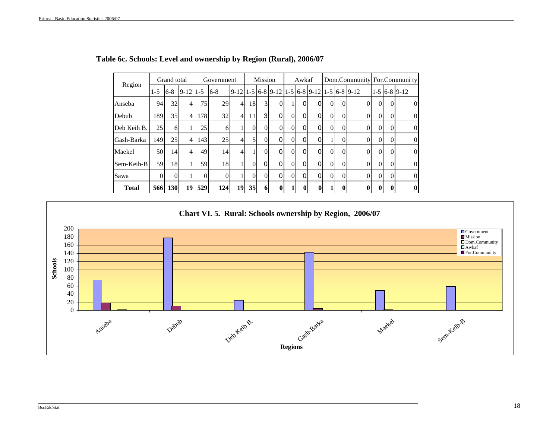| Region       |          | Grand total |                |              | Government |                                                                                   |          | Mission        |          |          | Awkaf    |                |          |              | Dom.Community For.Community |                |          |                |
|--------------|----------|-------------|----------------|--------------|------------|-----------------------------------------------------------------------------------|----------|----------------|----------|----------|----------|----------------|----------|--------------|-----------------------------|----------------|----------|----------------|
|              | $1 - 5$  | $6 - 8$     | $9-12$ 1-5     |              | $6 - 8$    | $9-12$   1 - 5   6 - 8   9 - 12   1 - 5   6 - 8   9 - 12   1 - 5   6 - 8   9 - 12 |          |                |          |          |          |                |          |              |                             |                |          | $1-5$ 6-8 9-12 |
| Anseba       | 94       | 32          |                | 75           | 29         | $\overline{4}$                                                                    | 18       | $\mathbf{3}$   | $\Omega$ |          |          | 0              | 0        | 0            |                             | $\Omega$       | $\Omega$ | $\overline{0}$ |
| Debub        | 189      | 35          | 4              | 178          | 32         | $\overline{4}$                                                                    | 11       | $\overline{3}$ | 0        | $\Omega$ | 0        | 0              | 0        | 0            | 0                           | $\Omega$       | $\Omega$ | $\overline{0}$ |
| Deb Keih B.  | 25       | 61          |                | 25           | 6          |                                                                                   | $\theta$ | $\Omega$       | $\Omega$ | $\Omega$ | $\Omega$ | $\overline{0}$ | $\Omega$ | $\mathbf{0}$ | $\Omega$                    | $\overline{0}$ | $\Omega$ | $\overline{0}$ |
| Gash-Barka   | 149      | 25          | $\overline{4}$ | 143          | 25         | 41                                                                                | 5        | $\Omega$       | 0        | $\Omega$ | 0        | 0              |          | $\Omega$     |                             | $\Omega$       | $\Omega$ | $\overline{0}$ |
| Maekel       | 50       | 14          |                | 49           | 14         | $\overline{4}$                                                                    |          | $\Omega$       | 0        | $\Omega$ | $\Omega$ | $\Omega$       | 0        | $\Omega$     | 0                           | $\Omega$       | $\Omega$ | $\overline{0}$ |
| Sem-Keih-B   | 59       | 18          |                | 59           | 18         |                                                                                   | $\theta$ | $\Omega$       | 0        | $\Omega$ | $\Omega$ | $\Omega$       | $\Omega$ | $\Omega$     | $\Omega$                    | $\Omega$       | $\Omega$ | $\overline{0}$ |
| Sawa         | $\Omega$ | 0           |                | $\mathbf{0}$ | $\Omega$   |                                                                                   | $\theta$ |                | 0        | $\theta$ | $\Omega$ | $\Omega$       | 0        | $\Omega$     |                             | $\Omega$       | $\Omega$ | $\overline{0}$ |
| <b>Total</b> | 566      | 130         | 19             | 529          | 124        | 19                                                                                | 35       | 6              | $\bf{0}$ |          | $\theta$ | $\mathbf{0}$   |          | 0            | 0                           | 0              | 0        | $\bf{0}$       |

# **Table 6c. Schools: Level and ownershi p b y Re gion (Rural), 2006/07**

**Chart VI. 5. Rural: Schools ownership by Region, 2006/07**

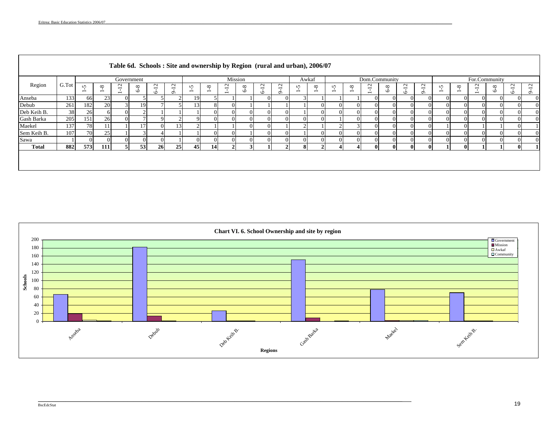|              |       |                                        |                                          |                                                                | Government     |                                               |                                         |                               |                                        | Mission          |                         |                                          |                                                         | Awkaf                          |                                          |                               |                                      | Dom.Community                                                  |               |                                               |                                                |                               |                                             | For.Community                                 |                |                   |                                               |
|--------------|-------|----------------------------------------|------------------------------------------|----------------------------------------------------------------|----------------|-----------------------------------------------|-----------------------------------------|-------------------------------|----------------------------------------|------------------|-------------------------|------------------------------------------|---------------------------------------------------------|--------------------------------|------------------------------------------|-------------------------------|--------------------------------------|----------------------------------------------------------------|---------------|-----------------------------------------------|------------------------------------------------|-------------------------------|---------------------------------------------|-----------------------------------------------|----------------|-------------------|-----------------------------------------------|
| Region       | G.Tot | $\sqrt{2}$<br>$\overline{\phantom{0}}$ | ${}^{\circ}$<br>$\overline{\phantom{0}}$ | $\sim$<br>$\overline{\phantom{0}}$<br>$\overline{\phantom{0}}$ | $\infty$<br>P, | $\sim$<br>$\overline{\phantom{0}}$<br>$\circ$ | $\sim$<br>$\overline{\phantom{0}}$<br>Ó | n<br>$\overline{\phantom{0}}$ | $^{\circ}$<br>$\overline{\phantom{0}}$ | $\sim$<br>I<br>I | ${}^{\circ}$<br>Ó       | $\sim$<br>$\overline{\phantom{0}}$<br>Ö. | $\mathbf{\sim}$<br>$\overline{\phantom{0}}$<br>$\sigma$ | S.<br>$\overline{\phantom{0}}$ | ${}^{\circ}$<br>$\overline{\phantom{0}}$ | n<br>$\overline{\phantom{0}}$ | $\infty$<br>$\overline{\phantom{0}}$ | $\sim$<br>$\overline{\phantom{0}}$<br>$\overline{\phantom{0}}$ | $\infty$<br>Ó | $\sim$<br>$\overline{\phantom{0}}$<br>$\circ$ | $\sim$<br>$\overline{\phantom{0}}$<br>$\sigma$ | n<br>$\overline{\phantom{0}}$ | $\infty$<br>- 1<br>$\overline{\phantom{0}}$ | $\mathbf{\Omega}$<br>$\overline{\phantom{0}}$ | $\infty$<br>P, | $\sim$<br>$\circ$ | $\sim$<br>$\overline{\phantom{0}}$<br>$\circ$ |
| Anseba       | 133   | 66                                     | 23                                       |                                                                |                |                                               |                                         | 19                            |                                        |                  |                         | $\Omega$                                 | $\overline{0}$                                          |                                |                                          |                               |                                      |                                                                |               |                                               | $\Omega$                                       |                               | $\overline{0}$                              |                                               | $\overline{0}$ |                   | $\Omega$                                      |
| Debub        | 261   | 182                                    | 20                                       |                                                                | 19             |                                               |                                         | 13 <sup>l</sup>               |                                        |                  |                         |                                          |                                                         |                                |                                          |                               | $^{\prime}$                          |                                                                |               |                                               | $\Omega$                                       |                               | $\Omega$                                    |                                               | $\Omega$       |                   | $\Omega$                                      |
| Deb Keih B.  | 38    | 26                                     | 6                                        |                                                                |                |                                               |                                         |                               |                                        |                  |                         |                                          | $\Omega$                                                |                                |                                          |                               | $\Omega$                             |                                                                |               |                                               | $\Omega$                                       |                               | $\Omega$                                    |                                               | $\Omega$       |                   | $\Omega$                                      |
| Gash Barka   | 205   | 151                                    | 26                                       |                                                                |                |                                               |                                         |                               |                                        |                  |                         | 0                                        | $\Omega$                                                |                                |                                          |                               | 0                                    |                                                                |               |                                               | $\Omega$                                       |                               | $\Omega$                                    |                                               | $\Omega$       |                   | $\Omega$                                      |
| Maekel       | 137   | 78                                     |                                          |                                                                |                |                                               | 13                                      |                               |                                        |                  |                         | $\Omega$                                 |                                                         |                                |                                          |                               |                                      |                                                                |               |                                               | $\Omega$                                       |                               | $\Omega$                                    |                                               |                |                   |                                               |
| Sem Keih B.  | 107   | 70                                     | 25                                       |                                                                |                |                                               |                                         |                               |                                        |                  |                         | $\Omega$                                 | $\Omega$                                                |                                |                                          |                               | 0                                    |                                                                |               |                                               | $\Omega$                                       |                               | $\Omega$                                    |                                               | $\Omega$       |                   | $\Omega$                                      |
| Sawa         |       |                                        | $\Omega$                                 |                                                                | $\Omega$       |                                               |                                         |                               | $\Omega$                               |                  |                         | $\Omega$                                 | $\Omega$                                                |                                |                                          |                               | $\Omega$                             |                                                                |               |                                               | $\Omega$                                       |                               | $\Omega$                                    |                                               | $\Omega$       |                   | $\Omega$                                      |
| <b>Total</b> | 882   | 573                                    | 111                                      | $\leq$                                                         | 53             | 26                                            | 25                                      | 45                            | 14                                     |                  | $\overline{\mathbf{a}}$ |                                          | $\overline{2}$                                          | $\mathbf{R}$                   | $\gamma$                                 | ΔI                            |                                      |                                                                | $\mathbf{0}$  | $\Omega$                                      | $\mathbf{0}$                                   |                               | $\mathbf{0}$                                |                                               |                |                   |                                               |
|              |       |                                        |                                          |                                                                |                |                                               |                                         |                               |                                        |                  |                         |                                          |                                                         |                                |                                          |                               |                                      |                                                                |               |                                               |                                                |                               |                                             |                                               |                |                   |                                               |

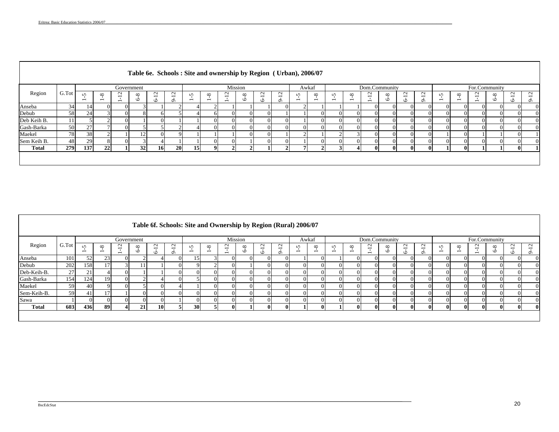|              |       |                                        |                                          |                                         | Table 6e. Schools: Site and ownership by Region ( Urban), 2006/07 |                            |                                                |                               |                                      |                                                                |               |                           |          |                                        |                                          |                               |                                      |                                                                |                     |                                                        |              |   |                                      |               |                         |                   |                                                |
|--------------|-------|----------------------------------------|------------------------------------------|-----------------------------------------|-------------------------------------------------------------------|----------------------------|------------------------------------------------|-------------------------------|--------------------------------------|----------------------------------------------------------------|---------------|---------------------------|----------|----------------------------------------|------------------------------------------|-------------------------------|--------------------------------------|----------------------------------------------------------------|---------------------|--------------------------------------------------------|--------------|---|--------------------------------------|---------------|-------------------------|-------------------|------------------------------------------------|
|              |       |                                        |                                          |                                         | Government                                                        |                            |                                                |                               |                                      | Mission                                                        |               |                           |          |                                        | Awkaf                                    |                               |                                      |                                                                | Dom.Community       |                                                        |              |   |                                      | For.Community |                         |                   |                                                |
| Region       | G.Tot | $\sqrt{ }$<br>$\overline{\phantom{0}}$ | ${}^{\circ}$<br>$\overline{\phantom{0}}$ | $\sim$<br>-<br>$\overline{\phantom{0}}$ | ${}^{\circ}$<br>$\circ$                                           | $\mathbf{\sim}$<br>$\circ$ | $\sim$<br>$\overline{\phantom{0}}$<br>$\sigma$ | n<br>$\overline{\phantom{0}}$ | $\infty$<br>$\overline{\phantom{0}}$ | $\sim$<br>$\overline{\phantom{0}}$<br>$\overline{\phantom{0}}$ | $\infty$<br>Ó | $\overline{c}$<br>$\circ$ |          | $\sqrt{2}$<br>$\overline{\phantom{0}}$ | ${}^{\circ}$<br>$\overline{\phantom{0}}$ | n<br>$\overline{\phantom{0}}$ | $\infty$<br>$\overline{\phantom{0}}$ | $\sim$<br>$\overline{\phantom{0}}$<br>$\overline{\phantom{0}}$ | $\infty$<br>$\circ$ | $\mathbf{\sim}$<br>$\overline{\phantom{0}}$<br>$\circ$ | ₫<br>⌒       | n | $\infty$<br>$\overline{\phantom{0}}$ | $\sim$        | ${}^{\circ}$<br>$\circ$ | $\sim$<br>$\circ$ | $\sim$<br>$\overline{\phantom{a}}$<br>$\sigma$ |
| Anseba       | 34    | 14                                     |                                          | $\Omega$                                |                                                                   |                            |                                                |                               |                                      |                                                                |               |                           | $\Omega$ |                                        |                                          |                               |                                      |                                                                |                     |                                                        |              |   |                                      |               |                         |                   | $\Omega$                                       |
| Debub        | 58    | 24                                     |                                          | $\Omega$                                |                                                                   |                            |                                                |                               |                                      |                                                                |               |                           |          |                                        | $\Omega$                                 |                               | $^{\circ}$                           |                                                                |                     |                                                        |              |   |                                      |               |                         |                   | $\Omega$                                       |
| Deb Keih B.  |       |                                        |                                          | $\Omega$                                |                                                                   | $\Omega$                   |                                                |                               | $\Omega$                             |                                                                |               |                           | $\Omega$ |                                        | $\Omega$                                 |                               | $\Omega$                             |                                                                |                     |                                                        |              |   |                                      |               | $^{\circ}$              |                   | $\Omega$                                       |
| Gash-Barka   | 50    | 27                                     |                                          | $\Omega$                                |                                                                   |                            |                                                |                               | $\Omega$                             |                                                                |               |                           | $\Omega$ |                                        | $\Omega$                                 |                               | $\Omega$                             |                                                                |                     |                                                        |              |   |                                      |               | $\Omega$                |                   | $\Omega$                                       |
| Maekel       | 78    | 38                                     |                                          |                                         |                                                                   | $\Omega$                   |                                                |                               |                                      |                                                                |               |                           |          |                                        |                                          |                               |                                      |                                                                |                     |                                                        |              |   |                                      |               |                         |                   |                                                |
| Sem Keih B.  | 48    | 29                                     |                                          |                                         |                                                                   |                            |                                                |                               | $\Omega$                             |                                                                |               |                           | 0        |                                        |                                          |                               | $\Omega$                             |                                                                |                     |                                                        |              |   |                                      |               |                         |                   | $\Omega$                                       |
| <b>Total</b> | 279   | 137                                    | 22                                       |                                         | 32                                                                | <b>16</b>                  | <b>20</b>                                      | 15 <sup>1</sup>               | $\mathbf{o}$                         |                                                                |               |                           |          |                                        |                                          |                               |                                      |                                                                |                     |                                                        | $\mathbf{u}$ |   | $\mathbf{u}$                         |               |                         |                   |                                                |
|              |       |                                        |                                          |                                         |                                                                   |                            |                                                |                               |                                      |                                                                |               |                           |          |                                        |                                          |                               |                                      |                                                                |                     |                                                        |              |   |                                      |               |                         |                   |                                                |

|              |      |                                      |                                      |                                                                |                         |                   |                                                |                               |                                          |                                                                |                     |                                               |                                               | Table 6f. Schools: Site and Ownership by Region (Rural) 2006/07 |                                      |                                    |          |                                                                |               |                                               |                                               |                               |                                      |                          |                   |                                         |             |
|--------------|------|--------------------------------------|--------------------------------------|----------------------------------------------------------------|-------------------------|-------------------|------------------------------------------------|-------------------------------|------------------------------------------|----------------------------------------------------------------|---------------------|-----------------------------------------------|-----------------------------------------------|-----------------------------------------------------------------|--------------------------------------|------------------------------------|----------|----------------------------------------------------------------|---------------|-----------------------------------------------|-----------------------------------------------|-------------------------------|--------------------------------------|--------------------------|-------------------|-----------------------------------------|-------------|
|              |      |                                      |                                      | Government                                                     |                         |                   |                                                |                               |                                          | Mission                                                        |                     |                                               |                                               | Awkaf                                                           |                                      |                                    |          | Dom.Community                                                  |               |                                               |                                               |                               |                                      | For.Community            |                   |                                         |             |
| Region       | G.To | <b>S</b><br>$\overline{\phantom{0}}$ | $\infty$<br>$\overline{\phantom{0}}$ | $\sim$<br>$\overline{\phantom{0}}$<br>$\overline{\phantom{0}}$ | ${}^{\circ}$<br>$\circ$ | $\sim$<br>$\circ$ | $\sim$<br>$\overline{\phantom{0}}$<br>$\sigma$ | n<br>$\overline{\phantom{0}}$ | ${}^{\circ}$<br>$\overline{\phantom{0}}$ | $\sim$<br>$\overline{\phantom{0}}$<br>$\overline{\phantom{a}}$ | $\infty$<br>$\circ$ | $\sim$<br>$\overline{\phantom{0}}$<br>$\circ$ | $\sim$<br>$\overline{\phantom{0}}$<br>$\circ$ | S.<br>$\overline{\phantom{0}}$                                  | $\infty$<br>$\overline{\phantom{0}}$ | $\sim$<br>$\overline{\phantom{0}}$ | $\infty$ | $\sim$<br>$\overline{\phantom{0}}$<br>$\overline{\phantom{0}}$ | $\infty$<br>Ó | $\sim$<br>$\overline{\phantom{0}}$<br>$\circ$ | $\sim$<br>$\overline{\phantom{0}}$<br>$\circ$ | n<br>$\overline{\phantom{0}}$ | $\infty$<br>$\overline{\phantom{0}}$ | $\overline{\phantom{0}}$ | ${}^{\circ}$<br>Ó | $\sim$<br>$\overline{\phantom{0}}$<br>∾ | $\sim$<br>െ |
| Anseba       | 101  | 52                                   | 23                                   | $\Omega$                                                       |                         |                   |                                                | 15                            |                                          |                                                                | $\Omega$            |                                               | $\Omega$                                      |                                                                 |                                      |                                    |          | $\Omega$                                                       |               |                                               |                                               | $\Omega$                      |                                      | $\Omega$                 |                   | $\overline{0}$                          | $\Omega$    |
| Debub        | 202  | 158                                  |                                      |                                                                |                         |                   |                                                |                               |                                          |                                                                |                     |                                               |                                               | $\Omega$                                                        |                                      | $\Omega$                           |          | $\Omega$                                                       |               |                                               |                                               | $\Omega$                      |                                      |                          |                   | $\Omega$                                |             |
| Deb-Keih-B.  | 27   | 21                                   |                                      | $\Omega$                                                       |                         |                   |                                                | $^{\prime}$                   |                                          |                                                                |                     |                                               |                                               | $\Omega$                                                        |                                      | $\Omega$                           |          | $\Omega$                                                       |               |                                               |                                               | $^{\prime}$                   |                                      |                          |                   | $\Omega$                                |             |
| Gash-Barka   | 154  | 124                                  | 19                                   | $\Omega$                                                       |                         |                   |                                                |                               | $\Omega$                                 |                                                                |                     |                                               |                                               | $\Omega$                                                        |                                      | $\Omega$                           |          | $\Omega$                                                       |               |                                               |                                               | $\Omega$                      | $\Omega$                             | $\Omega$                 |                   | $\Omega$                                | $\Omega$    |
| Maekel       | 59   | 40                                   |                                      | $\Omega$                                                       |                         |                   |                                                |                               | $\Omega$                                 |                                                                |                     |                                               |                                               | $\Omega$                                                        |                                      | $\Omega$                           |          | $\Omega$                                                       |               |                                               |                                               | $\Omega$                      |                                      |                          |                   | $\Omega$                                | $\Omega$    |
| Sem-Keih-B.  | 59   | 41                                   |                                      |                                                                |                         | $\Omega$          |                                                | $\Omega$                      | -01                                      |                                                                |                     |                                               |                                               | $\Omega$                                                        |                                      | $\Omega$                           |          | $\Omega$                                                       |               |                                               |                                               | $\Omega$                      |                                      | $\Omega$                 |                   | $\Omega$                                | $\Omega$    |
| Sawa         |      |                                      |                                      | $\Omega$                                                       |                         | $\Omega$          |                                                | $\Omega$                      | $\Omega$                                 |                                                                |                     |                                               |                                               | $\Omega$                                                        |                                      | $\Omega$                           |          | $\Omega$                                                       |               |                                               |                                               | $\Omega$                      | $\Omega$                             | $\Omega$                 |                   | $\Omega$                                | $\Omega$    |
| <b>Total</b> | 603  | 436                                  | 89                                   | $\boldsymbol{\mathcal{A}}$                                     | 21                      | 10                |                                                | 30 <sup>°</sup>               |                                          |                                                                |                     |                                               | $\bf{0}$                                      |                                                                 |                                      |                                    |          | $\bf{0}$                                                       |               | $\mathbf{u}$                                  |                                               | $\mathbf{0}$                  | $\mathbf{0}$                         | $\mathbf{0}$             | -01               | $\bf{0}$                                | -01         |
|              |      |                                      |                                      |                                                                |                         |                   |                                                |                               |                                          |                                                                |                     |                                               |                                               |                                                                 |                                      |                                    |          |                                                                |               |                                               |                                               |                               |                                      |                          |                   |                                         |             |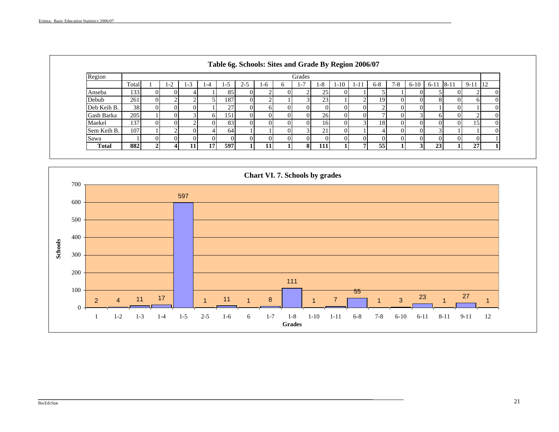| Region       |       |      |            |         |             |         |     | Grades |                 |        |      |       |       |          |                 |       |          |    |
|--------------|-------|------|------------|---------|-------------|---------|-----|--------|-----------------|--------|------|-------|-------|----------|-----------------|-------|----------|----|
|              | Total | $-2$ | ⌒<br>l - 3 | $1 - 4$ | כ- נ        | $2 - 5$ | 1-6 | -7     | 1-8             | $1-10$ | 1-11 | $6-8$ | $7-8$ | $6 - 10$ | $6 - 11$        | $8-1$ | $9 - 11$ | 12 |
| Anseba       | 133   |      |            |         | 85          |         |     |        | 25 <sub>1</sub> |        |      |       |       |          |                 |       |          |    |
| Debub        | 261   |      |            |         | 187         |         |     |        | 23              |        |      | 19    |       |          |                 |       |          |    |
| Deb Keih B.  | 38    |      |            |         | 27          |         |     |        |                 |        |      |       |       |          |                 |       |          |    |
| Gash Barka   | 205   |      |            |         | 151         |         |     |        | 26              |        |      |       |       |          |                 |       |          |    |
| Maekel       | 137   |      |            |         | 83          |         |     |        | 161             |        |      | 18    |       |          |                 |       |          |    |
| Sem Keih B.  | 107   |      |            |         | 64          |         |     |        | 21              |        |      |       |       |          |                 |       |          |    |
| Sawa         |       |      |            |         | $^{\prime}$ |         |     |        |                 |        |      |       |       |          |                 |       |          |    |
| <b>Total</b> | 882   |      |            | 17      | 597         |         | 11  | 81     | 111             |        |      | 55    |       |          | 23 <sub>1</sub> |       | 27       |    |

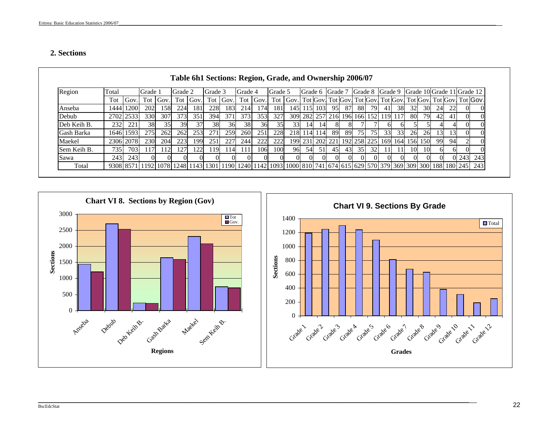# **2. Sections**

| Region      | Total     |           | Grade 1                                                                                                             |      | Grade 2 |          | Grade 3 |      | Grade 4 |      | Grade 5 |                                                                                  |             |     | Grade 6 Grade 7 |    | Grade 8 Grade 9                     |                 |    |    |     |                                             |          |    | Grade 10 Grade 11 Grade 12 |     |
|-------------|-----------|-----------|---------------------------------------------------------------------------------------------------------------------|------|---------|----------|---------|------|---------|------|---------|----------------------------------------------------------------------------------|-------------|-----|-----------------|----|-------------------------------------|-----------------|----|----|-----|---------------------------------------------|----------|----|----------------------------|-----|
|             | Tot       | Gov.      | Tot                                                                                                                 | Gov. |         | Tot Gov. | Tot     | Gov. | Tot     | Gov. |         | Tot Gov. Tot Gov. Tot Gov. Tot Gov. Tot Gov. Tot Gov. Tot Gov. Tot Gov. Tot Gov. |             |     |                 |    |                                     |                 |    |    |     |                                             |          |    |                            |     |
| Anseba      | 1444      | 1200      | 202                                                                                                                 | 158  | 224     | 181      | 228     | 183  | 214     | 174  | 181     |                                                                                  | 145   115   | 103 | 95              | 87 | 88I                                 | 79              | 41 | 38 | 32  | 30                                          | 24       |    |                            |     |
| Debub       | 2702 2533 |           | 330                                                                                                                 | 307  | 373     | 351      | 394     | 371  | 373     | 353  | 327     |                                                                                  |             |     |                 |    | 309 282 257 216 196 166 152 119 117 |                 |    |    | -80 | 79                                          | 42       |    |                            |     |
| Deb Keih B. | 232       | 221       | 38                                                                                                                  | 35   | 39      | 37       | 38      | 36   | 38      | 36   | 35      | 33                                                                               | 14          | 14  |                 | 8  |                                     |                 |    |    |     |                                             |          |    |                            |     |
| Gash Barka  |           | 1646 1593 | 275                                                                                                                 | 262  | 262     | 253      | 271     | 259  | 260     | 251  | 228     |                                                                                  | 218 114 114 |     | -89             | 89 | 75                                  | 751             | 33 | 33 | 26  | 26                                          | 131      |    |                            |     |
| Maekel      | 2306 2078 |           | 230                                                                                                                 | 204  | 223     | 199      | 251     | 227  | 244     | 222  | 222     |                                                                                  |             |     |                 |    |                                     |                 |    |    |     | 199 231 202 221 192 258 225 169 164 156 150 | 99       | 94 |                            |     |
| Sem Keih B. | 735       | 703       |                                                                                                                     | 112I | 27      |          | 119     | l 14 | 111     | 106  | 1001    | 96                                                                               | 54          | 51  | 45              | 43 | 35                                  | 32 <sup>l</sup> |    |    | 10  | ΙOΙ                                         | h        |    |                            |     |
| Sawa        | 243       | 243I      |                                                                                                                     |      |         |          |         |      |         |      |         |                                                                                  |             |     |                 |    | $^{\prime}$                         |                 |    |    |     |                                             | $\Omega$ |    | 1243                       | 243 |
| Total       |           |           | 9308 8571 1192 1078 1248 1143 1301 1190 1240 1142 1093 1000 810 741 674 615 629 570 379 369 309 300 188 180 245 243 |      |         |          |         |      |         |      |         |                                                                                  |             |     |                 |    |                                     |                 |    |    |     |                                             |          |    |                            |     |

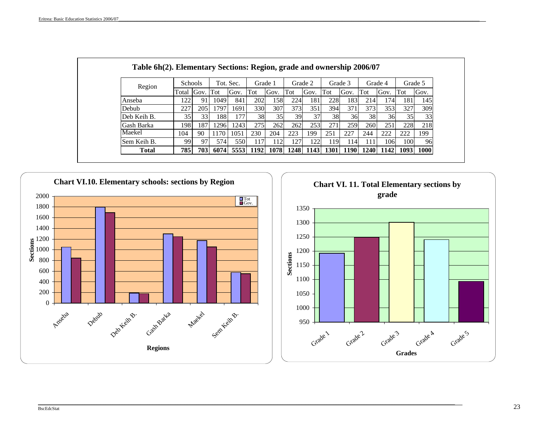| Region       |       | <b>Schools</b> |      | Tot. Sec. |      | Grade 1 |      | Grade 2 |      | Grade 3     |      | Grade 4 |      | Grade 5 |
|--------------|-------|----------------|------|-----------|------|---------|------|---------|------|-------------|------|---------|------|---------|
|              | Total | Gov.           | Tot  | Gov.      | Tot  | Gov.    | Tot  | Gov.    | Tot  | Gov.        | Tot  | Gov.    | Tot  | Gov.    |
| Anseba       | 22    | 91             | 1049 | 841       | 202  | 158     | 224  | 181     | 228  | 183         | 214  | 174     | 181  | 1451    |
| Debub        | 227   | 205            | 1797 | 1691      | 330  | 307     | 373  | 351     | 394  | 371         | 373  | 353     | 327  | 309     |
| Deb Keih B.  | 35    | 33             | 188  | 177       | 38   | 35      | 39   | 37      | 38   | 36          | 38   | 36      | 35   | 33      |
| Gash Barka   | 198   | 187            | 1296 | 243       | 275  | 262     | 262  | 253     | 271  | 259         | 260  | 251     | 228  | 218     |
| Maekel       | 104   | 90             | 1170 | 1051      | 230  | 204     | 223  | 199     | 251  | 227         | 244  | 222     | 222  | 199     |
| Sem Keih B.  | 99    | 97             | 574  | 550       | 117  | 112     | 127  | 122     | 119' | 114         | 111  | 106     | 100  | 96      |
| <b>Total</b> | 785   | 703            | 6074 | 5553      | 1192 | 1078    | 1248 | 1143    | 1301 | <b>1190</b> | 1240 | 1142    | 1093 | 1000    |



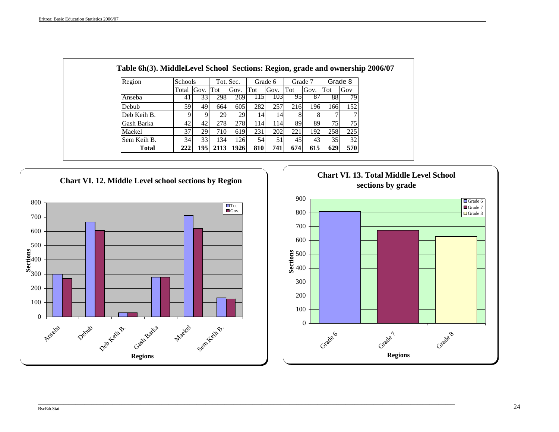| Region       | <b>Schools</b> |          |      | Tot. Sec. |     | Grade 6 |             | Grade 7 |     | Grade 8 |
|--------------|----------------|----------|------|-----------|-----|---------|-------------|---------|-----|---------|
|              | Total          | Gov. Tot |      | Gov.      | Tot | Gov.    | Tot         | Gov.    | Tot | Gov     |
| Anseba       | 41             | 33       | 298  | 269       | 115 | 1031    | 951         | -87     | 881 | 79      |
| Debub        | 59             | 49       | 664  | 605       | 282 | 257     | 216         | 196     | 166 | 152     |
| Deb Keih B.  |                | Q        | 29   | 29        | 14  | 14      | 8           |         |     |         |
| Gash Barka   | 42             | 42       | 278  | 278       | 114 | 114     | 89          | 89      | 75  | 75      |
| Maekel       | 37             | 29       | 710  | 619       | 231 | 202     | 221         | 192     | 258 | 225     |
| Sem Keih B.  | 34             | 33       | 134  | 126       | 54  | 51      | 45          | 43      | 35  | 32      |
| <b>Total</b> | 222            | 195 I    | 2113 | 1926      | 810 | 741     | <b>6741</b> | 615     | 629 | 570     |



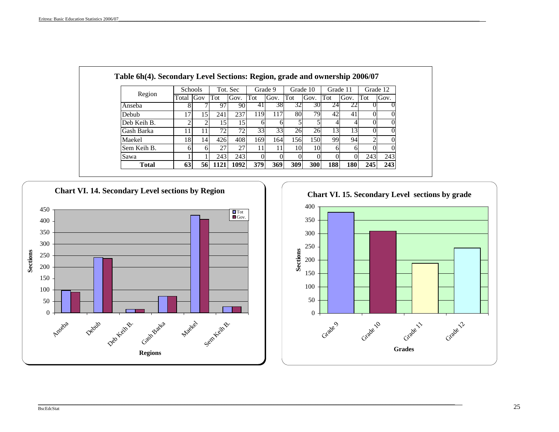|              |       | <b>Schools</b> |      | Tot. Sec |      | Grade 9 |     | Grade 10 | Grade 11 |                 |     | Grade 12 |
|--------------|-------|----------------|------|----------|------|---------|-----|----------|----------|-----------------|-----|----------|
| Region       | Total | Gov            | Tot  | Gov.     | Tot  | Gov.    | Tot | Gov.     | Tot      | Gov.            | Tot | Gov.     |
| Anseba       |       |                | 97   | 90       | 41   | 381     | 32  | 30I      | 24       |                 |     |          |
| Debub        |       | 15             | 241  | 237      | 119  | 117     | 80  | 79       | 42       | 41              |     |          |
| Deb Keih B.  |       |                | 15   | 15       | 61   | h       |     |          |          |                 |     | 0        |
| Gash Barka   |       |                | 72   | 72       | 33   | 33      | 26  | 26       | 13       | 13 <sup>1</sup> |     |          |
| Maekel       | 18    | 14             | 426  | 408      | 169  | 164     | 156 | 150      | 99       | 94              | ◠   |          |
| Sem Keih B.  | 6     |                | 27   | 27       | 11'  |         | 10  | 10       | 6        | h               |     |          |
| Sawa         |       |                | 243  | 243      |      |         |     |          |          |                 | 243 | 243      |
| <b>Total</b> | 63    | 56I            | 1121 | 1092     | 3791 | 369     | 309 | 300      | 188      | <b>180</b>      | 245 | 243      |



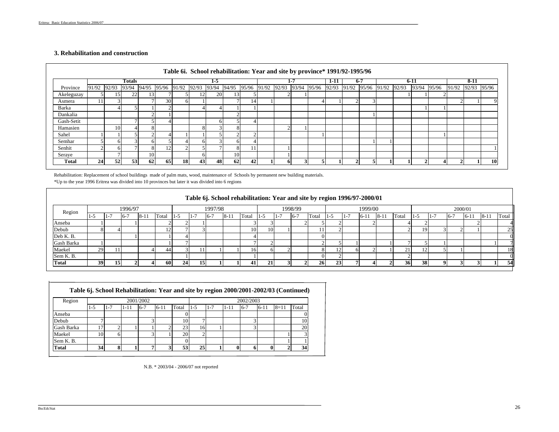#### **3. Rehabilitation and construction**

|            |               |                 |               |       |       |           |       |              | Table 6i. School rehabilitation: Year and site by province* 1991/92-1995/96 |             |       |         |       |       |       |         |             |             |                   |        |           |
|------------|---------------|-----------------|---------------|-------|-------|-----------|-------|--------------|-----------------------------------------------------------------------------|-------------|-------|---------|-------|-------|-------|---------|-------------|-------------|-------------------|--------|-----------|
|            |               |                 | <b>Totals</b> |       |       |           |       | 1-5          |                                                                             |             |       | $1 - 7$ |       | 1-11  |       | $6 - 7$ |             | $6 - 11$    |                   | $8-11$ |           |
| Province   | 91/92 92/93   |                 | 93/94         | 94/95 | 95/96 | 91/92     | 92/93 | 93/94        | 94/95                                                                       | 95/96 91/92 | 92/93 | 93/94   | 95/96 | 92/93 | 91/92 | 95/96   | 91/92 92/93 | 93/94 95/96 | 91/92 92/93 95/96 |        |           |
| Akeleguzay |               |                 | 22            |       |       |           | 12    | <b>20</b>    | 13                                                                          |             |       |         |       |       |       |         |             |             |                   |        |           |
| Asmera     |               |                 |               |       | 30    |           |       |              |                                                                             | 14          |       |         |       |       |       |         |             |             |                   |        |           |
| Barka      |               |                 |               |       |       |           |       |              |                                                                             |             |       |         |       |       |       |         |             |             |                   |        |           |
| Dankalia   |               |                 |               |       |       |           |       |              |                                                                             |             |       |         |       |       |       |         |             |             |                   |        |           |
| Gash-Setit |               |                 |               |       |       |           |       | <sub>6</sub> |                                                                             |             |       |         |       |       |       |         |             |             |                   |        |           |
| Hamasien   |               | 10              |               |       |       |           |       |              |                                                                             |             |       |         |       |       |       |         |             |             |                   |        |           |
| Sahel      |               |                 |               |       |       |           |       |              |                                                                             |             |       |         |       |       |       |         |             |             |                   |        |           |
| Semhar     |               |                 |               |       |       |           |       |              |                                                                             |             |       |         |       |       |       |         |             |             |                   |        |           |
| Senhit     | $\mathcal{L}$ |                 |               |       | 12    |           |       |              |                                                                             | 11          |       |         |       |       |       |         |             |             |                   |        |           |
| Seraye     |               |                 |               | 10    |       |           |       |              | 10 <sub>1</sub>                                                             |             |       |         |       |       |       |         |             |             |                   |        |           |
| Total      | 24            | 52 <sub>1</sub> | 53            | 62    | 65    | <b>18</b> | 43    | 48           | 62                                                                          | 42          | 6     |         |       |       |       |         |             |             |                   |        | <b>10</b> |

Rehabilitation: Replacement of school buildings made of palm mats, wood, maintenance of Schools by permanent new building materials.

\*Up to the year 1996 Eritrea was divided into 10 provinces but later it was divided into 6 regions

|            |     |        |         |       |       |     |      |         |          |                 |     |         | Table 6j. School rehabilitation: Year and site by region 1996/97-2000/01 |     |       |          |        |       |     |     |         |      |         |          |
|------------|-----|--------|---------|-------|-------|-----|------|---------|----------|-----------------|-----|---------|--------------------------------------------------------------------------|-----|-------|----------|--------|-------|-----|-----|---------|------|---------|----------|
| Region     |     |        | 1996/97 |       |       |     |      | 1997/98 |          |                 |     | 1998/99 |                                                                          |     |       | 1999/00  |        |       |     |     | 2000/01 |      |         |          |
|            | 1-J | ∕ - 1، | $6 - 7$ | $8-1$ | Total | -15 | 1- . | $6-7$   | $8 - 11$ | Total           | 1-5 | 6-      | Total                                                                    | נ-ו | 1 - 1 | $6 - 11$ | $8-1.$ | Total | - 1 | I – | $-6$    | 6-11 | $-8-11$ | Total    |
| Anseba     |     |        |         |       |       |     |      |         |          |                 |     |         |                                                                          |     |       |          |        |       |     |     |         |      |         |          |
| Debub      |     |        |         |       |       |     |      |         |          | 10 <sup>1</sup> | 10  |         |                                                                          |     |       |          |        |       | 191 |     |         |      |         | 25       |
| Deb K.B.   |     |        |         |       |       |     |      |         |          |                 |     |         |                                                                          |     |       |          |        |       |     |     |         |      |         | $\alpha$ |
| Gash Barka |     |        |         |       |       |     |      |         |          |                 |     |         |                                                                          |     |       |          |        |       |     |     |         |      |         |          |
| Maekel     | 29  |        |         |       |       |     | 11   |         |          | 16.             |     |         |                                                                          | 12  |       |          |        | 21    | 12  |     |         |      |         | 18       |
| Sem K. B.  |     |        |         |       |       |     |      |         |          |                 |     |         |                                                                          |     |       |          |        |       |     |     |         |      |         | $\alpha$ |
| Total      | 39  | 15     |         |       | 60    | 24  | 15   |         |          | 41              |     |         | 26                                                                       | 23  |       |          |        | 36    | 38  |     |         |      |         | 54       |

| Region       |     |         |          | 2001/2002 |          |       |       |         |          | 2002/2003 |          |          |       |
|--------------|-----|---------|----------|-----------|----------|-------|-------|---------|----------|-----------|----------|----------|-------|
|              | 1-5 | $1 - 7$ | $1 - 11$ | $6 - 7$   | $6 - 11$ | Total | $1-5$ | $1 - 7$ | $1 - 11$ | $6-7$     | $6 - 11$ | $8 = 11$ | Total |
| Anseba       |     |         |          |           |          |       |       |         |          |           |          |          |       |
| Debub        | −   |         |          |           |          | 10    |       |         |          |           |          |          | 10    |
| Gash Barka   | 7   |         |          |           |          | 23    | 16    |         |          |           |          |          | 20    |
| Maekel       | 10  |         |          |           |          | 20    |       |         |          |           |          |          |       |
| Sem K. B.    |     |         |          |           |          |       |       |         |          |           |          |          |       |
| <b>Total</b> | 34  |         |          |           |          | 53    | 25    |         |          |           | 0        |          | 34    |

N.B. \* 2003/04 - 2006/07 not reported

 $-$  . The contribution of the contribution of the contribution of the contribution of the contribution of the contribution of the contribution of the contribution of the contribution of the contribution of the contributio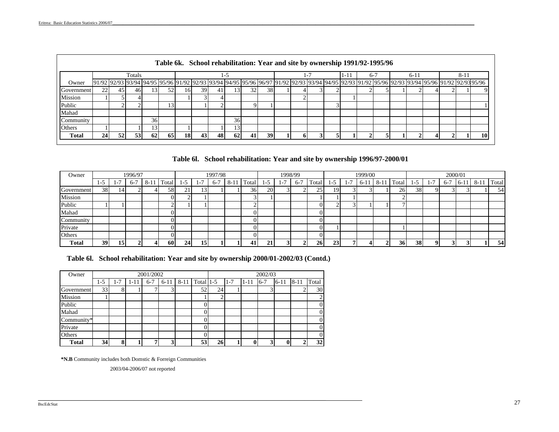|               |                 |                                                                                                                                                                                       |        |                 |    |           |     |    |                 |    |    |  |  |      | Table 6k. School rehabilitation: Year and site by ownership 1991/92-1995/96 |  |        |  |          |    |
|---------------|-----------------|---------------------------------------------------------------------------------------------------------------------------------------------------------------------------------------|--------|-----------------|----|-----------|-----|----|-----------------|----|----|--|--|------|-----------------------------------------------------------------------------|--|--------|--|----------|----|
|               |                 |                                                                                                                                                                                       | Totals |                 |    |           |     |    | -15             |    |    |  |  | 1-11 | 6-7                                                                         |  | $6-11$ |  | $8 - 11$ |    |
| Owner         |                 | 91/92 92/93 03/94 04/95 05/96 091/92 02/93 03/94 04/95 05/96 06/97 091/92 02/93 03/94 04/95 02/93 01/92 05/96 02/93 03/94 05/96 09/92 091/92 02/93 03/94 05/96 091/92 02/93 093/94 05 |        |                 |    |           |     |    |                 |    |    |  |  |      |                                                                             |  |        |  |          |    |
| Government    | 22.             | 45                                                                                                                                                                                    | 461    |                 |    | 161       | 391 |    | اد،             | 32 | 38 |  |  |      |                                                                             |  |        |  |          |    |
| Mission       |                 |                                                                                                                                                                                       |        |                 |    |           |     |    |                 |    |    |  |  |      |                                                                             |  |        |  |          |    |
| Public        |                 |                                                                                                                                                                                       |        |                 |    |           |     |    |                 |    |    |  |  |      |                                                                             |  |        |  |          |    |
| Mahad         |                 |                                                                                                                                                                                       |        |                 |    |           |     |    |                 |    |    |  |  |      |                                                                             |  |        |  |          |    |
| Community     |                 |                                                                                                                                                                                       |        | 36 <sub>l</sub> |    |           |     |    | 36 <sup>I</sup> |    |    |  |  |      |                                                                             |  |        |  |          |    |
| <b>Others</b> |                 |                                                                                                                                                                                       |        |                 |    |           |     |    |                 |    |    |  |  |      |                                                                             |  |        |  |          |    |
| <b>Total</b>  | 24 <sub>l</sub> | 52                                                                                                                                                                                    | 53     | 62              | 65 | <b>18</b> | 43  | 48 | 62              | 41 | 39 |  |  |      |                                                                             |  |        |  |          | 10 |

**Table 6l. School rehabilitation: Year and site by ownership 1996/97-2000/01**

| Owner               |           |    | 1996/97 |       |           |     |      | 1997/98 |        |            |     |       | 1998/99           |                  |     |          | 1999/00 |       |            |           |      | 2000/01 |         |        |       |
|---------------------|-----------|----|---------|-------|-----------|-----|------|---------|--------|------------|-----|-------|-------------------|------------------|-----|----------|---------|-------|------------|-----------|------|---------|---------|--------|-------|
|                     | -15       | -  | 6-      | $8-1$ | `otal     | ာ   | . .  | $6 - 7$ | $8-11$ | m<br>Fotal | - J | i – 1 | r,<br><u>t о-</u> | $\sim$<br>l'otal | . . | $\sim$ . | $6 - 1$ | $8-1$ | ÷<br>Fotal | еČ        | $-1$ | $6 - i$ | $16-1.$ | $8-11$ | Total |
| Government          | 38        | 14 |         |       | 581       | ر پ | ا قد |         |        | 36         | 20  |       |                   | لدك              | 19  |          |         |       | <b>26</b>  | 38        |      |         |         |        | 54    |
| Mission             |           |    |         |       |           |     |      |         |        |            |     |       |                   |                  |     |          |         |       |            |           |      |         |         |        |       |
| Public              |           |    |         |       | ⌒         |     |      |         |        |            |     |       |                   |                  | ⌒   |          |         |       | -          |           |      |         |         |        |       |
| Mahad               |           |    |         |       |           |     |      |         |        |            |     |       |                   |                  |     |          |         |       |            |           |      |         |         |        |       |
| $\sim$<br>Community |           |    |         |       |           |     |      |         |        |            |     |       |                   |                  |     |          |         |       |            |           |      |         |         |        |       |
| Private             |           |    |         |       |           |     |      |         |        |            |     |       |                   |                  |     |          |         |       |            |           |      |         |         |        |       |
| Others              |           |    |         |       |           |     |      |         |        |            |     |       |                   |                  |     |          |         |       |            |           |      |         |         |        |       |
| <b>Total</b>        | <b>39</b> | 15 |         |       | <b>60</b> | 24  | 15   |         |        | ⊿.         | 21  |       | $\sim$            | 26 <sub>1</sub>  | 23  |          |         |       | <b>36</b>  | <b>38</b> |      |         |         |        | 54    |

**Table 6l. School rehabilitation: Year and site by ownership 2000/01-2002/03 (Contd.)**

| Owner        |       |         |          | 2001/2002 |                         |                |        |         |          | 2002/03 |          |          |              |
|--------------|-------|---------|----------|-----------|-------------------------|----------------|--------|---------|----------|---------|----------|----------|--------------|
|              | $1-5$ | $1 - 7$ | $1 - 11$ | $6 - 7$   | $6 - 11$                | 8-11 Total 1-5 |        | $1 - 7$ | $1 - 11$ | $6 - 7$ | $6 - 11$ | $8 - 11$ | Total        |
| Government   | 33    | 8       |          |           |                         | 52             | 24     |         |          |         |          |          | 30           |
| Mission      |       |         |          |           |                         |                | ◠<br>∠ |         |          |         |          |          | 2            |
| Public       |       |         |          |           |                         |                |        |         |          |         |          |          | $\mathbf{0}$ |
| Mahad        |       |         |          |           |                         |                |        |         |          |         |          |          | $\mathbf{0}$ |
| Community*   |       |         |          |           |                         |                |        |         |          |         |          |          | $\mathbf{0}$ |
| Private      |       |         |          |           |                         |                |        |         |          |         |          |          | $\mathbf{0}$ |
| Others       |       |         |          |           |                         |                |        |         |          |         |          |          | $\mathbf{0}$ |
| <b>Total</b> | 34    | 8       |          |           | $\overline{\mathbf{3}}$ | 53             | 26     |         |          | 3       |          |          | 32           |

 $\mathcal{L}_\mathcal{L} = \mathcal{L}_\mathcal{L} = \mathcal{L}_\mathcal{L} = \mathcal{L}_\mathcal{L} = \mathcal{L}_\mathcal{L} = \mathcal{L}_\mathcal{L} = \mathcal{L}_\mathcal{L} = \mathcal{L}_\mathcal{L} = \mathcal{L}_\mathcal{L} = \mathcal{L}_\mathcal{L} = \mathcal{L}_\mathcal{L} = \mathcal{L}_\mathcal{L} = \mathcal{L}_\mathcal{L} = \mathcal{L}_\mathcal{L} = \mathcal{L}_\mathcal{L} = \mathcal{L}_\mathcal{L} = \mathcal{L}_\mathcal{L}$ 

**\*N.B** Community includes both Domstic & Forreign Communities

2003/04-2006/07 not reported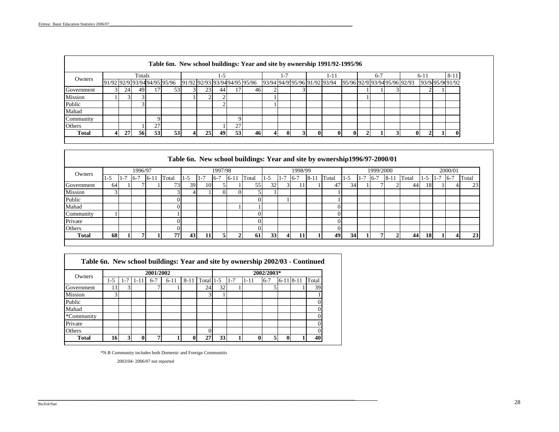|    |    |    |              |                              |                       | -5 |    |          |                                     |    |  | 1-11 |                              | $6-7$                                                                                      |  |                              |       | $8 - 11$        |
|----|----|----|--------------|------------------------------|-----------------------|----|----|----------|-------------------------------------|----|--|------|------------------------------|--------------------------------------------------------------------------------------------|--|------------------------------|-------|-----------------|
|    |    |    |              |                              |                       |    |    |          |                                     |    |  |      |                              |                                                                                            |  |                              |       |                 |
| 24 | 49 |    |              |                              | 23                    |    |    |          |                                     |    |  |      |                              |                                                                                            |  |                              |       |                 |
|    |    |    |              |                              |                       |    |    |          |                                     |    |  |      |                              |                                                                                            |  |                              |       |                 |
|    |    |    |              |                              |                       |    |    |          |                                     |    |  |      |                              |                                                                                            |  |                              |       |                 |
|    |    |    |              |                              |                       |    |    |          |                                     |    |  |      |                              |                                                                                            |  |                              |       |                 |
|    |    |    |              |                              |                       |    |    |          |                                     |    |  |      |                              |                                                                                            |  |                              |       |                 |
|    |    | דר |              |                              |                       |    | 27 |          |                                     |    |  |      |                              |                                                                                            |  |                              |       |                 |
| 27 |    | 53 |              |                              | 25                    |    |    | 46       |                                     |    |  |      |                              |                                                                                            |  |                              |       |                 |
|    |    |    | Totals<br>56 | 91/92 92/9393/94 94/95 95/96 | 53<br>53 <sup>1</sup> |    |    | 44<br>49 | 91/92 92/93 93/94 94/95 95/96<br>53 | 46 |  |      | 93/94 94/9195/96 91/92 93/94 | Table 6m. New school buildings: Year and site by ownership 1991/92-1995/96<br>$\mathbf{0}$ |  | 95/96 92/9393/94 95/96 92/93 | $6-1$ | 93/9495/9691/92 |

#### 1-5 1-7 6-7 6-11 Total 1-5 1-7 6-7 6-11 Total 1-5 1-7 6-7 8-11 Total 1-5 1-7 6-7 8-11 Total 1-5 1-7 6-7 TotalTotal Government | 64 1 1 7 1 1 73 39 10 5 1 1 55 32 3 11 1 47 34 1 7 2 44 18 1 4 23 Mission | 3 | | | 3 | 4 | 1 | 0 | 0 | 5 | 1 | | | | 1 Public | | | | 0| | | | | 0| | | | | | | |  $\mathbf{1}$ Mahad I I I I 0 1 1 1 1 1 1 1 1 1 0  $\n$  Community | 1 | | | | | | | | | | | | | | | | 0 | | | | | | | 0 Private | | | | | 0 | | | | 0 | | | | 0 Others | | | | | 0 | | | | 0 | | | | 0 Total | 68 | 1 | 7 | 1 | 77 | 43 | 11 | 5 | 2 | 61 | 33 | 4 | 11 | 1 | 49 | 34 | 1 | 7 | 2 | 44 | 18 | 1 | 4 | 23 1998/99 1999/2000 Owners1996/97 1997/98**Table 6n. New school buildings: Year and site by ownership1996/97-2000/01** 2000/01

| Table 6n. New school buildings: Year and site by ownership 2002/03 - Continued |     |         |          |           |        |             |           |                 |         |          |            |             |       |
|--------------------------------------------------------------------------------|-----|---------|----------|-----------|--------|-------------|-----------|-----------------|---------|----------|------------|-------------|-------|
| Owners                                                                         |     |         |          | 2001/2002 |        |             |           |                 |         |          | 2002/2003* |             |       |
|                                                                                | 1-5 | $1 - 7$ | $1 - 11$ | $6-7$     | $6-11$ | $8 - 11$    | Total 1-5 |                 | $1 - 7$ | $1 - 11$ | $6 - 7$    | $6-11$ 8-11 | Total |
| Government                                                                     | 13  |         |          |           |        |             | 24        | 32 <sub>1</sub> |         |          |            |             | 39    |
| Mission                                                                        | 3   |         |          |           |        |             |           |                 |         |          |            |             |       |
| Public                                                                         |     |         |          |           |        |             |           |                 |         |          |            |             |       |
| Mahad                                                                          |     |         |          |           |        |             |           |                 |         |          |            |             |       |
| *Community                                                                     |     |         |          |           |        |             |           |                 |         |          |            |             |       |
| Private                                                                        |     |         |          |           |        |             |           |                 |         |          |            |             |       |
| Others                                                                         |     |         |          |           |        |             |           |                 |         |          |            |             |       |
| Total                                                                          | 16  |         |          | 7         |        | $\mathbf 0$ | 27        | 33              |         |          |            |             | 40    |

\*N.B Community includes both Domestic and Foreign Communitis

2003/04- 2006/07 not reported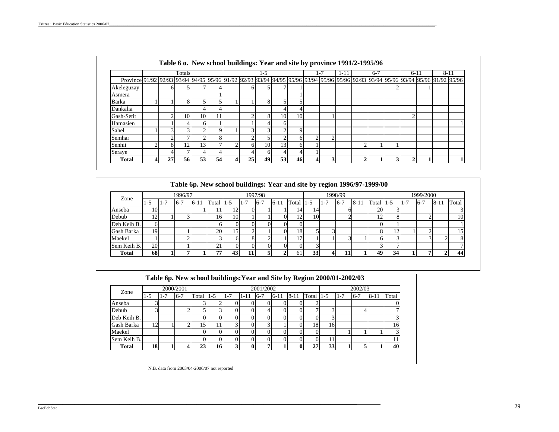|                                                                                                                                              |    | Totals       |            |    |    | 1-5 |            |    |   | $t - 7$        | 1-11 |   | $6 - 7$ |        | $6 - 11$ | $8 - 11$ |
|----------------------------------------------------------------------------------------------------------------------------------------------|----|--------------|------------|----|----|-----|------------|----|---|----------------|------|---|---------|--------|----------|----------|
| Province 91/92 92/93 93/94 94/95 93/94 95/96 93/94 94/95 95/96 93/94 94/95 95/96 93/94 95/96 95/96 92/93 93/94 95/96 93/94 95/96 91/92 95/96 |    |              |            |    |    |     |            |    |   |                |      |   |         |        |          |          |
| Akeleguzay                                                                                                                                   | h. | 5            |            |    |    | 5   |            |    |   |                |      |   |         |        |          |          |
| Asmera                                                                                                                                       |    |              |            |    |    |     |            |    |   |                |      |   |         |        |          |          |
| Barka                                                                                                                                        |    | 8            |            |    |    | 8   |            |    |   |                |      |   |         |        |          |          |
| Dankalia                                                                                                                                     |    |              |            |    |    |     |            |    |   |                |      |   |         |        |          |          |
| Gash-Setit                                                                                                                                   |    | 10           | 10         | 11 |    | 8   | 10         | 10 |   |                |      |   |         | $\sim$ |          |          |
| Hamasien                                                                                                                                     |    | 4            | h          |    |    |     | h          |    |   |                |      |   |         |        |          |          |
| Sahel                                                                                                                                        |    | 3            | $\epsilon$ |    |    | 2   | $\sqrt{2}$ |    |   |                |      |   |         |        |          |          |
| Semhar                                                                                                                                       |    | $\mathbf{r}$ |            | 8  |    |     | $\sim$     | n  | C | $\overline{ }$ |      |   |         |        |          |          |
| Senhit                                                                                                                                       |    | 12           | 13         |    | h  | 10  | 13         | n  |   |                |      | ◠ |         |        |          |          |
| Seraye                                                                                                                                       |    | $\mathbf{r}$ |            |    |    | 6   |            |    |   |                |      |   |         |        |          |          |
| <b>Total</b>                                                                                                                                 | 27 | 56           | 53         | 54 | 25 | 49  | 53         | 46 | 4 | ٦              |      | ↑ |         | ∍      |          |          |

| Zone         |       |         | 1996/97 |          |       |        |         | 1997/98 |        |       |       |          | 1998/99 |          |            |           |         | 1999/2000 |      |                 |
|--------------|-------|---------|---------|----------|-------|--------|---------|---------|--------|-------|-------|----------|---------|----------|------------|-----------|---------|-----------|------|-----------------|
|              | $1-5$ | $1 - 7$ | $16-7$  | $6 - 11$ | Total | $11-5$ | $1 - 7$ | $6 - 7$ | $6-11$ | Total | $1-5$ | $-1 - 7$ | $-6-7$  | $8 - 11$ | Total      | $11-5$    | $1 - 7$ | $6 - 7$   | $8-$ | Total           |
| Anseba       | 10    |         |         |          |       |        |         |         |        | 14    | 14    |          |         |          | 20         |           |         |           |      |                 |
| Debub        | 12    |         |         |          | 161   | 10     |         |         |        | 12    | 10    |          |         |          | ٠ŋ.<br>L 4 |           |         |           |      | 10              |
| Deb Keih B.  | h     |         |         |          |       |        |         |         |        |       |       |          |         |          |            |           |         |           |      |                 |
| Gash Barka   | 19    |         |         |          | 20    | 15     |         |         |        | 18    |       |          |         |          | 8          | $\bigcap$ |         |           |      | 15 <sup>°</sup> |
| Maekel       |       |         |         |          |       |        |         |         |        |       |       |          |         |          |            |           |         |           |      | 8               |
| Sem Keih B.  | 20    |         |         |          | n 1   |        |         |         |        |       |       |          |         |          |            |           |         |           |      |                 |
| <b>Total</b> | 68    |         |         |          | 77    | 43     | 11      |         | ↑      | 61    | 33    |          | 11      |          | 49         | 34        |         |           |      | 44              |

| Zone         |       |       | 2000/2001 |             |    |         |      | 2001/2002 |          |          |       |       |         | 2002/03 |          |       |
|--------------|-------|-------|-----------|-------------|----|---------|------|-----------|----------|----------|-------|-------|---------|---------|----------|-------|
|              | $1-5$ | $1 -$ | $6 - 7$   | Total $1-5$ |    | $1 - 7$ | 1-11 | $6 - 7$   | $6 - 11$ | $8 - 11$ | Total | $1-5$ | $1 - 7$ | $6 - 7$ | $8 - 11$ | Total |
| Anseba       |       |       |           |             |    |         |      |           |          |          |       |       |         |         |          |       |
| Debub        |       |       |           |             | 3  |         |      |           |          |          |       | ⌒     |         |         |          |       |
| Deb Keih B.  |       |       |           |             |    |         |      |           |          |          |       |       |         |         |          |       |
| Gash Barka   | 12    |       |           | 5           |    | κ       |      |           |          |          | 18    | 16    |         |         |          | 16    |
| Maekel       |       |       |           |             |    |         |      |           |          |          |       |       |         |         |          |       |
| Sem Keih B.  |       |       |           |             |    |         |      |           |          |          |       |       |         |         |          |       |
| <b>Total</b> | 18    |       | 4         | 23          | 16 | 3       |      | ,         |          | 0        | 27    | 33    |         | 5       |          | 40    |

N.B. data from 2003/04-2006/07 not reported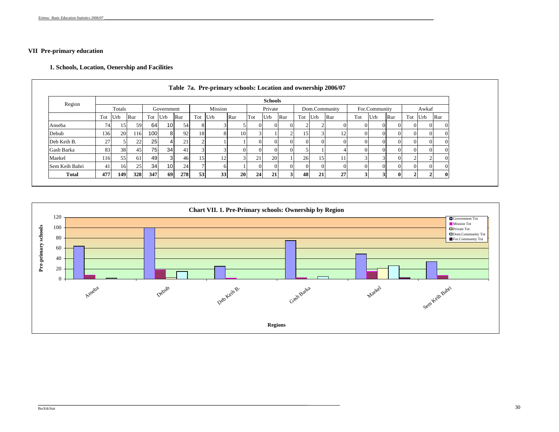#### **VII Pre-primary education**

#### **1. Schools, Location, Oenership and Facilities**

| Region         |       |        |     |         |                 |     |     |         |                |     | <b>Schools</b> |     |          |          |               |     |               |     |     |          |     |
|----------------|-------|--------|-----|---------|-----------------|-----|-----|---------|----------------|-----|----------------|-----|----------|----------|---------------|-----|---------------|-----|-----|----------|-----|
|                |       | Totals |     |         | Government      |     |     | Mission |                |     | Private        |     |          |          | Dom.Community |     | For.Community |     |     | Awkaf    |     |
|                | Tot   | Urb    | Rur | Tot Urb |                 | Rur | Tot | Urb     | Rur            | Tot | Urb            | Rur | Tot      | Urb      | Rur           | Tot | Urb           | Rur | Tot | Urb      | Rur |
| Anseba         | 74    | 15     | 59  | 64      | 10 <sup>1</sup> | 54  | 8   |         |                |     |                |     |          |          |               |     |               |     |     | $\Omega$ |     |
| Debub          | 136   | 20     | 116 | 100     | 8 <sup>1</sup>  | 92  | 18  |         | 10             |     |                |     | l 5      |          |               |     |               |     |     | $\Omega$ |     |
| Deb Keih B.    | 27    |        | 22  | 25      |                 | 21  |     |         |                |     |                |     | $\Omega$ | $\Omega$ |               |     |               |     |     | $\Omega$ |     |
| Gash Barka     | 83    | 38     | 45  | 75      | 34              | 41  |     |         |                |     |                |     |          |          |               |     |               |     |     |          |     |
| Maekel         | 116   | 55     | 61  | 49      | $\mathcal{R}$   | 46  | 15  |         | $\mathfrak{D}$ | 21  | 20             |     | 26       | 15       |               |     |               |     |     |          |     |
| Sem Keih Bahri | $-4i$ | 16     | 25  | 34      | 10 <sup>1</sup> | 24  |     |         |                |     |                |     | $\Omega$ |          |               |     |               |     |     |          |     |
| <b>Total</b>   | 477   | 149    | 328 | 347     | <b>69</b>       | 278 | 53  | 33      | <b>20</b>      | 24  | 21             |     | 48       | 21       | 27            |     |               |     |     |          |     |



 $-$  . The contribution of the contribution of the contribution of the contribution of the contribution of the contribution of the contribution of the contribution of the contribution of the contribution of the contributio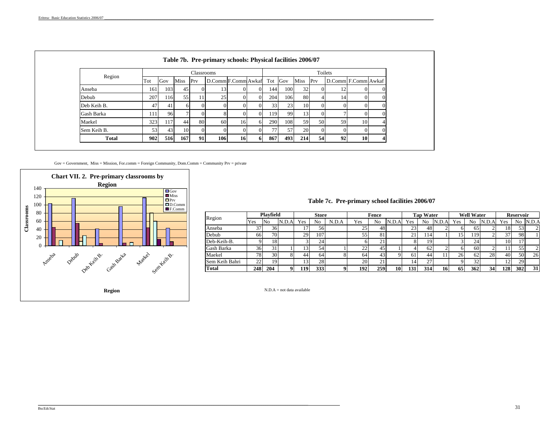|              |     |     |      | Classrooms |                     |    |          |            |         |                |          | Toilets             |                 |          |
|--------------|-----|-----|------|------------|---------------------|----|----------|------------|---------|----------------|----------|---------------------|-----------------|----------|
| Region       | Tot | Gov | Miss | Prv        | D.Comm F.Comm Awkaf |    |          |            | Tot Gov | Miss           | Prv      | D.Comm F.Comm Awkaf |                 |          |
| Anseba       | 161 | 103 | 45   |            | 13 <sub>1</sub>     |    | $\Omega$ | 144        | 100     | 32             |          | 12                  |                 |          |
| Debub        | 207 | 116 | 55   |            | 25                  | 0  | $\Omega$ | 204        | 106     | 80             |          | 14                  |                 |          |
| Deb Keih B.  | 47  | 41  | 6    |            |                     |    |          | 33         | 23      | 1 <sub>0</sub> |          |                     |                 |          |
| Gash Barka   | 111 | 96  | ⇁    |            |                     |    | $\Omega$ | 119        | 99      | 13             |          |                     |                 |          |
| Maekel       | 323 | 117 | 44   | 80         | 60                  | 16 | 6        | <b>290</b> | 108     | 59             | 50       | 59                  | 10 <sub>1</sub> |          |
| Sem Keih B.  | 53  | 43  | 10   | $\Omega$   | $\Omega$            | 0  | $\Omega$ | 771        | 57      | 20             | $\Omega$ |                     |                 | $\Omega$ |
| <b>Total</b> | 902 | 516 | 167  | 91         | 106                 | 16 | -61      | 867        | 493     | 214            | 54       | 92                  | 10              | 4        |

Gov = Government, Miss = Mission, For.comm = Foreign Community, Dom.Comm = Community Prv = private

 $-$  . The contribution of the contribution of the contribution of the contribution of the contribution of the contribution of the contribution of the contribution of the contribution of the contribution of the contributio



#### **Table 7c. Pre-primary school facilities 2006/07**

| Region         |     | Playfield |       |     | <b>Store</b> |       |     | Fence |       |     | <b>Tap Water</b> |       |                 | <b>Well Water</b> |       |        | <b>Reservoir</b> |                |
|----------------|-----|-----------|-------|-----|--------------|-------|-----|-------|-------|-----|------------------|-------|-----------------|-------------------|-------|--------|------------------|----------------|
|                | Yes | No        | N.D.A | Yes | No           | N.D.A | Yes | No    | N.D.A | Yes | No               | N.D.A | Yes             | No                | N.D.A | Yes    | No.              | N.D.A          |
| Anseba         | 37  | 36        |       |     | 56           |       | 25  | 48    |       | 23  | 48               |       |                 | 65                |       | 18     | 53               |                |
| Debub          | 66  | 70        |       | 29  | 107          |       | 55  | 81    |       | 21  | . 14             |       | 15              | 119               |       | 37     | 98               |                |
| Deb-Keih-B.    |     | 181       |       |     | 24           |       |     | 4     |       |     | 19               |       |                 | 24                |       | 10     |                  |                |
| Gash Barka     | 36  | 31        |       | 13  | 54           |       | 22  | 45    |       |     | 62               |       |                 | 60                |       |        | 55               | $\overline{2}$ |
| Maekel         | 78  | 30        |       | 44  | 64           |       | 64  | 43    |       | 61  | 44               |       | 26 <sub>1</sub> | 62                | 28    | 40     | 50               | 26             |
| Sem Keih Bahri | 22  | 19        |       | 13  | 28           |       | 20  | 21    |       | 14  | 27               |       |                 | 32                |       | $\sim$ | 29               |                |
| Total          | 248 | 204       |       | 119 | 333          |       | 192 | 259   | 10    | 131 | 314              | 16    | 65              | 362               | 34    | 1281   | 302              | 31             |

N.D.A = not data available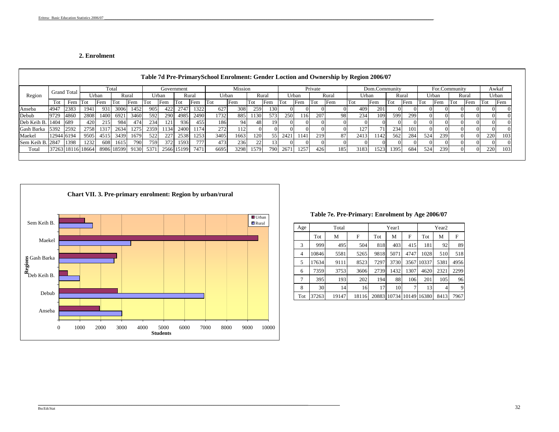#### **2. Enrolment**

|                  |            |                    |       |      |                                        |                  |      |       |            |       |        |                |      |       |      |       |         | Table 7d Pre-PrimarySchool Enrolment: Gender Loction and Ownership by Region 2006/07 |       |               |        |       |     |               |     |       |     |       |
|------------------|------------|--------------------|-------|------|----------------------------------------|------------------|------|-------|------------|-------|--------|----------------|------|-------|------|-------|---------|--------------------------------------------------------------------------------------|-------|---------------|--------|-------|-----|---------------|-----|-------|-----|-------|
|                  |            | <b>Grand Total</b> |       |      | Total                                  |                  |      |       | Government |       |        | <b>Mission</b> |      |       |      |       | Private |                                                                                      |       | Dom.Community |        |       |     | For.Community |     |       |     | Awkaf |
| Region           |            |                    | Urban |      |                                        | Rural            |      | Urban |            | Rural | Urban  |                |      | Rural |      | Urban |         | Rural                                                                                | Urban |               |        | Rural |     | Urban         |     | Rural |     | Urban |
|                  | Tot        | Fem Tot            |       | Fem  | Tot                                    | Fem              | Tot  | Fem   | Tot        | Fem   | l'I'ot | Fem            | -Tot | Fem   | Tot  | Fem   | Tot     | Fem                                                                                  | Tot   | Fem           | l'I`ot | Fem   | Tot | Fem           | Tot | Fem   | Tot | Fem   |
| Anseba           | 4947       | 2383               | 1941  | 931  | 3006                                   | 1452             | 905  | 422   | 2747       | 1322  | 627    | 308            | 259  | 1301  |      |       |         |                                                                                      | 409   | 201           |        |       |     |               |     |       |     |       |
| Debub            | 9729       | 4860               | 2808  | 1400 | 6921                                   | 3460             | 592  | 290   | 4985       | 2490  | 1732   | 885            | 1130 | 5731  | 250  | 116   | 207     | 98                                                                                   | 234   | 109           | 599    | 299   |     |               |     |       |     |       |
| Deb Keih B. 1404 |            | 689                | 420   | 215  | 984                                    | 474              | 234  | 121   | 936        | 455   | 186    | 941            | 48   | 19.   |      |       |         |                                                                                      |       |               |        |       |     |               |     |       |     |       |
| Gash Barka       | 5392       | 2592               | 2758  | 1317 | 2634                                   | 1275             | 2359 | 1134  | 2400       | 1174  | 272    | 1121           |      |       |      |       |         |                                                                                      |       | 71            | 234    | 101   |     |               |     |       |     |       |
| Maekel           | 12944 6194 |                    | 9505  | 4515 | 3439                                   | 1679             | 522  | 227   | 2538       | 1253  | 3405   | 1663           | 120  | 55    | 2421 | 1141  | 219     | 87                                                                                   | 2413  | 1142          | 562    | 284   | 524 | 239           |     |       | 220 | 103   |
| Sem Keih B. 2847 |            | 1398               | 1232  | 608  | 1615                                   | 790 <sup> </sup> | 759  | 372   | 1593       | 777   | 473    | 236            | 22   | 13    |      |       |         |                                                                                      |       |               |        |       |     |               |     |       |     |       |
| Total            |            |                    |       |      | 37263 18116 18664 8986 18599 9130 5371 |                  |      |       | 2566 15199 | 7471  | 6695   | 3298           | 1579 | 790   | 2671 | 1257  | 426     | 185                                                                                  | 3183  | 1523          | 1395   | 684   | 524 | 239           |     |       | 220 | 103   |
|                  |            |                    |       |      |                                        |                  |      |       |            |       |        |                |      |       |      |       |         |                                                                                      |       |               |        |       |     |               |     |       |     |       |



 $-$  . The contribution of the contribution of the contribution of the contribution of the contribution of the contribution of the contribution of the contribution of the contribution of the contribution of the contributio

#### **Table 7e. Pre-Primary: Enrolment by Age 2006/07**

| Age            |       | Total |       |       | Year1 |       |       | Year <sub>2</sub> |      |
|----------------|-------|-------|-------|-------|-------|-------|-------|-------------------|------|
|                | Tot   | М     | F     | Tot   | М     | F     | Tot   | М                 | F    |
| 3              | 999   | 495   | 504   | 818   | 403   | 415   | 181   | 92                | 89   |
| $\overline{4}$ | 10846 | 5581  | 5265  | 9818  | 5071  | 4747  | 1028  | 510               | 518  |
| 5              | 17634 | 9111  | 8523  | 7297  | 3730  | 3567  | 10337 | 5381              | 4956 |
| 6              | 7359  | 3753  | 3606  | 2739  | 1432  | 1307  | 4620  | 2321              | 2299 |
| 7              | 395   | 193   | 202   | 194   | 88    | 106   | 201   | 105               | 96   |
| 8              | 30    | 14    | 16    | 17    | 10    | 7     | 13    | 4                 | 9    |
| Tot            | 37263 | 19147 | 18116 | 20883 | 10734 | 10149 | 16380 | 8413              | 7967 |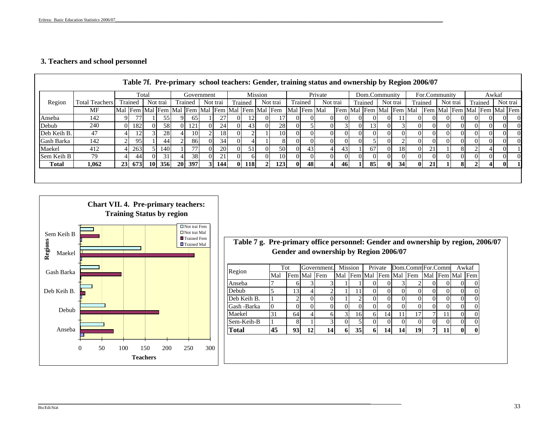## **3. Teachers and school personnel**

|             |                       |           |         |           |                 |    |            |                 |          |                                                 |          |                  |          |             | Table 7f. Pre-primary school teachers: Gender, training status and ownership by Region 2006/07 |          |     |               |          |                         |          |               |                             |     |         |              |          |
|-------------|-----------------------|-----------|---------|-----------|-----------------|----|------------|-----------------|----------|-------------------------------------------------|----------|------------------|----------|-------------|------------------------------------------------------------------------------------------------|----------|-----|---------------|----------|-------------------------|----------|---------------|-----------------------------|-----|---------|--------------|----------|
|             |                       |           |         | Total     |                 |    | Government |                 |          |                                                 | Mission  |                  |          |             | Private                                                                                        |          |     | Dom.Community |          |                         |          | For.Community |                             |     |         | Awkaf        |          |
| Region      | <b>Total Teachers</b> |           | Trained |           | Not trai        |    | Trained    | Not trai        |          | Trained                                         |          | Not trai         |          | Trained     | Not trai                                                                                       |          |     | Trained       |          | Not trai                | Trained  |               | Not trai                    |     | Trained |              | Not trai |
|             | MF                    |           |         |           |                 |    |            |                 |          | Mal Fem Mal Fem Mal Fem Mal Fem Mal Fem Mal Fem |          |                  |          | Mal Fem Mal |                                                                                                |          |     |               |          | Fem Mal Fem Mal Fem Mal |          |               | Fem Mal Fem Mal Fem Mal Fem |     |         |              |          |
| Anseba      | 142                   |           |         |           | 55.             |    | 65         | 27 <sub>1</sub> | $\Omega$ | 12                                              | $_{0}$   | 17               |          |             |                                                                                                |          | Ш   |               | $_{0}$   |                         | 01       |               |                             |     |         |              | OI.      |
| Debub       | 240                   |           | 0 182   | $\Omega$  | 58 <sup>I</sup> | ΩL | 121        | 24              | $\Omega$ | 43 <sup>l</sup>                                 | $\Omega$ | 28               | OI.      |             | 01                                                                                             |          | 01  | 31            | ΩL       |                         | ΩI       | $\Omega$      |                             | (1) | OI.     | $\Omega$     | ΩI       |
| Deb Keih B. | 47                    |           | 2       |           | 28              |    | 10         | 18              | $\Omega$ |                                                 |          | 10               | ΩI       |             | OI                                                                                             |          | Ш   | 01            | $\Omega$ | ΩL                      | ΩI       |               |                             |     | OI.     | $\Omega$     | ΩI       |
| Gash Barka  | 142                   |           | 95      |           | 44              |    | 86         | 34              | $\Omega$ |                                                 |          | 81               | $_{0}$   |             | ΟI                                                                                             |          | O I |               | $\Omega$ |                         | 01       |               |                             |     | OI.     | $\Omega$     | ΩI       |
| Maekel      | 412                   |           | 263     |           | 1401            |    | 77         | 20              | $\Omega$ | 51                                              | $\Omega$ | 50 <sup>-1</sup> | $\Omega$ | 43          | 4                                                                                              | 43       |     | 67            | $\Omega$ | 18                      | $\Omega$ | 21            | 8                           |     |         | $\Omega$     |          |
| Sem Keih B  | 79                    |           | 44      | $\Omega$  | 31 <sup>1</sup> |    | 38         | 21              | $\Omega$ | 61                                              |          | 10               |          |             | OI.                                                                                            | $\Omega$ |     |               | ΩL       | $_{0}$                  | ΩI       |               |                             |     |         |              | OI.      |
| Total       | 1,062                 | <b>23</b> | 673     | <b>10</b> | <b>356</b>      |    | 20 397     | 144             | 01       | <b>118</b>                                      |          | <b>1231</b>      | -01      | 48          | 41                                                                                             | 461      |     | 851           | 01       | 34 <sup>l</sup>         | $\bf{0}$ |               |                             |     |         | $\mathbf{0}$ |          |
|             |                       |           |         |           |                 |    |            |                 |          |                                                 |          |                  |          |             |                                                                                                |          |     |               |          |                         |          |               |                             |     |         |              |          |



**Gender and ownership by Region 2006/07 Table 7 g. Pre-primary office personnel: Gender and ownership by region, 2006/07**

| Region       | Tot            |         |                 | Government. |     | <b>Mission</b> |          | Private |    | Dom.CommFor.Comm |     |         |              | Awkaf    |
|--------------|----------------|---------|-----------------|-------------|-----|----------------|----------|---------|----|------------------|-----|---------|--------------|----------|
|              | Mal            | Fem Mal |                 | Fem         | Mal | Fem Mal        |          | Fem Mal |    | Fem              | Mal | Fem Mal |              | Fem      |
| Anseba       |                | O       | 3               |             |     |                |          |         |    |                  |     |         |              |          |
| Debub        | 5              | l 3     | 4               | 2           |     | 11             | 0        |         |    |                  |     | 0       | O            |          |
| Deb Keih B.  |                |         |                 |             |     |                |          |         |    |                  |     |         | 0            | $\Omega$ |
| Gash -Barka  | $\overline{0}$ |         |                 | O           | 0   | $\Omega$       | $\theta$ |         |    |                  |     |         | O            | $\Omega$ |
| Maekel       | 31             | 64      | $\overline{4}$  | 6           | 3   | 16             | h        | 14      |    | 17               | 7   |         |              |          |
| Sem-Keih-B   |                | 8       |                 | 3           | 0   | 5              |          |         |    |                  |     | 0       |              | $\Omega$ |
| <b>Total</b> | 45             | 93      | 12 <sub>l</sub> | 14          | 6   | 35             | 6        | 14      | 14 | 19               | 7   |         | $\mathbf{0}$ |          |
|              |                |         |                 |             |     |                |          |         |    |                  |     |         |              |          |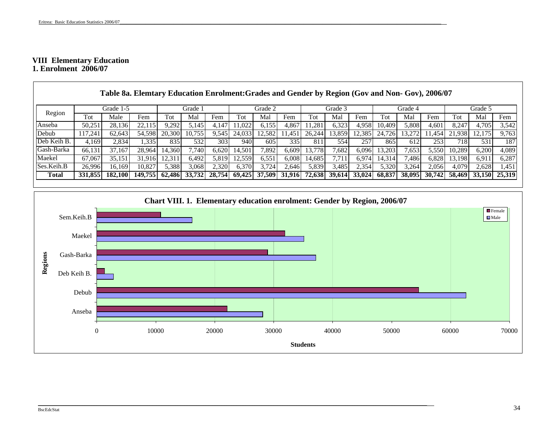#### **VIII Elementary Education 1. Enrolment 2006/07**

|             |         |           | Table 8a. Elemtary Education Enrolment: Grades and Gender by Region (Gov and Non- Gov), 2006/07 |        |               |                  |        |         |        |        |         |               |        |         |        |        |         |        |
|-------------|---------|-----------|-------------------------------------------------------------------------------------------------|--------|---------------|------------------|--------|---------|--------|--------|---------|---------------|--------|---------|--------|--------|---------|--------|
|             |         | Grade 1-5 |                                                                                                 |        | Grade 1       |                  |        | Grade 2 |        |        | Grade 3 |               |        | Grade 4 |        |        | Grade 5 |        |
| Region      | Tot     | Male      | Fem                                                                                             | Tot    | Mal           | Fem              | Tot    | Mal     | Fem    | Tot    | Mal     | Fem           | Tot    | Mal     | Fem    | Tot    | Mal     | Fem    |
| Anseba      | 50,251  | 28,136    | 22.115                                                                                          | 9.292  | 5.145         | 4.147            | 1.0221 | 6,155   | 4,867  | .281   | 6.323   | 4.958         | 10.409 | 5,808   | 4,601  | 8.247  | 4,705   | 3,542  |
| Debub       | 117.241 | 62.643    | 54.598                                                                                          | 20,300 | 10.755        | 9,545            | 24,033 | 12.582  | 1.451  | 26,244 | 13.859  | 12.385        | 24.726 | 13,272  | 1,454  | 21,938 | 12.175  | 9,763  |
| Deb Keih B. | 4.169   | 2.834     | 1.335                                                                                           | 835    | 532           | 303 <sub>l</sub> | 940    | 605     | 335    | 811    | 554     | 257           | 865    | 612     | 253    | 718I   | 531     | 187    |
| Gash-Barka  | 66.131  | 37.167    | 28.964                                                                                          | 14.360 | 7.740         | 6.620            | 14.501 | .892    | 6,609  | 13.778 | .682    | 6.096         | 13.203 | ,653    | 5.550  | 10,289 | 6,200   | 4,089  |
| Maekel      | 67,067  | 35.151    | 31.916                                                                                          | 12.311 | 6.492         | 5,819            | 12.559 | 6,551   | 6,008  | 14.685 |         | 6.974         | 14.314 | ,486    | 6,828  | 13.198 | 6.911   | 6,287  |
| Ses.Keih.B  | 26.996  | 16.169    | 10.827                                                                                          | 5.388  | 3,068         | 2,320            | 6,370  | 3,724   | 2,646  | 5,839  | 3.485   | 2,354         | 5,320  | 3,264   | 2,056  | 4.079  | 2.628   | 1,451  |
| Total       | 331,855 | 182,100   | 149,755                                                                                         |        | 62,486 33,732 | 28,754           | 69.425 | 37,509  | 31,916 | 72.638 |         | 39,614 33,024 | 68.837 | 38,095  | 30.742 | 58.469 | 33,150  | 25,319 |

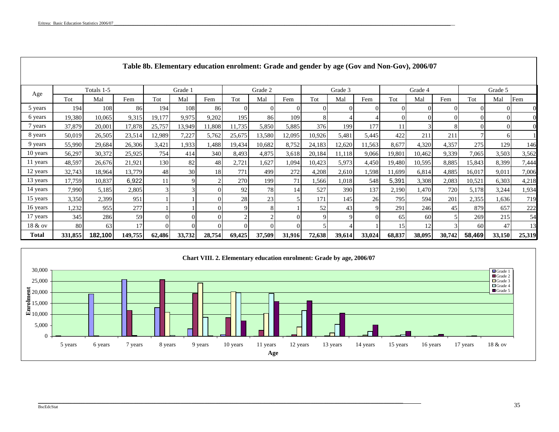|          |         |            |         |        |         |        |            |         |        |        |         | Table 8b. Elementary education enrolment: Grade and gender by age (Gov and Non-Gov), 2006/07 |        |                 |        |        |          |        |
|----------|---------|------------|---------|--------|---------|--------|------------|---------|--------|--------|---------|----------------------------------------------------------------------------------------------|--------|-----------------|--------|--------|----------|--------|
|          |         | Totals 1-5 |         |        | Grade 1 |        |            | Grade 2 |        |        | Grade 3 |                                                                                              |        | Grade 4         |        |        | Grade 5  |        |
| Age      | Tot     | Mal        | Fem     | Tot    | Mal     | Fem    | Tot        | Mal     | Fem    | Tot    | Mal     | Fem                                                                                          | Tot    | Mal             | Fem    | Tot    | Mal      | Fem    |
| 5 years  | 194     | 108        | 86      | 194    | 108     | 86     | $_{0}$     | $_{0}$  |        |        |         |                                                                                              |        | $\Omega$        |        |        |          |        |
| 6 years  | 19,380  | 10,065     | 9,315   | 19,177 | 9,975   | 9,202  | 195        | 86      | 109    |        |         |                                                                                              |        | $\Omega$        |        |        | ΩI       |        |
| 7 years  | 37,879  | 20,001     | 17,878  | 25,757 | 13,949  | 11,808 | 11,735     | 5,850   | 5,885  | 376    | 199     | 177                                                                                          |        |                 |        |        | $\Omega$ |        |
| 8 years  | 50,019  | 26,505     | 23,514  | 12,989 | 7,227   | 5,762  | 25,675     | 13,580  | 12,095 | 10,926 | 5,481   | 5,445                                                                                        | 422    | 211             | 211    |        | 61       |        |
| 9 years  | 55,990  | 29,684     | 26,306  | 3,421  | 1,933   | 1,488  | 19,434     | 10,682  | 8,752  | 24,183 | 12,620  | 11,563                                                                                       | 8,677  | 4,320           | 4,357  | 275    | 129      | 146    |
| 10 years | 56,297  | 30,372     | 25,925  | 754    | 414     | 340    | 8,493      | 4,875   | 3,618  | 20,184 | 11,118  | 9,066                                                                                        | 19,801 | 10,462          | 9,339  | 7,065  | 3,503    | 3,562  |
| 11 years | 48,597  | 26,676     | 21,921  | 130    | 82      | 48     | 2,721      | 1,627   | 1,094  | 10,423 | 5,973   | 4,450                                                                                        | 19,480 | 10,595          | 8,885  | 15,843 | 8,399    | 7,444  |
| 12 years | 32,743  | 18,964     | 13,779  | 48     | 30      | 18     | 771        | 4991    | 272    | 4,208  | 2,610   | 1,598                                                                                        | 11,699 | 6,814           | 4,885  | 16,017 | 9,011    | 7,006  |
| 13 years | 17,759  | 10,837     | 6,922   | 11     |         |        | <b>270</b> | 199     | 71     | 1,566  | 1,018   | 548                                                                                          | 5,391  | 3,308           | 2,083  | 10,521 | 6,303    | 4,218  |
| 14 years | 7,990   | 5,185      | 2,805   |        |         |        | 92         | 78      | 14     | 527    | 390     | 137                                                                                          | 2,190  | 1,470           | 720    | 5,178  | 3,244    | 1,934  |
| 15 years | 3,350   | 2,399      | 951     |        |         |        | 28         | 23      |        | 171    | 145     | 26                                                                                           | 795    | 594             | 201    | 2,355  | 1,636    | 719    |
| 16 years | 1,232   | 955        | 277     |        |         |        | 9          |         |        | 52     | 43      |                                                                                              | 291    | 246             | 45     | 879    | 657      | 222    |
| 17 years | 345     | 286        | 59      |        |         |        | 2          |         |        |        | 9       |                                                                                              | 65     | 60 <sup>1</sup> |        | 269    | 215      | 54     |
| 18 & ov  | 80      | 63         |         |        |         |        |            |         |        |        |         |                                                                                              | 15     | 12              |        | 60     | 47       | 13     |
| Total    | 331,855 | 182,100    | 149,755 | 62,486 | 33,732  | 28,754 | 69,425     | 37,509  | 31,916 | 72,638 | 39,614  | 33,024                                                                                       | 68,837 | 38,095          | 30,742 | 58,469 | 33,150   | 25,319 |



\_\_\_\_\_\_\_\_\_\_\_\_\_\_\_\_\_\_\_\_\_\_\_\_\_\_\_\_\_\_\_\_\_\_\_\_\_\_\_\_\_\_\_\_\_\_\_\_\_\_\_\_\_\_\_\_\_\_\_\_\_\_\_\_\_\_\_\_\_\_\_\_\_\_\_\_\_\_\_\_\_\_\_\_\_\_\_\_\_\_\_\_\_\_\_\_\_\_\_\_\_\_\_\_\_\_\_\_\_\_\_\_\_\_\_\_\_\_\_\_\_\_\_\_\_\_\_\_\_\_\_\_\_\_\_\_\_\_\_\_\_\_\_\_\_\_\_\_\_\_\_\_\_\_\_\_\_\_\_\_\_\_\_\_\_\_\_\_\_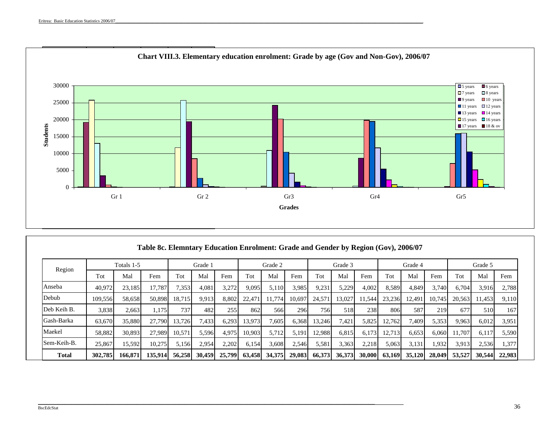

|              |         | Totals 1-5 |         |        | Grade 1 |        |        | Grade 2 |        |        | Grade 3          |        |        | Grade 4 |        |        | Grade 5 |        |
|--------------|---------|------------|---------|--------|---------|--------|--------|---------|--------|--------|------------------|--------|--------|---------|--------|--------|---------|--------|
| Region       | Tot     | Mal        | Fem     | Tot    | Mal     | Fem    | Tot    | Mal     | Fem    | Tot    | Mal              | Fem    | Tot    | Mal     | Fem    | Tot    | Mal     | Fem    |
| Anseba       | 40.972  | 23,185     | 17.787  | 7,353  | 4,081   | 3,272  | 9.095  | 5,110   | 3,985  | 9,231  | 5,229            | 4,002  | 8,589  | 4.849   | 3.740  | 6.704  | 3,916   | 2.788  |
| Debub        | 109.556 | 58.658     | 50.898  | 18.715 | 9.913   | 8.802  | 22.47  | 1.774   | 10.697 | 24.571 | 13.027           | 11.544 | 23.236 | 12.491  | 10.745 | 20,563 | 11.453  | 9,110  |
| Deb Keih B.  | 3,838   | 2.663      | 1.175   | 737    | 482     | 255    | 862    | 566     | 296    | 756I   | 518 <sup>1</sup> | 238    | 806    | 587     | 219    | 677    | 510     | 167    |
| Gash-Barka   | 63,670  | 35,880     | 27,790  | 13.726 | 7,433   | 6,293  | 13.973 | 7.605   | 6,368  | 13,246 | 7,421            | 5,825  | 12,762 | 7,409   | 5,353  | 9,963  | 6,012   | 3,951  |
| Maekel       | 58,882  | 30.893     | 27.989  | 10,571 | 5,596   | 4,975  | 10,903 | 5,712   | 5,191  | 12,988 | 6,815            | 6,173  | 12,713 | 6,653   | 6,060  | 11.707 | 6,117   | 5,590  |
| Sem-Keih-B.  | 25,867  | 15,592     | 10,275  | 5,156  | 2,954   | 2,202  | 6,154  | 3,608   | 2,546  | 5,581  | 3,363            | 2,218  | 5,063  | 3,131   | .932   | 3,913  | 2,536   | .377   |
| <b>Total</b> | 302,785 | 166,87     | 135,914 | 56,258 | 30.459  | 25,799 | 63.458 | 34.375  | 29,083 | 66,373 | 36,373           | 30,000 | 63,169 | 35,120  | 28,049 | 53,527 | 30,544  | 22,983 |

\_\_\_\_\_\_\_\_\_\_\_\_\_\_\_\_\_\_\_\_\_\_\_\_\_\_\_\_\_\_\_\_\_\_\_\_\_\_\_\_\_\_\_\_\_\_\_\_\_\_\_\_\_\_\_\_\_\_\_\_\_\_\_\_\_\_\_\_\_\_\_\_\_\_\_\_\_\_\_\_\_\_\_\_\_\_\_\_\_\_\_\_\_\_\_\_\_\_\_\_\_\_\_\_\_\_\_\_\_\_\_\_\_\_\_\_\_\_\_\_\_\_\_\_\_\_\_\_\_\_\_\_\_\_\_\_\_\_\_\_\_\_\_\_\_\_\_\_\_\_\_\_\_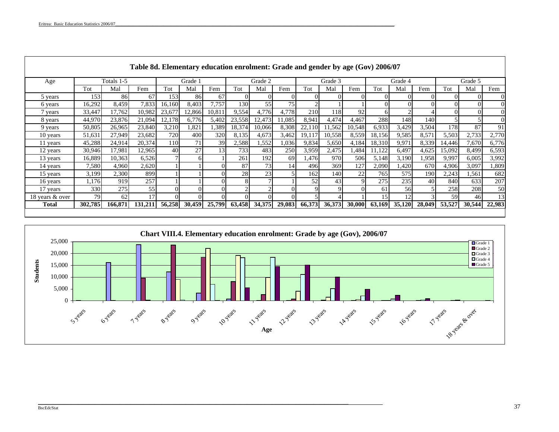Г

|                 |         |            | Table 8d. Elementary education enrolment: Grade and gender by age (Gov) 2006/07 |        |         |          |               |          |        |        |         |             |        |         |        |        |          |          |
|-----------------|---------|------------|---------------------------------------------------------------------------------|--------|---------|----------|---------------|----------|--------|--------|---------|-------------|--------|---------|--------|--------|----------|----------|
| Age             |         | Totals 1-5 |                                                                                 |        | Grade 1 |          |               | Grade 2  |        |        | Grade 3 |             |        | Grade 4 |        |        | Grade 5  |          |
|                 | Tot     | Mal        | Fem                                                                             | Tot    | Mal     | Fem      | Tot           | Mal      | Fem    | Tot    | Mal     | Fem         | Tot    | Mal     | Fem    | Tot    | Mal      | Fem      |
| 5 years         | 153     | 86         | 67                                                                              | 153    | 86      | 67       | $\Omega$      |          |        |        |         |             |        |         |        |        |          | $\Omega$ |
| 6 years         | 16,292  | 8,459      | 7,833                                                                           | 16,160 | 8,403   | 7,757    | 130           | 55       | 75     |        |         |             |        |         |        |        | $\Omega$ | $\Omega$ |
| 7 years         | 33,447  | 17.762     | 10.982                                                                          | 23,67  | 12,866  | 10.811   | 9,554         | 4,776    | 4.778  | 210    | 118     | 92          | 61     |         |        |        | $\Omega$ | $\Omega$ |
| 8 years         | 44,970  | 23,876     | 21,094                                                                          | 12,178 | 6,776   | 5,402    | 23,558        | 12,473   | 11,085 | 8,941  | 4,474   | 4,467       | 288    | 148     | 140    |        |          | $\Omega$ |
| 9 years         | 50,805  | 26,965     | 23,840                                                                          | 3,210  | 1,821   | 1,389    | 18,374        | 10,066   | 8,308  | 22,110 | 11,562  | 10,548      | 6,933  | 3,429   | 3,504  | 178    | 87       | 91       |
| 10 years        | 51,631  | 27,949     | 23,682                                                                          | 720    | 400     | 320      | 8,135         | 4,673    | 3,462  | 19,117 | 10,558  | 8,559       | 18,156 | 9,585   | 8,571  | 5,503  | 2,733    | 2,770    |
| 11 years        | 45,288  | 24,914     | 20,374                                                                          | 110    | 71.     | 39       | 2,588         | .552     | 0.036  | 9,834  | 5,650   | 4,184       | 18,310 | 9,971   | 8,339  | 14,446 | 7,670    | 6,776    |
| 12 years        | 30,946  | 17,981     | 12,965                                                                          | 40     | 27      | 13       | 733           | 483      | 250    | 3,959  | 2,475   | 1,484       | 1,122  | 6,497   | 4,625  | 15,092 | 8,499    | 6,593    |
| 13 years        | 16,889  | 10,363     | 6,526                                                                           |        |         |          | 261           | 192      | 69     | 1,476  | 970     | 506         | 5,148  | 3,190   | 1,958  | 9,997  | 6,005    | 3,992    |
| 14 years        | 7.580   | 4.960      | 2,620                                                                           |        |         | $\Omega$ | 87            | 73       | 14     | 496    | 369     | 127         | 2,090  | ,420    | 670    | 4,906  | 3,097    | .809     |
| 15 years        | 3,199   | 2,300      | 899                                                                             |        |         | $\Omega$ | 28            | 23       |        | 162    | 140     | 22          | 765    | 575     | 190    | 2,243  | .561     | 682      |
| 16 years        | 1,176   | 919        | 257                                                                             |        |         | $\Omega$ | 8             |          |        | 52     | 43      | $\mathbf Q$ | 275    | 235     | 40     | 840    | 633      | 207      |
| 17 years        | 330     | 275        | 55                                                                              |        |         | $\Omega$ | $\mathcal{D}$ |          |        | Q      | Q       | $\Omega$    | 61     | 56      |        | 258    | 208      | 50       |
| 18 years & over | 79      | 62         | 17                                                                              |        |         | $\Omega$ |               | $\Omega$ |        |        |         |             | 15     | 12      |        | 59     | 46       | 13       |
| Total           | 302,785 | 166,871    | 131,211                                                                         | 56,258 | 30,459  | 25,799   | 63,458        | 34,375   | 29,083 | 66,373 | 36,373  | 30,000      | 63,169 | 35,120  | 28,049 | 53,527 | 30,544   | 22,983   |
|                 |         |            |                                                                                 |        |         |          |               |          |        |        |         |             |        |         |        |        |          |          |



\_\_\_\_\_\_\_\_\_\_\_\_\_\_\_\_\_\_\_\_\_\_\_\_\_\_\_\_\_\_\_\_\_\_\_\_\_\_\_\_\_\_\_\_\_\_\_\_\_\_\_\_\_\_\_\_\_\_\_\_\_\_\_\_\_\_\_\_\_\_\_\_\_\_\_\_\_\_\_\_\_\_\_\_\_\_\_\_\_\_\_\_\_\_\_\_\_\_\_\_\_\_\_\_\_\_\_\_\_\_\_\_\_\_\_\_\_\_\_\_\_\_\_\_\_\_\_\_\_\_\_\_\_\_\_\_\_\_\_\_\_

|                 | Chart VIII.4. Elementary education enrolment: Grade by age (Gov), 2006/07                                                                                                                                                       |                                                                          |
|-----------------|---------------------------------------------------------------------------------------------------------------------------------------------------------------------------------------------------------------------------------|--------------------------------------------------------------------------|
| <b>Students</b> | 25,000<br>20,000<br>15,000<br>10,000<br>5,000                                                                                                                                                                                   | $\Box$ Grade 1<br>Grade 2<br>$\Box$ Grade 3<br>$\Box$ Grade 4<br>Grade 5 |
|                 | Byleats<br>~ years<br>Processes and<br><b>11 years</b><br><b>2-years</b><br>LAYEARS<br><b>4</b> eats<br>10 years<br><b>13 years</b><br><b>15 years</b><br>5 years<br><b>4</b> eats<br><b>16 years</b><br>LB Yours & Over<br>Age |                                                                          |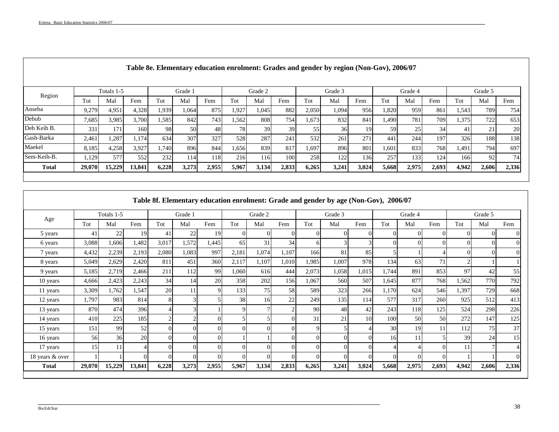Г

|              |        |                  |        |       |         |       |       |                  |                 |       | Table 8e. Elementary education enrolment: Grades and gender by region (Non-Gov), 2006/07 |       |       |         |       |       |                 |       |
|--------------|--------|------------------|--------|-------|---------|-------|-------|------------------|-----------------|-------|------------------------------------------------------------------------------------------|-------|-------|---------|-------|-------|-----------------|-------|
|              |        | Totals 1-5       |        |       | Grade 1 |       |       | Grade 2          |                 |       | Grade 3                                                                                  |       |       | Grade 4 |       |       | Grade 5         |       |
| Region       | Tot    | Mal              | Fem    | Tot   | Mal     | Fem   | Tot   | Mal              | Fem             | Tot   | Mal                                                                                      | Fem   | Tot   | Mal     | Fem   | Tot   | Mal             | Fem   |
| Anseba       | 9,279  | 4,951            | 4,328  | 1,939 | 1,064   | 875   | 1,927 | 1,045            | 882             | 2,050 | 1,094                                                                                    | 956   | 1,820 | 959     | 861   | 1,543 | 789             | 754   |
| Debub        | 7,685  | 3,985            | 3,700  | 1,585 | 842     | 743   | 1,562 | 808              | 754             | 1,673 | 832                                                                                      | 841   | 1,490 | 781     | 709   | 1,375 | 722             | 653   |
| Deb Keih B.  | 331    | 171 <sub>1</sub> | 160    | 98    | 50      | 48    | 78    | 39               | 39              | 55    | 36                                                                                       | 191   | 59    | 25      | 34    | 41    | 21              | 20    |
| Gash-Barka   | 2,461  | 1,287            | 1.174  | 634   | 307     | 327   | 528   | 287              | 24 <sup>1</sup> | 532   | 261                                                                                      | 271   | 441   | 244     | 197   | 326   | 188             | 138   |
| Maekel       | 8,185  | 4,258            | 3,927  | 1,740 | 896     | 844   | 1,656 | 839              | 817             | 1,697 | 896                                                                                      | 801   | 1,601 | 833     | 768   | 1,491 | 794             | 697   |
| Sem-Keih-B.  | 1,129  | 577              | 552    | 232   | 114     | 118   | 216   | 116 <sup> </sup> | 100             | 258   | 122                                                                                      | 136   | 257   | 133     | 124   | 166   | 92 <sub>1</sub> | 74    |
| <b>Total</b> | 29,070 | 15,229           | 13,841 | 6,228 | 3,273   | 2,955 | 5,967 | 3,134            | 2,833           | 6,265 | 3,241                                                                                    | 3,024 | 5,668 | 2,975   | 2,693 | 4,942 | 2,606           | 2,336 |

|                 |        |            |        |       |         |       |             |         |                |          | Table 8f. Elementary education enrolment: Grade and gender by age (Non-Gov), 2006/07 |          |          |         |          |       |         |          |
|-----------------|--------|------------|--------|-------|---------|-------|-------------|---------|----------------|----------|--------------------------------------------------------------------------------------|----------|----------|---------|----------|-------|---------|----------|
|                 |        | Totals 1-5 |        |       | Grade 1 |       |             | Grade 2 |                |          | Grade 3                                                                              |          |          | Grade 4 |          |       | Grade 5 |          |
| Age             | Tot    | Mal        | Fem    | Tot   | Mal     | Fem   | Tot         | Mal     | Fem            | Tot      | Mal                                                                                  | Fem      | Tot      | Mal     | Fem      | Tot   | Mal     | Fem      |
| 5 years         | 41     | 22         | 19     | 41    | 22      | 19    | $\Omega$    |         | $\Omega$       |          | $_{0}$                                                                               | $\Omega$ | $\Omega$ |         | $\Omega$ |       |         |          |
| 6 years         | 3,088  | 1,606      | 1,482  | 3,017 | 1,572   | 1,445 | 65          | 31      | 34             | h        |                                                                                      |          | 01       |         | $\Omega$ |       |         | $\Omega$ |
| 7 years         | 4,432  | 2,239      | 2,193  | 2,080 | 1,083   | 997   | 2,181       | 1,074   | 1,107          | 166      | 81                                                                                   | 85       |          |         |          |       | ΩI      | $\Omega$ |
| 8 years         | 5,049  | 2,629      | 2,420  | 811   | 451     | 360   | 2,117       | 1,107   | 1,010          | 1,985    | 1,007                                                                                | 978      | 134      | 63      | 71       |       |         |          |
| 9 years         | 5,185  | 2,719      | 2,466  | 211   | 112     | 99    | 1,060       | 616     | 444            | 2,073    | 1,058                                                                                | 1,015    | 1,744    | 891     | 853      | 97    | 42      | 55       |
| 10 years        | 4,666  | 2,423      | 2,243  | 34    | 14      | 20    | 358         | 202     | 156            | 1,067    | 560                                                                                  | 507      | 1,645    | 877     | 768      | 1,562 | 770     | 792      |
| 11 years        | 3,309  | 1,762      | 1,547  | 20    | 11      | 9     | 133         | 75      | 58             | 589      | 323                                                                                  | 266      | 1,170    | 624     | 546      | 1,397 | 729     | 668      |
| 12 years        | 1,797  | 983        | 814    | 81    |         |       | 38          | 16      | 22             | 249      | 135                                                                                  | 114      | 577      | 317     | 260      | 925   | 512     | 413      |
| 13 years        | 870    | 474        | 396    |       |         |       | $\mathbf Q$ |         | $\mathfrak{D}$ | 90       | 48                                                                                   | 42       | 243      | 118     | 125      | 524   | 298     | 226      |
| 14 years        | 410    | 225        | 185    |       |         |       |             |         | $\Omega$       | 31       | 21                                                                                   | 10       | 100      | 50      | 50       | 272   | 147     | 125      |
| 15 years        | 151    | 99         | 52     | ΩI    |         |       | $\Omega$    |         | $\Omega$       | $\Omega$ |                                                                                      |          | 30       | 19      | 11       | 112   | 75      | 37       |
| 16 years        | 56     | 36         | 20     | 01    |         |       |             |         | $\Omega$       |          |                                                                                      |          | 16       |         |          | 39    | 24      | 15       |
| 17 years        | 15     | 11         |        |       |         |       | $\Omega$    |         | $\Omega$       |          |                                                                                      |          |          |         |          | 11    |         |          |
| 18 years & over |        |            |        |       |         |       | $\Omega$    |         | $\Omega$       |          |                                                                                      | $\Omega$ | $\Omega$ |         | $\Omega$ |       |         | $\Omega$ |
| <b>Total</b>    | 29,070 | 15,229     | 13,841 | 6,228 | 3,273   | 2,955 | 5,967       | 3,134   | 2,833          | 6,265    | 3,241                                                                                | 3,024    | 5,668    | 2,975   | 2,693    | 4,942 | 2,606   | 2,336    |
|                 |        |            |        |       |         |       |             |         |                |          |                                                                                      |          |          |         |          |       |         |          |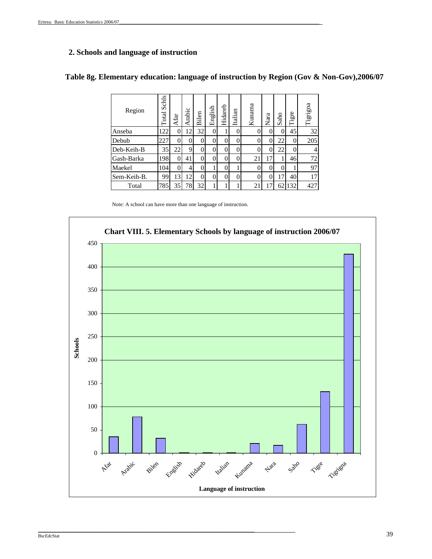## **2. Schools and language of instruction**

| Region      | Schls<br>Total | Afar | Arabic         | Bilen | English  | Hidareb  | Italian | Kunama | Nara | aho<br>S        | gre<br>辷 | Tigrigna |
|-------------|----------------|------|----------------|-------|----------|----------|---------|--------|------|-----------------|----------|----------|
| Anseba      | 22             |      | $\overline{2}$ | 32    | $\Omega$ |          | 0       |        | 0    |                 | 45       | 32       |
| Debub       | 227            |      |                |       | 0        | 0        | 0       |        | 0    | 22              | 0        | 205      |
| Deb-Keih-B  | 35             | 22   | 9              |       | 0        | 0        | 0       |        | 0    | 22              | $\theta$ |          |
| Gash-Barka  | 198            |      | 41             | 0     | 0        | 0        | 0       | 21     | 17   |                 | 46       | 72       |
| Maekel      | 104            |      |                |       |          |          |         |        | 0    |                 |          | 97       |
| Sem-Keih-B. | 99             | 13   | 12             |       | 0        | $\theta$ | 0       |        | 0    | $\overline{17}$ | 40       | 17       |
| Total       | 785            | 35   | 78             | 32    |          |          |         | 21     |      | 62              | 132      | 427      |

## **Table 8g. Elementary education: language of instruction by Region (Gov & Non-Gov),2006/07**

Note: A school can have more than one language of instruction.

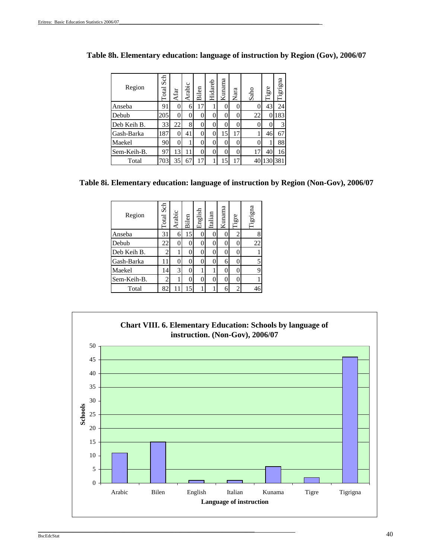| Region      | Sch<br>Total | Afar | Arabic | Bilen    | Hidareb | Kunama           | Nara | Saho | Tigre | Tigrigna |
|-------------|--------------|------|--------|----------|---------|------------------|------|------|-------|----------|
| Anseba      | 91           | 0    | 6      | 17       |         | 0                | 0    |      | 43    | 24       |
| Debub       | 205          | 0    | 0      | 0        | 0       | 0                | 0    | 22   | 0     | 183      |
| Deb Keih B. | 33           | 22   | 8      | 0        | 0       | $\left( \right)$ | 0    |      | 0     | 3        |
| Gash-Barka  | 187          | 0    | 41     | $\Omega$ | 0       | 15               | 17   |      | 46    | 67       |
| Maekel      | 90           | 0    | 1      | 0        | 0       | $\left( \right)$ | 0    |      | 1     | 88       |
| Sem-Keih-B. | 97           | 13   | 11     | $\theta$ | 0       | 0                | 0    |      | 40    | 16       |
| Total       | 703          | 35   | 67     | 17       |         | 15               | 17   | 40   |       | 381      |

| Table 8h. Elementary education: language of instruction by Region (Gov), 2006/07 |  |  |
|----------------------------------------------------------------------------------|--|--|
|----------------------------------------------------------------------------------|--|--|

**Table 8i. Elementary education: language of instruction by Region (Non-Gov), 2006/07**

| Region      | Total Sch      | Arabic | Bilen | English | Italian  | Kunama   | Tigre          | Tigrigna |
|-------------|----------------|--------|-------|---------|----------|----------|----------------|----------|
| Anseba      | 31             | 6      | 15    |         |          | 0        | $\overline{2}$ | 8        |
| Debub       | 22             | 0      |       | 0       |          | $\Omega$ | 0              | 22       |
| Deb Keih B. | $\overline{c}$ |        |       |         |          | $\Omega$ | 0              |          |
| Gash-Barka  | 11             | 0      |       | 0       |          | 6        | 0              | 5        |
| Maekel      | 14             | 3      |       |         |          | 0        | 0              | 9        |
| Sem-Keih-B. | 2              |        |       |         | $\theta$ | 0        | 0              |          |
| Total       | 82             |        | 15    |         |          | 6        | $\overline{c}$ | 46       |

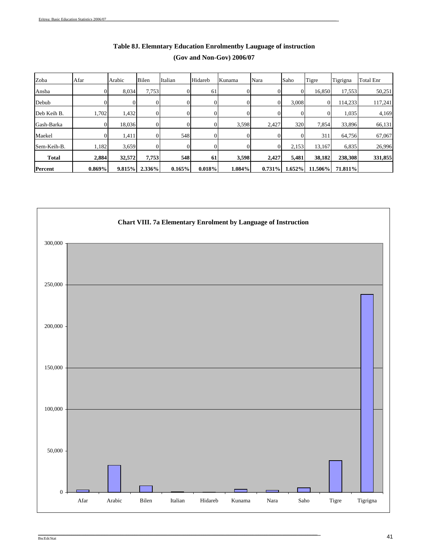| Zoba           | Afar      | Arabic | Bilen  | Italian | Hidareb | Kunama    | Nara      | Saho   | Tigre   | Tigrigna | <b>Total Enr</b> |
|----------------|-----------|--------|--------|---------|---------|-----------|-----------|--------|---------|----------|------------------|
| Ansba          |           | 8,034  | 7,753  |         | 61      |           | ΩI        |        | 16,850  | 17,553   | 50,251           |
| Debub          |           |        |        |         |         |           | $\Omega$  | 3,008  |         | 114,233  | 117,241          |
| Deb Keih B.    | 1,702     | 1,432  |        |         |         |           |           |        |         | 1,035    | 4,169            |
| Gash-Barka     |           | 18,036 |        |         |         | 3,598     | 2,427     | 320    | 7,854   | 33,896   | 66,131           |
| Maekel         |           | 1,411  |        | 548     |         |           |           |        | 311     | 64,756   | 67,067           |
| Sem-Keih-B.    | 1,182     | 3,659  |        |         |         |           |           | 2,153  | 13,167  | 6,835    | 26,996           |
| <b>Total</b>   | 2,884     | 32,572 | 7,753  | 548     | 61      | 3,598     | 2,427     | 5,481  | 38,182  | 238,308  | 331,855          |
| <b>Percent</b> | $0.869\%$ | 9.815% | 2.336% | 0.165%  | 0.018%  | $1.084\%$ | $0.731\%$ | 1.652% | 11.506% | 71.811%  |                  |

# **Table 8J. Elemntary Education Enrolmentby Lauguage of instruction (Gov and Non-Gov) 2006/07**



 $\mathcal{L}_\mathcal{L} = \mathcal{L}_\mathcal{L} = \mathcal{L}_\mathcal{L} = \mathcal{L}_\mathcal{L} = \mathcal{L}_\mathcal{L} = \mathcal{L}_\mathcal{L} = \mathcal{L}_\mathcal{L} = \mathcal{L}_\mathcal{L} = \mathcal{L}_\mathcal{L} = \mathcal{L}_\mathcal{L} = \mathcal{L}_\mathcal{L} = \mathcal{L}_\mathcal{L} = \mathcal{L}_\mathcal{L} = \mathcal{L}_\mathcal{L} = \mathcal{L}_\mathcal{L} = \mathcal{L}_\mathcal{L} = \mathcal{L}_\mathcal{L}$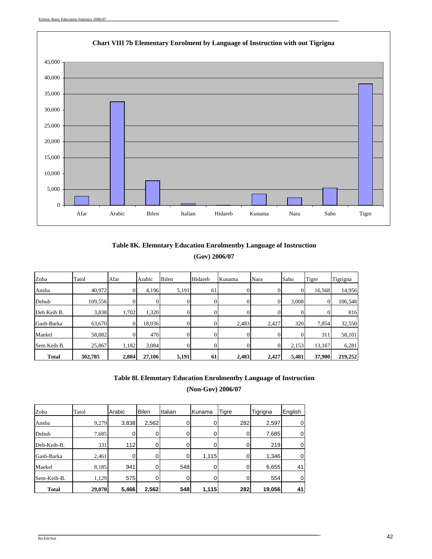

## **Table 8K. Elemntary Education Enrolmentby Language of Instruction (Gov) 2006/07**

| Zoba         | Tatol   | Afar  | Arabic | Bilen | Hidareb | Kunama | Nara  | Saho  | Tigre  | Tigrigna |
|--------------|---------|-------|--------|-------|---------|--------|-------|-------|--------|----------|
| Ansba        | 40,972  |       | 4,196  | 5,191 | 61      |        |       | 0     | 16,568 | 14,956   |
| Debub        | 109,556 |       | 0      | ΩI    | OI      |        |       | 3,008 |        | 106,548  |
| Deb Keih B.  | 3,838   | 1,702 | 1,320  | ΩI    | OI      |        |       |       |        | 816      |
| Gash-Barka   | 63,670  |       | 18,036 | ΩI    | υı      | 2,483  | 2,427 | 320   | 7,854  | 32,550   |
| Maekel       | 58,882  |       | 470    | Ω.    | OI      |        |       |       | 311    | 58,101   |
| Sem Keih B.  | 25,867  | 1,182 | 3,084  |       | 0       |        |       | 2,153 | 13,167 | 6,281    |
| <b>Total</b> | 302,785 | 2,884 | 27,106 | 5,191 | 61      | 2,483  | 2,427 | 5,481 | 37,900 | 219,252  |

## **Table 8l. Elemntary Education Enrolmentby Language of Instruction**

**(Non-Gov) 2006/07**

| Zoba         | Tatol  | Arabic         | <b>Bilen</b> | Italian | Kunama | <b>Tigre</b> | Tigrigna | English |
|--------------|--------|----------------|--------------|---------|--------|--------------|----------|---------|
| Ansba        | 9,279  | 3,838          | 2,562        |         | U      | 282          | 2,597    | 0       |
| Debub        | 7,685  | $\overline{0}$ | 0            |         |        | 0            | 7,685    | 0       |
| Deb-Keih-B.  | 331    | 112            | 0            |         |        |              | 219      | 0       |
| Gash-Barka   | 2,461  | 0              | 0            |         | 1,115  | 0            | 1,346    | 0       |
| Maekel       | 8.185  | 941            |              | 548     |        |              | 6,655    | 41      |
| Sem-Keih-B.  | 1,129  | 575            | 0            |         |        |              | 554      | 0       |
| <b>Total</b> | 29,070 | 5,466          | 2,562        | 548     | 1,115  | 282          | 19,056   | 41      |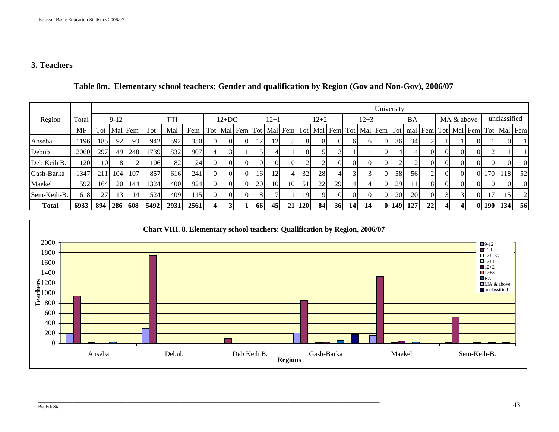## **3. Teachers**

|              |       |      |        |         |                   |      |      |      |          |          |     |                     |    |            |             |    |                |           | University |            |     |                                                     |                |            |                |                  |              |                |
|--------------|-------|------|--------|---------|-------------------|------|------|------|----------|----------|-----|---------------------|----|------------|-------------|----|----------------|-----------|------------|------------|-----|-----------------------------------------------------|----------------|------------|----------------|------------------|--------------|----------------|
| Region       | Total |      | $9-12$ |         |                   | TTI  |      |      | $12+DC$  |          |     | $12+1$              |    |            | $12 + 2$    |    |                | $12 + 3$  |            |            | BA  |                                                     |                | MA & above |                |                  | unclassified |                |
|              | MF    | Tot  |        | Mal Fem | Tot               | Mal  | Fem  | Totl |          |          |     | Mal Fem Tot Mal Fem |    |            | Tot Mal Fem |    |                |           |            |            |     | Tot   Mal   Fem   Tot   mal   Fem   Tot   Mal   Fem |                |            |                |                  |              | Tot Mal Fem    |
| Anseba       | 196   | 185' | 92     | 93      | 942               | 592  | 350  | 0I   | ΩI       | $\Omega$ |     | 121                 |    | 8          | 8           |    | ΩI             |           |            | 36         | 34  |                                                     |                |            | $\Omega$       |                  |              |                |
| Debub        | 2060  | 297  | 49     | 248     | 739               | 832  | 907  |      |          |          |     |                     |    | 8          |             |    |                |           |            |            |     | $\Omega$                                            | $\Omega$       | $\Omega$   | $\Omega$       |                  |              |                |
| Deb Keih B.  | 120   | 10   | 81     |         | 106 <sup>-1</sup> | 82   | 24   | 0I   | $\Omega$ | $\Omega$ | ΩI  | $\Omega$            |    |            | $\bigcap$   |    | $\overline{0}$ |           |            | ◠          |     | $\overline{0}$                                      | $\Omega$       |            | $\Omega$       | ΩI               |              | $\overline{0}$ |
| Gash-Barka   | 1347  | 211  | 104    | 107     | 857               | 616  | 241  | ΟI   | $\Omega$ | $\Omega$ | 16  | 12                  |    | 32         | 28          |    |                |           |            | 58         | 56  |                                                     | $\Omega$       |            | $\Omega$       | 170              | 118          | 52             |
| Maekel       | 1592  | 164  | 20     | 144     | 1324              | 400  | 924  | 0I   | $\Omega$ | $\Omega$ | 20  | 10                  | 10 | 51         | 22          | 29 | 4 <sup>1</sup> |           |            | 29         | 11  | 18                                                  | $\overline{0}$ | $\Omega$   | $\Omega$       | $\Omega$         | ΩI           | $\Omega$       |
| Sem-Keih-B.  | 618   | 27   | 13     | 14      | 524               | 409  | 15   | ΟI   | $\Omega$ | $\Omega$ | 81  |                     |    | 19         | 19          |    | $\Omega$       |           |            | 20         | 20  | $\overline{0}$                                      |                |            | $\overline{0}$ | 17               | 15           |                |
| <b>Total</b> | 6933  | 894  | 286    | 608     | 5492              | 2931 | 2561 | 41   |          |          | -66 | 45                  | 21 | <b>120</b> | <b>84</b>   | 36 | 14             | <b>14</b> | 01         | <b>149</b> | 127 | 22                                                  | 41             |            |                | 0 <sub>190</sub> | 134          | 56             |

## **Table 8m. Elementary school teachers: Gender and qualification by Region (Gov and Non-Gov), 2006/07**



\_\_\_\_\_\_\_\_\_\_\_\_\_\_\_\_\_\_\_\_\_\_\_\_\_\_\_\_\_\_\_\_\_\_\_\_\_\_\_\_\_\_\_\_\_\_\_\_\_\_\_\_\_\_\_\_\_\_\_\_\_\_\_\_\_\_\_\_\_\_\_\_\_\_\_\_\_\_\_\_\_\_\_\_\_\_\_\_\_\_\_\_\_\_\_\_\_\_\_\_\_\_\_\_\_\_\_\_\_\_\_\_\_\_\_\_\_\_\_\_\_\_\_\_\_\_\_\_\_\_\_\_\_\_\_\_\_\_\_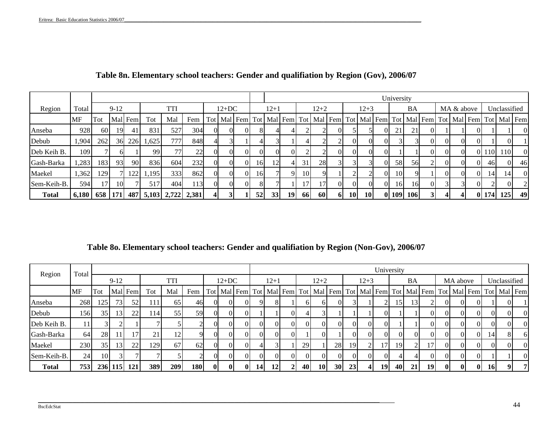|              |             |                 |           |         |       |                 |       |     |         |          |                 |        |          |                 |           |           |                 |           |              | University      |             |          |          |          |            |       |                                                                                                                             |          |
|--------------|-------------|-----------------|-----------|---------|-------|-----------------|-------|-----|---------|----------|-----------------|--------|----------|-----------------|-----------|-----------|-----------------|-----------|--------------|-----------------|-------------|----------|----------|----------|------------|-------|-----------------------------------------------------------------------------------------------------------------------------|----------|
| Region       | Total       |                 | $9-12$    |         |       | <b>TTI</b>      |       |     | $12+DC$ |          |                 | $12+1$ |          |                 | $12+2$    |           |                 | 12+3      |              |                 | BA          |          |          |          | MA & above |       | Unclassified                                                                                                                |          |
|              | MF          | Tot             |           | Mal Fem | Tot   | Mal             | Fem   |     |         |          |                 |        |          |                 |           |           |                 |           |              |                 |             |          |          |          |            |       | Tot   Mal   Fem   Tot   Mal   Fem   Tot   Mal   Fem   Tot   Mal   Fem   Tot   Mal   Fem   Tot   Mal   Fem   Tot   Mal   Fem |          |
| Anseba       | 928         | 60 <sup>1</sup> | 19        | 41      | 831   | 527             | 304   | OI. |         | ΩI       |                 |        |          |                 |           | $\Omega$  |                 |           | $\Omega$     | 21              | 21          | 01       |          |          | OI.        |       |                                                                                                                             | $\Omega$ |
| Debub        | ,904        | 262             | 36        | 226     | 1,625 | 777             | 848   |     |         |          |                 |        |          |                 |           | $\bigcap$ | 01              |           | $\Omega$     |                 |             | 01       | $\Omega$ | 0I       | ΩI         |       | 01                                                                                                                          |          |
| Deb Keih B.  | 109         |                 |           |         | 99    | 77              | 22    | ΩI  |         | $\Omega$ | ΩI              | ΩI     | $\Omega$ |                 |           | $\Omega$  | $\Omega$        |           | $\Omega$     |                 |             | $\Omega$ | $\Omega$ | $\Omega$ |            | 0 110 | 110 <sup>-1</sup>                                                                                                           | $\Omega$ |
| Gash-Barka   | ,283        | 183             | 93        | 90      | 8361  | 604             | 232   | OI. |         |          | 16 <sup> </sup> | 12     |          | 31              | 28        |           |                 |           |              | 58              | 56          |          | $\Omega$ |          | $\Omega$   | 46    | ОL                                                                                                                          | 46       |
| Maekel       | 362         | 129             |           | 122     | 1,195 | 333             | 862   | OI. |         |          | <b>16</b>       |        | 9        | 10 <sup>1</sup> |           |           |                 |           | $\Omega$     | 10 <sup>1</sup> | $\mathbf Q$ |          | $\Omega$ | 0I       | Οl         | 14    | 14 <sub>l</sub>                                                                                                             | $\Omega$ |
| Sem-Keih-B.  | 594         | 17              | <b>10</b> |         | 517   | 404             | 113   | OI. |         | $\Omega$ | 81              |        |          | 17              | 17        | $\Omega$  | $\Omega$        |           | $\Omega$     | <b>16</b>       | 16          | $\Omega$ |          | 31       | ΩI         |       | ОI                                                                                                                          |          |
| <b>Total</b> | $6,180$ 658 |                 | 171.      |         |       | 487 5,103 2,722 | 2,381 |     |         |          | 52              | 33     | 19       | <b>66</b>       | <b>60</b> | 61        | 10 <sub>1</sub> | <b>10</b> | $\mathbf{0}$ | <b>109</b>      | 106         |          |          |          |            | 0 174 | 125                                                                                                                         | 49       |

## **Table 8n. Elementary school teachers: Gender and qualifiation by Region (Gov), 2006/07**

**Table 8o. Elementary school teachers: Gender and qualifiation by Region (Non-Gov), 2006/07**

\_\_\_\_\_\_\_\_\_\_\_\_\_\_\_\_\_\_\_\_\_\_\_\_\_\_\_\_\_\_\_\_\_\_\_\_\_\_\_\_\_\_\_\_\_\_\_\_\_\_\_\_\_\_\_\_\_\_\_\_\_\_\_\_\_\_\_\_\_\_\_\_\_\_\_\_\_\_\_\_\_\_\_\_\_\_\_\_\_\_\_\_\_\_\_\_\_\_\_\_\_\_\_\_\_\_\_\_\_\_\_\_\_\_\_\_\_\_\_\_\_\_\_\_\_\_\_\_\_\_\_\_\_\_\_\_\_\_\_

| Region       | Total     |     |                 |         |     |             |            |      |              |             |           |                 |    |          |           |                 |           |                |           | University |                 |           |              |          |              |           |              |                                                                                                           |
|--------------|-----------|-----|-----------------|---------|-----|-------------|------------|------|--------------|-------------|-----------|-----------------|----|----------|-----------|-----------------|-----------|----------------|-----------|------------|-----------------|-----------|--------------|----------|--------------|-----------|--------------|-----------------------------------------------------------------------------------------------------------|
|              |           |     | $9-12$          |         |     | <b>TTI</b>  |            |      | $12+DC$      |             |           | $12 + 1$        |    |          | $12 + 2$  |                 |           | $12 + 3$       |           |            | BA              |           |              | MA above |              |           | Unclassified |                                                                                                           |
|              | <b>MF</b> | Tot |                 | Mal Fem | Tot | Mal         | Fem        |      |              | Tot Mal Fem |           |                 |    |          |           |                 |           |                |           |            |                 |           |              |          |              |           |              | Tot   Mal   Fem   Tot   Mal   Fem   Tot   Mal   Fem   Tot   Mal   Fem   Tot   Mal   Fem   Tot   Mal   Fem |
| Anseba       | 268       | 125 | 73 <sup> </sup> | 52      | 111 | 65          | 46         |      | $\Omega$     |             |           |                 |    | 61       | 61        | $\Omega$        |           |                |           | 15         | 13 <sup>1</sup> |           | $\Omega$     | $\Omega$ | $\Omega$     |           |              |                                                                                                           |
| Debub        | 156       | 35  | 13              | 22      | 114 | 55          | 59         |      | $\Omega$     |             |           |                 |    |          |           |                 |           |                | ΩI        |            |                 |           | ΩI           |          | $\Omega$     | ΩI        |              | $\Omega$                                                                                                  |
| Deb Keih B.  | 11        |     |                 |         |     |             |            |      | $\Omega$     |             | $\Omega$  | ΩI              | ΩI | $\Omega$ | $\Omega$  | $\Omega$        | $\Omega$  | $\Omega$       | $\Omega$  |            |                 | $\Omega$  | $\Omega$     | $\Omega$ | $\Omega$     | $\Omega$  |              | $\overline{0}$                                                                                            |
| Gash-Barka   | <b>64</b> | 28  | 11              | 17      | 21  | 12          |            |      | $\Omega$     |             | $\Omega$  | $\Omega$        |    |          |           |                 | $\Omega$  | ΩL             | ΩI        |            | ΩI              | $\Omega$  | ΩL           | $\Omega$ | $\Omega$     | 14        |              | -61                                                                                                       |
| Maekel       | 230       | 35  | 13 <sup>l</sup> | 22      | 129 | 67          | 62         |      | ΩI           |             |           |                 |    | 29       |           | 28              | <b>19</b> | $\overline{2}$ | 17        | 19         |                 | 17        | ΩL           |          | ΩL           | ΩI        |              | $\Omega$                                                                                                  |
| Sem-Keih-B.  | 24        | 10  |                 |         |     |             |            |      | $\Omega$     |             | $\Omega$  | ΩI              | ΩI | $\Omega$ | $\Omega$  | $\Omega$        | $\Omega$  | ΩI             | $\Omega$  |            |                 | $\Omega$  | $\Omega$     | $\Omega$ | $\Omega$     |           |              | $\overline{0}$                                                                                            |
| <b>Total</b> | 753       |     | 236 115         | 121     | 389 | <b>2091</b> | <b>180</b> | - OI | $\mathbf{0}$ | -01         | <b>14</b> | 12 <sub>l</sub> | 21 | 40       | <b>10</b> | 30 <sup>l</sup> | 23        | 41             | <b>19</b> | 40         | 21 <sup>1</sup> | <b>19</b> | $\mathbf{0}$ | - Ol     | $\mathbf{0}$ | <b>16</b> | $\mathbf{a}$ | 7                                                                                                         |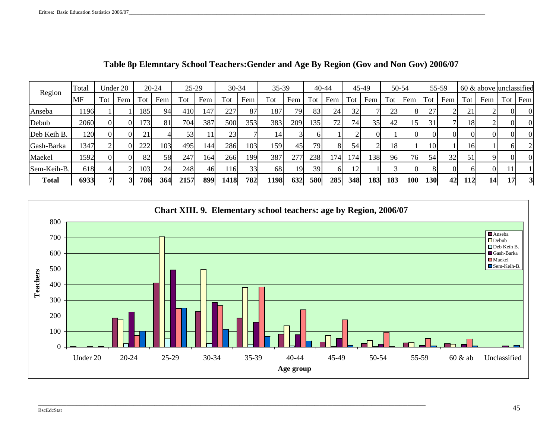| Region       | Fotal |                | Under 20 |     | $20 - 24$ | $25-29$ |     | $30 - 34$ |     | 35-39           |     |            | 40-44 |         | 45-49 |            | 50-54 |                 | 55-59 |                 | $60 \&$ above unclassified |          |          |
|--------------|-------|----------------|----------|-----|-----------|---------|-----|-----------|-----|-----------------|-----|------------|-------|---------|-------|------------|-------|-----------------|-------|-----------------|----------------------------|----------|----------|
|              | MF    | Tot            | Fem      | Fot | Fem       | Tot     | Fem | Tot       | Fem | Tot             | Fem | Tot        | Fem   | Tot     | Fem   | Tot        | Fem   | Tot             | Fem   | Tot             | Fem                        | Tot      | Fem      |
| Anseba       | 1196  |                |          | 185 | 94        | 410     | 147 | 227       | 87  | 187             | 79  | 83         | 24    | 32      |       | 23         |       | 27              |       | 21              |                            | $\Omega$ | $\theta$ |
| Debub        | 2060  | $\overline{0}$ | $\Omega$ | 173 | 81        | 704     | 387 | 500       | 353 | 383             | 209 | 135        | 72    | 74      | 35    | 42         | 15    | 31              |       | 18              |                            | ΩI       | $\theta$ |
| Deb Keih B.  | 120   | $\Omega$       | ΩI       | 21  |           | 53      |     | 23        |     | 14'             |     |            |       |         |       |            |       | $\Omega$        |       |                 |                            | $\Omega$ | $\theta$ |
| Gash-Barka   | 1347  |                | $\Omega$ | 222 | 103       | 495     | 144 | 286       | 103 | 159             | 45  | 79         | 81    | 54      |       | 18         |       | 10 <sub>l</sub> |       | 16 <sup> </sup> |                            |          |          |
| Maekel       | 1592  | $\Omega$       | $\Omega$ | 82  | 58        | 247     | 164 | 266       | 199 | 387             | 277 | 238        | 1741  | $174_1$ | 138   | 96         | 76    | 54              | 32    | 51              |                            | ΩI       | $\theta$ |
| Sem-Keih-B.  | 618   |                |          | 103 | 24        | 248     | 46  | .16       | 33  | 68 <sup>1</sup> | 19  | 39         | 6     | 12      |       |            |       |                 |       | ηI              |                            |          |          |
| <b>Total</b> | 6933  |                |          | 786 | 364       | 2157    | 899 | 1418      | 782 | 1198            | 632 | <b>580</b> | 285   | 348     | 183   | <b>183</b> | 100l  | <b>130</b>      | 42    | <b>112</b>      | $\Lambda$                  | 17I      |          |

**Table 8p Elemntary School Teachers:Gender and Age By Region (Gov and Non Gov) 2006/07**



\_\_\_\_\_\_\_\_\_\_\_\_\_\_\_\_\_\_\_\_\_\_\_\_\_\_\_\_\_\_\_\_\_\_\_\_\_\_\_\_\_\_\_\_\_\_\_\_\_\_\_\_\_\_\_\_\_\_\_\_\_\_\_\_\_\_\_\_\_\_\_\_\_\_\_\_\_\_\_\_\_\_\_\_\_\_\_\_\_\_\_\_\_\_\_\_\_\_\_\_\_\_\_\_\_\_\_\_\_\_\_\_\_\_\_\_\_\_\_\_\_\_\_\_\_\_\_\_\_\_\_\_\_\_\_\_\_\_\_\_\_\_\_\_\_\_\_\_\_\_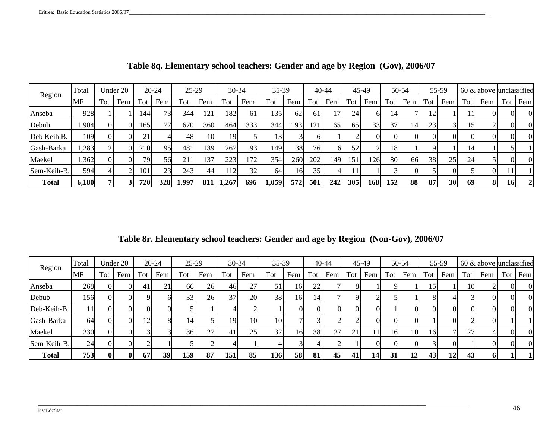| Region       | Total |                | Under 20 |     | $20 - 24$ | $25-29$ |     | $30 - 34$ |     | 35-39 |               |     | $40 - 44$ |     | 45-49 |     | 50-54 |     | 55-59 |           | $60 \&$ above unclassified |           |              |
|--------------|-------|----------------|----------|-----|-----------|---------|-----|-----------|-----|-------|---------------|-----|-----------|-----|-------|-----|-------|-----|-------|-----------|----------------------------|-----------|--------------|
|              | MF    | Tot            | Fem      | Tot | Fem       | Tot     | Fem | Tot       | Fem | Tot   | Fem           | Tot | Fem       | Tot | Fem   | Tot | Fem   | Tot | Fem   | Tot       | Fem                        | Tot       | Fem          |
| Anseba       | 928   |                |          | 144 | 73        | 344     | 121 | 182       | 61  | 135   | <sup>62</sup> | 61  |           | 24  | 61    | 14  |       | 12  |       |           |                            | ΩL        | $\theta$     |
| Debub        | ,904  | 0I             | ΩI       | 165 | 77        | 670     | 360 | 464       | 333 | 344   | 193           | 121 | 65        | 65  | 33    | 37  | 14    | 23  | 31    | 15        |                            | ΟI        | $\Omega$     |
| Deb Keih B.  | 109   | $\overline{0}$ |          | 21  |           | 48      | 10I | 19        |     |       |               |     |           |     | OI.   |     |       | ΩI  | ΩI    | OI.       |                            | ΩI        | $\Omega$     |
| Gash-Barka   | ,283  |                |          | 210 | 951       | 481     | 139 | 267       | 93  | 149   | 38            | 76  | 61        | 52  |       | 18  |       |     |       | 14        |                            |           |              |
| Maekel       | ,362  | $\overline{0}$ |          | 79. | 56        | 211     | 137 | 223       | !72 | 354   | 260           | 202 | 149       | 151 | 126   | 80  | 66    | 38  | 25    | 24        |                            |           | $\theta$     |
| Sem-Keih-B.  | 594   |                |          | 101 | 23        | 243     | 44  | 112       | 32  | 64    | 16            | 35  | 41        | 11  |       |     |       |     |       |           | ΟI                         |           |              |
| <b>Total</b> | 6,180 |                |          | 720 | 328       | 1,997   | 811 | 1,267     | 696 | 1,059 | 572           | 501 | 242       | 305 | 168   | 152 | 88    | 87  | 30    | <b>69</b> | 81                         | <b>16</b> | $\mathbf{2}$ |

**Table 8q. Elementary school teachers: Gender and age by Region (Gov), 2006/07**

**Table 8r. Elementary school teachers: Gender and age by Region (Non-Gov), 2006/07**

| Region       | Total         |          | Under 20 |     | $20 - 24$ | $25 - 29$       |     | 30-34           |     | 35-39      |     |     | $40 - 44$ |      | 45-49 |     | 50-54 |                 | 55-59 |                 | $60 \&$ above unclassified |     |          |
|--------------|---------------|----------|----------|-----|-----------|-----------------|-----|-----------------|-----|------------|-----|-----|-----------|------|-------|-----|-------|-----------------|-------|-----------------|----------------------------|-----|----------|
|              | MF            | Tot      | Fem      | Tot | Fem       | Tot             | Fem | Tot             | Fem | Tot        | Fem | Tot | Fem       | Tot. | Fem   | Tot | Fem   | Tot             | Fem   | Tot             | Fem                        | Tot | Fem      |
| Anseba       | 268           |          |          | 41  | 21        | 66 <sup>I</sup> | 26  | 46              | 27  | 51         | 16I | 22  |           | 8    |       |     |       | 15              |       | 10 <sup>1</sup> |                            |     | $\Omega$ |
| Debub        | 1561          |          |          |     |           | 33              | 26  | 37 <sup>1</sup> | 20  | 38         | 16  | 14  |           |      |       |     |       |                 |       |                 |                            |     | $\Omega$ |
| Deb-Keih-B.  | 11            |          |          |     |           |                 |     |                 |     |            |     |     |           | 0    |       |     |       |                 |       |                 |                            |     | $\Omega$ |
| Gash-Barka   | <sup>64</sup> |          |          | 12  | 81        | 14'             |     | 19              | 10  | 10         |     |     |           |      |       |     |       |                 |       |                 |                            |     |          |
| Maekel       | 230           | Οl       |          |     |           | 36              | 27  | 41              | 25  | 32         | 16  | 38  | 27        | 21   |       | 16  | 10    | 16 <sup> </sup> |       | 27              |                            |     | $\Omega$ |
| Sem-Keih-B.  | 24            | $\Omega$ |          |     |           |                 |     |                 |     |            |     |     |           |      |       |     |       |                 |       |                 |                            |     | $\Omega$ |
| <b>Total</b> | 753           | 0        | $\bf{0}$ | 67  | 39        | 159             | 87  | 151             | 85  | <b>136</b> | 58  | 81  | 45        | 41   | 14    | 31  | 12.   | 43              | 12    | 43              |                            |     |          |

\_\_\_\_\_\_\_\_\_\_\_\_\_\_\_\_\_\_\_\_\_\_\_\_\_\_\_\_\_\_\_\_\_\_\_\_\_\_\_\_\_\_\_\_\_\_\_\_\_\_\_\_\_\_\_\_\_\_\_\_\_\_\_\_\_\_\_\_\_\_\_\_\_\_\_\_\_\_\_\_\_\_\_\_\_\_\_\_\_\_\_\_\_\_\_\_\_\_\_\_\_\_\_\_\_\_\_\_\_\_\_\_\_\_\_\_\_\_\_\_\_\_\_\_\_\_\_\_\_\_\_\_\_\_\_\_\_\_\_\_\_\_\_\_\_\_\_\_\_\_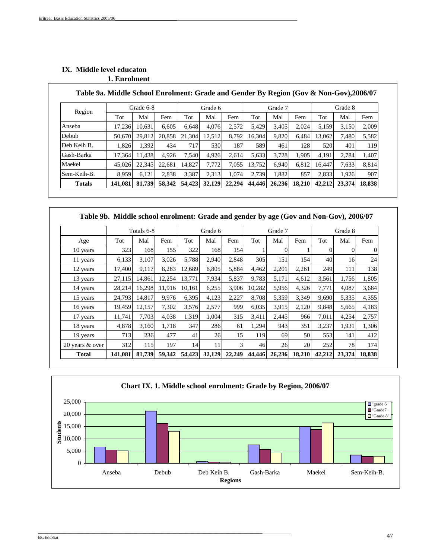|               | Table 9a. Middle School Enrolment: Grade and Gender By Region (Gov & Non-Gov),2006/07 |           |        |        |         |        |        |         |        |        |         |        |
|---------------|---------------------------------------------------------------------------------------|-----------|--------|--------|---------|--------|--------|---------|--------|--------|---------|--------|
| Region        |                                                                                       | Grade 6-8 |        |        | Grade 6 |        |        | Grade 7 |        |        | Grade 8 |        |
|               | Tot                                                                                   | Mal       | Fem    | Tot    | Mal     | Fem    | Tot    | Mal     | Fem    | Tot    | Mal     | Fem    |
| Anseba        | 17,236                                                                                | 10,631    | 6.605  | 6,648  | 4,076   | 2,572  | 5,429  | 3,405   | 2,024  | 5,159  | 3,150   | 2,009  |
| Debub         | 50,670                                                                                | 29,812    | 20,858 | 21,304 | 12,512  | 8,792  | 16,304 | 9,820   | 6,484  | 13,062 | 7,480   | 5,582  |
| Deb Keih B.   | 1,826                                                                                 | 1,392     | 434    | 717    | 530     | 1871   | 589    | 461     | 128    | 520    | 401     | 119    |
| Gash-Barka    | 17,364                                                                                | 11.438    | 4,926  | 7,540  | 4,926   | 2,614  | 5,633  | 3,728   | 1,905  | 4,191  | 2.784   | 1,407  |
| Maekel        | 45,026                                                                                | 22,345    | 22,681 | 14,827 | 7,772   | 7,055  | 13,752 | 6,940   | 6,812  | 16.447 | 7,633   | 8,814  |
| Sem-Keih-B.   | 8,959                                                                                 | 6,121     | 2,838  | 3,387  | 2,313   | 1,074  | 2,739  | 1,882   | 857    | 2,833  | 1,926   | 907    |
| <b>Totals</b> | 141,081                                                                               | 81,739    | 58,342 | 54,423 | 32,129  | 22,294 | 44,446 | 26,236  | 18,210 | 42,212 | 23,374  | 18,838 |

## **IX. Middle level educaton 1. Enrolment**

### **Table 9a. Middle School Enrolment: Grade and Gender By Region (Gov & Non-Gov),2006/07**

|                 |         | Totals 6-8 |        |        | Grade 6 |        |        | Grade 7  |        |          | Grade 8 |          |
|-----------------|---------|------------|--------|--------|---------|--------|--------|----------|--------|----------|---------|----------|
| Age             | Tot     | Mal        | Fem    | Tot    | Mal     | Fem    | Tot    | Mal      | Fem    | Tot      | Mal     | Fem      |
| 10 years        | 323     | 168        | 155    | 322    | 168     | 154    |        | $\Omega$ |        | $\Omega$ | 0       | $\Omega$ |
| 11 years        | 6,133   | 3,107      | 3,026  | 5,788  | 2.940   | 2.848  | 305    | 151      | 154    | 40       | 16      | 24       |
| 12 years        | 17,400  | 9,117      | 8,283  | 12,689 | 6,805   | 5,884  | 4,462  | 2,201    | 2,261  | 249      | 111     | 138      |
| 13 years        | 27,115  | 14.861     | 12,254 | 13.771 | 7,934   | 5,837  | 9.783  | 5,171    | 4.612  | 3,561    | 1,756   | 1,805    |
| 14 years        | 28,214  | 16,298     | 11,916 | 10,161 | 6,255   | 3,906  | 10,282 | 5,956    | 4,326  | 7,771    | 4,087   | 3,684    |
| 15 years        | 24,793  | 14.817     | 9,976  | 6,395  | 4,123   | 2,227  | 8.708  | 5,359    | 3,349  | 9,690    | 5,335   | 4,355    |
| 16 years        | 19,459  | 12,157     | 7,302  | 3,576  | 2,577   | 999    | 6,035  | 3,915    | 2,120  | 9,848    | 5,665   | 4,183    |
| 17 years        | 11,741  | 7,703      | 4,038  | 1,319  | 1,004   | 315    | 3,411  | 2,445    | 966    | 7,011    | 4,254   | 2,757    |
| 18 years        | 4,878   | 3,160      | 1,718  | 347    | 286     | 61     | 1,294  | 943      | 351    | 3,237    | 1,931   | 1,306    |
| 19 years        | 713     | 236        | 477    | 41     | 26      | 15     | 119    | 69       | 50     | 553      | 141     | 412      |
| 20 years & over | 312     | 115        | 197    | 14     | 11      | 3      | 46     | 26       | 20     | 252      | 78      | 174      |
| <b>Total</b>    | 141,081 | 81,739     | 59,342 | 54,423 | 32,129  | 22,249 | 44,446 | 26,236   | 18,210 | 42,212   | 23,374  | 18,838   |

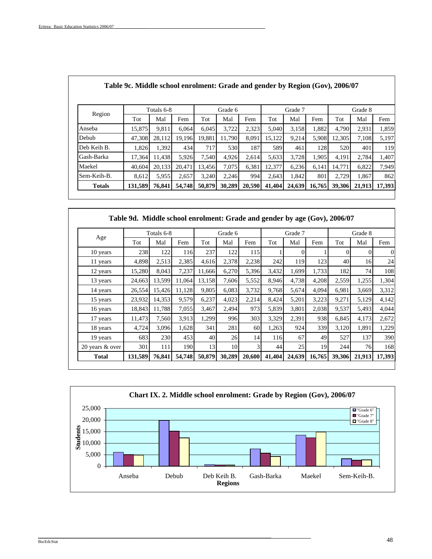|         |        |        |                     | Grade 6 |                 |        | Grade 7         |               |        | Grade 8 |                                                                              |
|---------|--------|--------|---------------------|---------|-----------------|--------|-----------------|---------------|--------|---------|------------------------------------------------------------------------------|
| Tot     | Mal    | Fem    | Tot                 | Mal     | Fem             | Tot    | Mal             | Fem           | Tot    | Mal     | Fem                                                                          |
| 15,875  | 9,811  | 6.064  | 6,045               | 3,722   | 2,323           | 5,040  | 3,158           | 1,882         | 4,790  | 2,931   | 1,859                                                                        |
| 47,308  | 28,112 | 19.196 | 19,881              |         | 8,091           | 15,122 | 9,214           | 5,908         | 12,305 | 7,108   | 5,197                                                                        |
| 1,826   |        | 434    | 717                 | 530     | 187             |        | 461             | 128           | 520    | 401     | 119                                                                          |
| 17,364  | 11.438 | 5.926  | 7,540               | 4,926   |                 | 5,633  | 3.728           | 1,905         | 4,191  | 2,784   | 1,407                                                                        |
| 40.604  | 20.133 | 20.471 | 13.456              | 7,075   | 6.381           | 12.377 | 6,236           | 6.141         | 14.771 | 6,822   | 7,949                                                                        |
| 8,612   | 5,955  | 2.657  | 3.240               |         | 994             | 2.643  | 1.842           | 801           | 2.729  | 1,867   | 862                                                                          |
| 131,589 | 76,841 | 54,748 | 50,879              | 30,289  |                 |        | 24,639          | 16,765        | 39,306 | 21,913  | 17,393                                                                       |
|         |        |        | Totals 6-8<br>1.392 |         | 11.790<br>2,246 |        | 2,614<br>20,590 | 589<br>41,404 |        |         | Table 9c. Middle school enrolment: Grade and gender by Region (Gov), 2006/07 |

|                 | Table 9d. Middle school enrolment: Grade and gender by age (Gov), 2006/07 |            |        |        |         |        |        |          |        |          |          |        |
|-----------------|---------------------------------------------------------------------------|------------|--------|--------|---------|--------|--------|----------|--------|----------|----------|--------|
|                 |                                                                           | Totals 6-8 |        |        | Grade 6 |        |        | Grade 7  |        |          | Grade 8  |        |
| Age             | Tot                                                                       | Mal        | Fem    | Tot    | Mal     | Fem    | Tot    | Mal      | Fem    | Tot      | Mal      | Fem    |
| 10 years        | 238                                                                       | 122        | 116    | 237    | 122     | 115    |        | $\theta$ |        | $\Omega$ | $\Omega$ | 0      |
| 11 years        | 4,898                                                                     | 2,513      | 2,385  | 4,616  | 2,378   | 2,238  | 242    | 119      | 123    | 40       | 16       | 24     |
| 12 years        | 15,280                                                                    | 8,043      | 7,237  | 11,666 | 6,270   | 5,396  | 3,432  | 1,699    | 1,733  | 182      | 74       | 108    |
| 13 years        | 24,663                                                                    | 13,599     | 11.064 | 13,158 | 7,606   | 5,552  | 8,946  | 4,738    | 4,208  | 2,559    | 1,255    | 1,304  |
| 14 years        | 26,554                                                                    | 15,426     | 11,128 | 9,805  | 6,083   | 3,732  | 9,768  | 5,674    | 4,094  | 6,981    | 3,669    | 3,312  |
| 15 years        | 23,932                                                                    | 14,353     | 9,579  | 6,237  | 4,023   | 2,214  | 8,424  | 5,201    | 3,223  | 9,271    | 5,129    | 4,142  |
| 16 years        | 18,843                                                                    | 11,788     | 7,055  | 3,467  | 2,494   | 973    | 5,839  | 3,801    | 2,038  | 9,537    | 5,493    | 4,044  |
| 17 years        | 11,473                                                                    | 7,560      | 3,913  | 1,299  | 996     | 303    | 3,329  | 2,391    | 938    | 6,845    | 4,173    | 2,672  |
| 18 years        | 4,724                                                                     | 3,096      | 1,628  | 341    | 281     | 60     | 1,263  | 924      | 339    | 3,120    | 1,891    | 1,229  |
| 19 years        | 683                                                                       | 230        | 453    | 40     | 26      | 14     | 116    | 67       | 49     | 527      | 137      | 390l   |
| 20 years & over | 301                                                                       | 111        | 190    | 13     | 10      | 3      | 44     | 25       | 19     | 244      | 76       | 168    |
| Total           | 131,589                                                                   | 76,841     | 54,748 | 50,879 | 30,289  | 20,600 | 41,404 | 24,639   | 16,765 | 39,306   | 21,913   | 17,393 |



 $\mathbf{I}$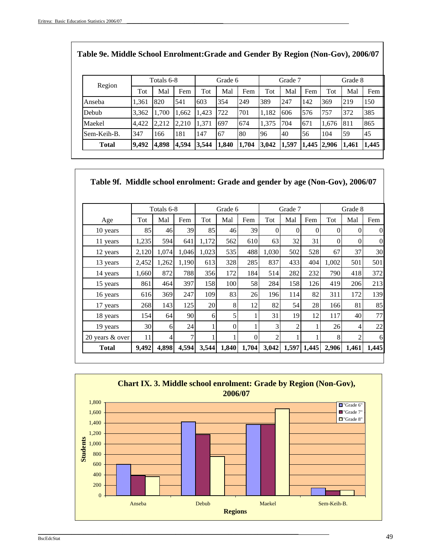|              |       | Totals 6-8 |       |       | Grade 6 |       |       | Grade 7 |             |       | Grade 8 |       |
|--------------|-------|------------|-------|-------|---------|-------|-------|---------|-------------|-------|---------|-------|
| Region       | Tot   | Mal        | Fem   | Tot   | Mal     | Fem   | Tot   | Mal     | Fem         | Tot   | Mal     | Fem   |
| Anseba       | 1,361 | 820        | 541   | 603   | 354     | 249   | 389   | 247     | 142         | 369   | 219     | 150   |
| Debub        | 3,362 | 1,700      | 1,662 | 1,423 | 722     | 701   | 1,182 | 606     | 576         | 757   | 372     | 385   |
| Maekel       | 4,422 | 2,212      | 2,210 | 1,371 | 697     | 674   | 1,375 | 704     | 671         | 1,676 | 811     | 865   |
| Sem-Keih-B.  | 347   | 166        | 181   | 147   | 67      | 80    | 96    | 40      | 56          | 104   | 59      | 45    |
| <b>Total</b> | 9,492 | 4,898      | 4,594 | 3,544 | 1,840   | 1,704 | 3,042 | 1,597   | 1,445 2,906 |       | 1,461   | 1,445 |

| Table 9f. Middle school enrolment: Grade and gender by age (Non-Gov), 2006/07 |       |            |       |       |                |          |                |                |          |       |                                                                                                                                                                      |                  |
|-------------------------------------------------------------------------------|-------|------------|-------|-------|----------------|----------|----------------|----------------|----------|-------|----------------------------------------------------------------------------------------------------------------------------------------------------------------------|------------------|
|                                                                               |       | Totals 6-8 |       |       | Grade 6        |          |                | Grade 7        |          |       | Grade 8                                                                                                                                                              |                  |
| Age                                                                           | Tot   | Mal        | Fem   | Tot   | Mal            | Fem      | Tot            | Mal            | Fem      | Tot   | Mal                                                                                                                                                                  | Fem              |
| 10 years                                                                      | 85    | 46         | 39    | 85    | 46             | 39       | $\theta$       | $\Omega$       | $\Omega$ | 0     | $\Omega$                                                                                                                                                             | $\theta$         |
| 11 years                                                                      | 1,235 | 594        | 641   | 1,172 | 562            | 610      | 63             | 32             | 31       | 0     | $\Omega$                                                                                                                                                             | $\boldsymbol{0}$ |
| 12 years                                                                      | 2,120 | 1,074      | 1,046 | 1,023 | 535            | 488      | 1,030          | 502            | 528      | 67    | 37                                                                                                                                                                   | 30 <sup>°</sup>  |
| 13 years                                                                      | 2,452 | 1,262      | 1,190 | 613   | 328            | 285      | 837            | 433            | 404      | 1,002 | 501                                                                                                                                                                  | 501              |
| 14 years                                                                      | 1,660 | 872        | 788   | 356   | 172            | 184      | 514            | 282            | 232      | 790   | 418                                                                                                                                                                  | 372              |
| 15 years                                                                      | 861   | 464        | 397   | 158   | 100            | 58       | 284            | 158            | 126      | 419   | 206                                                                                                                                                                  | 213              |
| 16 years                                                                      | 616   | 369        | 247   | 109   | 83             | 26       | 196            | 114            | 82       | 311   | 172                                                                                                                                                                  | 139              |
| 17 years                                                                      | 268   | 143        | 125   | 20    | 8              | 12       | 82             | 54             | 28       | 166   | 81                                                                                                                                                                   | 85               |
| 18 years                                                                      | 154   | 64         | 90    | 6     | 5              |          | 31             | 19             | 12       | 117   | 40                                                                                                                                                                   | 77               |
| 19 years                                                                      | 30    | 6          | 24    |       | $\overline{0}$ |          | 3              | $\mathfrak{D}$ | 1        | 26    | 4                                                                                                                                                                    | 22               |
| 20 years & over                                                               | 11    | 4          | 7     |       |                | $\Omega$ | $\overline{c}$ |                |          | 8     | $\mathcal{D}_{\mathcal{L}}^{\mathcal{L}}(\mathcal{L}) = \mathcal{D}_{\mathcal{L}}^{\mathcal{L}}(\mathcal{L}) = \mathcal{D}_{\mathcal{L}}^{\mathcal{L}}(\mathcal{L})$ | 6                |
| <b>Total</b>                                                                  | 9,492 | 4,898      | 4,594 | 3,544 | 1,840          | 1,704    | 3,042          | 1,597          | 1,445    | 2,906 | 1,461                                                                                                                                                                | 1,445            |



 $\_$  , and the set of the set of the set of the set of the set of the set of the set of the set of the set of the set of the set of the set of the set of the set of the set of the set of the set of the set of the set of th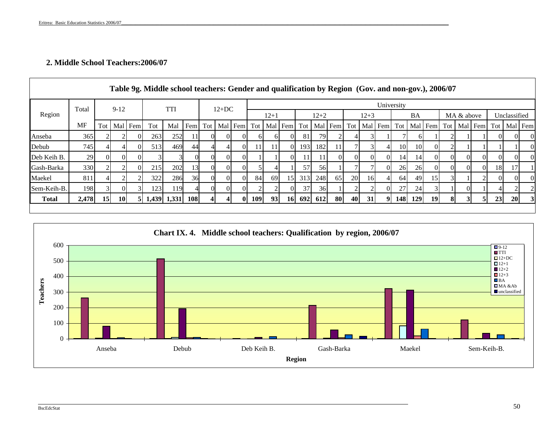## **2. Middle School Teachers:2006/07**

|                   |                  |          |           |          | Table 9g. Middle school teachers: Gender and qualification by Region (Gov. and non-gov.), 2006/07 |             |            |          |          |         |              |                 |                 |        |          |                 |                |          |          |                 |                 |                                   |                |            |          |           |              |          |
|-------------------|------------------|----------|-----------|----------|---------------------------------------------------------------------------------------------------|-------------|------------|----------|----------|---------|--------------|-----------------|-----------------|--------|----------|-----------------|----------------|----------|----------|-----------------|-----------------|-----------------------------------|----------------|------------|----------|-----------|--------------|----------|
|                   | Total            |          | $9-12$    |          |                                                                                                   | <b>TTI</b>  |            |          | $12+DC$  |         |              |                 |                 |        |          |                 |                |          |          | University      |                 |                                   |                |            |          |           |              |          |
| Region            |                  |          |           |          |                                                                                                   |             |            |          |          |         |              | $12+1$          |                 |        | $12 + 2$ |                 |                | $12 + 3$ |          |                 | <b>BA</b>       |                                   |                | MA & above |          |           | Unclassified |          |
|                   | <b>MF</b>        | Tot 1    |           | Mal Fem  | Tot                                                                                               | Mal         | Fem        | Tot      |          | Mal Fem | Tot          |                 | Mal Fem Tot     |        |          | Mal Fem         | Tot            |          | Mal Fem  |                 |                 | Tot   Mal   Fem   Tot   Mal   Fem |                |            |          | Tot 1     |              | Mal Fem  |
| Anseba            | 365              |          |           | 01       | 263                                                                                               | 252         | 11         | $\Omega$ |          |         | <sub>6</sub> | 61              | 0l              | 81     | 79       |                 |                |          |          |                 |                 |                                   | $\gamma$       |            |          | $\Omega$  | ΟI           | $\Omega$ |
| Debub             | 745              |          |           | 01       | 513                                                                                               | 469         | 44         | $\Delta$ |          |         | 11           | 11              | 0l              | 1931   | 182      | 11 <sup>1</sup> |                | 31       | 41       | 10 <sup> </sup> | 10 <sup> </sup> | $\Omega$                          | $\overline{2}$ |            |          |           |              | $\theta$ |
| Deb Keih B.       | 29               | $\Omega$ | $\Omega$  | 01       |                                                                                                   |             |            | $\Omega$ | $\Omega$ |         |              |                 | ОI              | 11     | 11       | ΩL              | $\overline{0}$ | $\Omega$ | $\Omega$ | 14              | 14              | $\Omega$                          | $\Omega$       | ΩI         | $\Omega$ | $\Omega$  | ΟI           | $\theta$ |
| <b>Gash-Barka</b> | 330 <sup>I</sup> |          |           | $\Omega$ | 215                                                                                               | 202         | 13         | $\Omega$ | $\Omega$ |         |              |                 |                 | 57     | 56       |                 |                |          | $\Omega$ | 26              | <b>26</b>       | $\Omega$                          | $\Omega$       | ΩI         | $\Omega$ | <b>18</b> | 17           |          |
| Maekel            | 81               |          |           |          | 322                                                                                               | 286         | 36         |          |          |         | 84           | <sup>69</sup>   | 15 <sup>l</sup> | 313    | 248      | 65              | 20             | 16       | 41       | 64              | 49              | <b>15</b>                         |                |            |          | $\Omega$  | OI.          | $\theta$ |
| Sem-Keih-B.       | 198 <sup> </sup> |          |           |          | 123                                                                                               | 119         |            | $\Omega$ | ΩL       |         |              |                 | $\Omega$        | 37     | 36       |                 |                |          | $\Omega$ | 27              | 24              |                                   |                |            |          |           |              |          |
| <b>Total</b>      | 2,478            | 15       | <b>10</b> | 5I       |                                                                                                   | 1,439 1,331 | <b>108</b> |          |          | 01      | <b>109</b>   | 93 <sub>1</sub> |                 | 16 692 | 612      | 80              | 40             | 31       | 91       | <b>148</b>      | <b>129</b>      | 19                                | 81             |            |          | 23        | <b>20</b>    | 3        |
|                   |                  |          |           |          |                                                                                                   |             |            |          |          |         |              |                 |                 |        |          |                 |                |          |          |                 |                 |                                   |                |            |          |           |              |          |



\_\_\_\_\_\_\_\_\_\_\_\_\_\_\_\_\_\_\_\_\_\_\_\_\_\_\_\_\_\_\_\_\_\_\_\_\_\_\_\_\_\_\_\_\_\_\_\_\_\_\_\_\_\_\_\_\_\_\_\_\_\_\_\_\_\_\_\_\_\_\_\_\_\_\_\_\_\_\_\_\_\_\_\_\_\_\_\_\_\_\_\_\_\_\_\_\_\_\_\_\_\_\_\_\_\_\_\_\_\_\_\_\_\_\_\_\_\_\_\_\_\_\_\_\_\_\_\_\_\_\_\_\_\_\_\_\_\_\_\_\_\_\_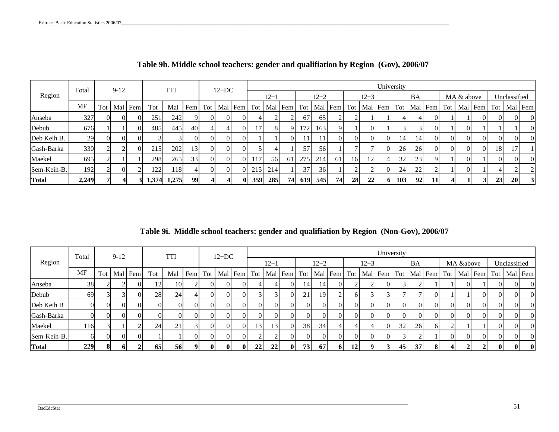|             | Total     |     | $9-12$ |         |     | TTI         |                 |          | $12+DC$ |         |                  |        |             |                 |          |               |     |          |           | University  |    |          |          |            |         |           |              |  |
|-------------|-----------|-----|--------|---------|-----|-------------|-----------------|----------|---------|---------|------------------|--------|-------------|-----------------|----------|---------------|-----|----------|-----------|-------------|----|----------|----------|------------|---------|-----------|--------------|--|
| Region      |           |     |        |         |     |             |                 |          |         |         |                  | $12+1$ |             |                 | $12 + 2$ |               |     | $12 + 3$ |           |             | BA |          |          | MA & above |         |           | Unclassified |  |
|             | <b>MF</b> | Tot |        | Mal Fem | Tot | Mal         | Fem             | Tot      |         | Mal Fem | Tot              |        | Mal Fem Tot |                 |          | Mal Fem       | Tot |          |           | Mal Fem Tot |    | Mal Fem  | Tot      |            | Mal Fem | Tot       | Mal Fem      |  |
| Anseba      | 327       |     |        |         | 251 | 242         | ΩI              | $\Omega$ |         |         |                  |        |             | 67              | 65       |               |     |          |           |             |    |          |          |            |         |           |              |  |
| Debub       | 676       |     |        |         | 485 | 445         | 40              | 4        |         |         | 7                | 8      |             | l 72 I          | 1631     | $\mathbf Q$   |     |          |           |             |    |          |          |            |         |           |              |  |
| Deb Keih B. | 29        |     |        |         |     |             | $\Omega$        | $\Omega$ |         |         |                  |        | л           | 11 <sup>1</sup> | 11       | $\Omega$      |     |          | $\Omega$  | 14          | 14 |          | $\Omega$ | $\Omega$   |         |           |              |  |
| Gash-Barka  | 330       |     |        |         | 215 | 202         | 13 <sup>l</sup> | $\Omega$ |         |         |                  |        |             | 57              | 56       |               |     |          | ΩL        | 26          | 26 | $\Omega$ | $\Omega$ | $\Omega$   | ΩL      | <b>18</b> | 17           |  |
| Maekel      | 695       |     |        |         | 298 | 265         | 33              | $\Omega$ |         |         | 117              | 56     | 61          | 275             | 214      | <sup>61</sup> | 16  | 12       |           | 32          | 23 |          |          |            |         |           |              |  |
| Sem-Keih-B. | 192       |     |        |         | 122 | l 18        |                 | $\Omega$ |         |         | 215 <sup> </sup> | 214    |             | 37              | 36       |               |     |          | ΩL        | 24          | 22 |          |          |            |         |           |              |  |
| Total       | 2,249     |     |        |         |     | 1,374 1,275 | 99              |          |         | o       | 359              | 285    | 74          | 619             | 545      | 74            | 28  | 22       | <b>61</b> | 103         | 92 |          |          |            |         | 23        | 20           |  |

**Table 9h. Middle school teachers: gender and qualifiation by Region (Gov), 2006/07**

**Table 9i. Middle school teachers: gender and qualifiation by Region (Non-Gov), 2006/07**

|              | Total |   | $9-12$ |                 |           | <b>TTI</b>        |          |                | $12+DC$ |                                   |                 |        |                |          |           |          |          |               | University |          |                                                     |    |           |          |          |              |                                   |
|--------------|-------|---|--------|-----------------|-----------|-------------------|----------|----------------|---------|-----------------------------------|-----------------|--------|----------------|----------|-----------|----------|----------|---------------|------------|----------|-----------------------------------------------------|----|-----------|----------|----------|--------------|-----------------------------------|
| Region       |       |   |        |                 |           |                   |          |                |         |                                   |                 | $12+1$ |                |          | $12 + 2$  |          |          | $12 + 3$      |            | BA       |                                                     |    | MA &above |          |          | Unclassified |                                   |
|              | MF    |   |        | Tot   Mal   Fem | Tot       | Mal               | Fem      |                |         | Tot   Mal   Fem   Tot   Mal   Fem |                 |        |                |          |           |          |          |               |            |          | Tot   Mal   Fem   Tot   Mal   Fem   Tot   Mal   Fem |    |           |          |          |              | Tot   Mal   Fem   Tot   Mal   Fem |
| Anseba       | 38    |   |        | ΟI              |           | <b>10</b>         |          | $\overline{0}$ |         |                                   |                 |        | $\overline{0}$ | 14       | 14        | $\Omega$ |          | $\mathcal{D}$ |            |          |                                                     |    |           |          | OI.      |              | $\Omega$                          |
| Debub        | 69    |   |        |                 | <b>28</b> | 24                |          | ΩL             |         |                                   |                 |        | ΩI             | 21       | 19        |          |          |               |            |          |                                                     |    |           |          |          |              | $\Omega$                          |
| Deb Keih B   |       |   |        |                 |           | $\overline{0}$    | $\Omega$ | $\Omega$       |         | $\Omega$                          |                 |        | ΩI             | $\Omega$ | $\Omega$  | ΩI       | $\Omega$ | $\Omega$      |            | $\Omega$ | ΩI                                                  | ΩI | $\Omega$  | $\Omega$ | $\Omega$ |              | $\Omega$                          |
| Gash-Barka   |       |   |        | ΩI              |           | ОI                | $\Omega$ | $\Omega$       |         | $\Omega$                          |                 |        | $\Omega$       | $\Omega$ | ΩL        | ΩL       | $\Omega$ | $\Omega$      |            | $\Omega$ |                                                     | ΩI | $\Omega$  | $\Omega$ | $\Omega$ |              | $\Omega$                          |
| Maekel       | 116   |   |        |                 | 24        | $\bigcap$ 1<br>∠⊥ |          | $\overline{0}$ |         |                                   | 13 <sup>l</sup> | 13     | $\Omega$       | 38       | 34        |          |          | 4             | 32         | 26       | 61                                                  |    |           |          | ΩL       |              | $\Omega$                          |
| Sem-Keih-B.  |       |   |        |                 |           |                   | $\Omega$ | ΩL             |         |                                   |                 |        | ΩI             | $\Omega$ |           | ΩI       |          |               |            |          |                                                     |    | $\Omega$  | ΩI       |          |              | $\Omega$                          |
| <b>Total</b> | 229   | 8 | 01     |                 | 65        | 56                | 9        | 01             |         | $\bf{0}$                          | 221             | 22     | $\mathbf{0}$   | 73       | <b>67</b> | 61       | 12       | 9             | 45         | 37       |                                                     |    |           |          | 01       | $\mathbf{0}$ | 0                                 |

\_\_\_\_\_\_\_\_\_\_\_\_\_\_\_\_\_\_\_\_\_\_\_\_\_\_\_\_\_\_\_\_\_\_\_\_\_\_\_\_\_\_\_\_\_\_\_\_\_\_\_\_\_\_\_\_\_\_\_\_\_\_\_\_\_\_\_\_\_\_\_\_\_\_\_\_\_\_\_\_\_\_\_\_\_\_\_\_\_\_\_\_\_\_\_\_\_\_\_\_\_\_\_\_\_\_\_\_\_\_\_\_\_\_\_\_\_\_\_\_\_\_\_\_\_\_\_\_\_\_\_\_\_\_\_\_\_\_\_\_\_\_\_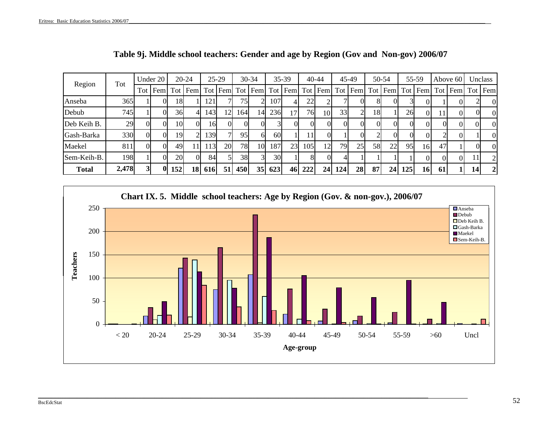| Region       | Tot   |     | Under 20 |     | $20 - 24$ |            | $25-29$ |     | 30-34     |     | $35-39$ |      | $40 - 44$             |     | 45-49           |     | 50-54 |     | 55-59    |     | Above 60        |    | Unclass        |
|--------------|-------|-----|----------|-----|-----------|------------|---------|-----|-----------|-----|---------|------|-----------------------|-----|-----------------|-----|-------|-----|----------|-----|-----------------|----|----------------|
|              |       | Tot | Fem      | Tot | Fem       |            | Tot Fem |     | Tot Fem   |     |         |      | Tot   Fem   Tot   Fem |     | Tot Fem         | Tot | Fem   |     |          |     | Tot Fem Tot Fem |    | Tot Fem        |
| Anseba       | 365   |     | ОI       | 18  |           | 121        |         | 75  |           | 107 | 4       | 22   |                       |     |                 |     |       | 31  |          |     |                 |    | $\overline{0}$ |
| Debub        | 745   |     | ОI       | 36  |           | 1431       | 12      | 164 | 14        | 236 | 17      | 76   | 10 <sup>1</sup>       | 33  |                 | 18  |       | 26  | $\Omega$ |     |                 |    | $\overline{0}$ |
| Deb Keih B.  | 29    |     | ОI       | 10  |           | 16         |         | 0I  |           |     |         |      | ОI                    |     |                 |     |       |     | OI       | OL. |                 |    | $\Omega$       |
| Gash-Barka   | 330   |     | $\Omega$ | 19  |           | 139        |         | 95  | 61        | 60  |         |      | OI.                   |     |                 |     | ΩI    | OI  | ΩI       |     |                 |    | $\overline{0}$ |
| Maekel       | 811   |     | ΩL       | 49  |           | 113        | 20      | 78  | 10        | 187 | 23      | 1051 | 12                    | 79  | 25 <sub>1</sub> | 58  | 22    | 95  | 16       | 47  |                 |    | $\Omega$       |
| Sem-Keih-B.  | 198   |     | 0I       | 20  | $\Omega$  | 84         |         | 38  | 31        | 30  |         |      | ОI                    |     |                 |     |       |     | ΩI       | ΩI  |                 |    | $\overline{2}$ |
| <b>Total</b> | 2,478 |     |          | 152 | <b>18</b> | <b>616</b> | 51      | 450 | <b>35</b> | 623 | 46      | 222  | 24 <sub>1</sub>       | 124 | 28              | 87  | 24    | 125 | 16       | 61  |                 | 14 | $\overline{2}$ |

**Table 9j. Middle school teachers: Gender and age by Region (Gov and Non-gov) 2006/07**

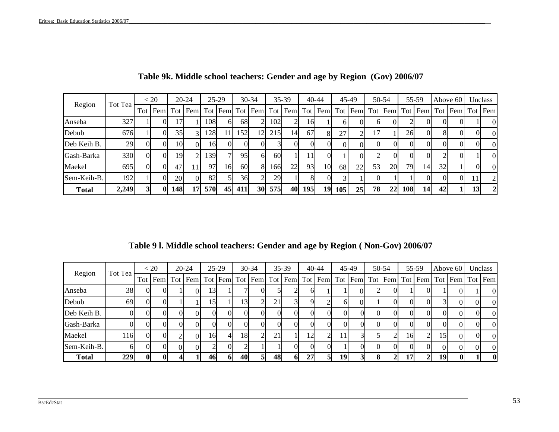| Region       | Tot Tea |          | < 20     |            | 20-24    |            | $25-29$ |                 | 30-34           |     | $35-39$         |     | $40 - 44$ |          | 45-49   |          | 50-54   |          | 55-59   |          | Above 60 |                       | Unclass        |
|--------------|---------|----------|----------|------------|----------|------------|---------|-----------------|-----------------|-----|-----------------|-----|-----------|----------|---------|----------|---------|----------|---------|----------|----------|-----------------------|----------------|
|              |         | Tot      | Fem      |            | Tot Fem  |            |         |                 | Tot Fem Tot Fem |     | Tot Fem Tot Fem |     |           |          | Tot Fem |          | Tot Fem |          | Tot Fem |          |          | Tot   Fem   Tot   Fem |                |
| Anseba       | 327     |          | ОI       |            |          | 108        | 61      | 68              |                 | 102 |                 | 16  |           | ΩI       |         | n        |         |          |         | OI       |          |                       | $\theta$       |
| Debub        | 676     |          | OI.      | 35         |          | 128        |         | 152             | 12              | 215 | 14              | 67  | 81        | 27       |         | 17L      |         | 26       |         | 81       | O        |                       | $\overline{0}$ |
| Deb Keih B.  | 29      | $_{0}$   | 0I       | 10         | $\Omega$ | 16         |         | 0I              |                 |     | $\Omega$        |     | OI.       | $\Omega$ | O       | $\Omega$ |         | $\Omega$ |         | $\Omega$ | $\Omega$ |                       | $\theta$       |
| Gash-Barka   | 330     | $\Omega$ | 0I       | 19         |          | 139        |         | 95              | 61              | 60I |                 |     | OI.       |          |         |          |         | ΩI       |         |          |          |                       | $\mathbf{0}$   |
| Maekel       | 695     | $\Omega$ | $\Omega$ | 47         |          | 97         | 16      | 60 <sup>1</sup> | 8               | 166 | 22              | 93  | 10        | 68       | 22      | 53       | 20      | 79       | 14      | 32       |          |                       | $\theta$       |
| Sem-Keih-B.  | 192     |          | 0I       | <b>20</b>  | $\Omega$ | 82         |         | 36              |                 | 29  |                 |     | OI.       |          |         |          |         |          |         | $\Omega$ | OI.      |                       | 2              |
| <b>Total</b> | 2,249   |          | $\bf{0}$ | <b>148</b> | 17       | <b>570</b> | 45      | 411             | <b>30</b>       | 575 | 40              | 195 | 19        | 105      | 25      | 78       | 22      | 108      | 14      | 42       |          |                       | $\overline{2}$ |

| Table 9k. Middle school teachers: Gender and age by Region (Gov) 2006/07 |  |
|--------------------------------------------------------------------------|--|
|--------------------------------------------------------------------------|--|

**Table 9 l. Middle school teachers: Gender and age by Region ( Non-Gov) 2006/07**

|              | Tot Tea |              | < 20    | $20 - 24$ |     | $25-29$  |                 | 30-34 |    | $35-39$ |    | $40 - 44$ |    | 45-49       | 50-54 |     | 55-59 |          | Above 60                                                                                                              | Unclass        |
|--------------|---------|--------------|---------|-----------|-----|----------|-----------------|-------|----|---------|----|-----------|----|-------------|-------|-----|-------|----------|-----------------------------------------------------------------------------------------------------------------------|----------------|
| Region       |         |              | Tot Fem |           |     |          |                 |       |    |         |    |           |    |             |       |     |       |          | Tot   Fem   Tot   Fem   Tot   Fem   Tot   Fem   Tot   Fem   Tot   Fem   Tot   Fem   Tot   Fem   Tot   Fem   Tot   Fem |                |
| Anseba       | 38      | OI.          |         |           | 13I |          |                 |       |    |         |    |           |    | OI          | OI.   |     |       |          |                                                                                                                       | $\Omega$       |
| Debub        | 69      | $\mathbf{U}$ |         |           | 15I |          | 13 <sub>1</sub> |       |    |         |    |           | ωI | $^{\prime}$ | OI.   |     |       |          |                                                                                                                       | $\Omega$       |
| Deb Keih B.  |         | OI.          |         |           |     | OI.      |                 |       |    |         |    |           |    |             |       |     |       | OL.      |                                                                                                                       | $\overline{0}$ |
| Gash-Barka   |         |              |         |           |     |          |                 |       |    |         |    |           |    |             |       |     |       | ОL       |                                                                                                                       | $\Omega$       |
| Maekel       | 116     | $\Omega$     |         | 01        | 161 | 41       | 18              |       | 21 |         | 12 |           | 11 |             |       | 16  | 21    | 15       | $\Omega$                                                                                                              | $\overline{0}$ |
| Sem-Keih-B.  | hl      | OI.          |         |           |     | $\Omega$ |                 |       |    | ΩL      |    | ( ) I     |    | OI.         | ΩL    | OI. | OI.   | $\Omega$ |                                                                                                                       | $\Omega$       |
| <b>Total</b> | 229     | $\mathbf{0}$ |         |           | 461 | 61       | 40              |       | 48 | 61      | 27 |           | 19 |             |       | 171 |       | 19       |                                                                                                                       | $\bf{0}$       |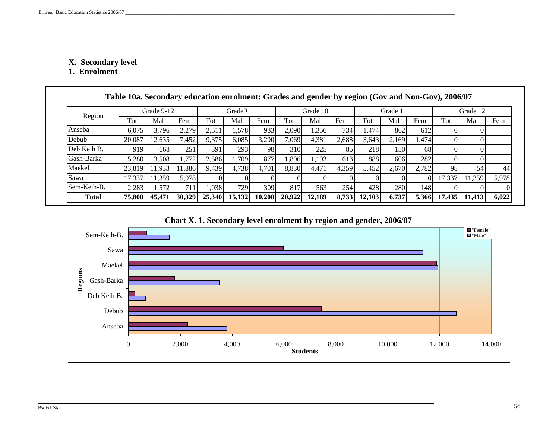## **X. Secondar y level**

**1. Enrolment** 

|              | Table 10a. Secondary education enrolment: Grades and gender by region (Gov and Non-Gov), 2006/07 |            |        |        |        |        |        |          |       |        |          |       |        |          |       |
|--------------|--------------------------------------------------------------------------------------------------|------------|--------|--------|--------|--------|--------|----------|-------|--------|----------|-------|--------|----------|-------|
|              |                                                                                                  | Grade 9-12 |        |        | Grade9 |        |        | Grade 10 |       |        | Grade 11 |       |        | Grade 12 |       |
| Region       | Tot                                                                                              | Mal        | Fem    | Tot    | Mal    | Fem    | Tot    | Mal      | Fem   | Tot    | Mal      | Fem   | Tot    | Mal      | Fem   |
| Anseba       | 6.075                                                                                            | 3.796      | 2,279  | 2,511  | 1,578  | 933    | 2,090  | 1,356    | 734   | 1.474  | 862      | 612   |        |          |       |
| Debub        | 20,087                                                                                           | 12,635     | 7,452  | 9,375  | 6,085  | 3,290  | 7.069  | 4,381    | 2,688 | 3,643  | 2,169    | 1,474 |        | ΩI       |       |
| Deb Keih B.  | 919                                                                                              | 668        | 251    | 391    | 293    | 98     | 310    | 225      | 85    | 218    | 150      | 68    |        |          |       |
| Gash-Barka   | 5,280                                                                                            | 3,508      | 1,772  | 2.586  | 1,709  | 877    | 1.806  | 1.193    | 613   | 8881   | 606      | 282   |        |          |       |
| Maekel       | 23,819                                                                                           | 1,933      | 1,886  | 9,439  | 4,738  | 4,701  | 8,830  | 4,471    | 4,359 | 5,452  | 2,670    | 2,782 | 98     | 54       | 44    |
| Sawa         | 17,337                                                                                           | 11,359     | 5,978  |        |        |        |        |          |       |        |          |       | 17,337 | 11,359   | 5,978 |
| Sem-Keih-B.  | 2,283                                                                                            | 1,572      | 711    | 1.038  | 729    | 309    | 817    | 563      | 254   | 428    | 280      | 148   |        |          |       |
| <b>Total</b> | 75,800                                                                                           | 45,471     | 30,329 | 25,340 | 15,132 | 10,208 | 20,922 | 12,189   | 8.733 | 12,103 | 6,737    | 5,366 | 17,435 | 11,413   | 6,022 |

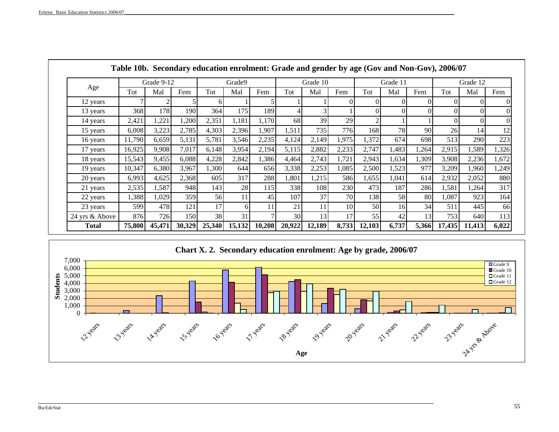|                |        |            |        |        |        |        |                 |          |           | Table Tob. Secondary education enromient: Grade and gender by age (Gov and Non-Gov), 2000/07 |          |          |        |          |       |
|----------------|--------|------------|--------|--------|--------|--------|-----------------|----------|-----------|----------------------------------------------------------------------------------------------|----------|----------|--------|----------|-------|
|                |        | Grade 9-12 |        |        | Grade9 |        |                 | Grade 10 |           |                                                                                              | Grade 11 |          |        | Grade 12 |       |
| Age            | Tot    | Mal        | Fem    | Tot    | Mal    | Fem    | Tot             | Mal      | Fem       | Tot                                                                                          | Mal      | Fem      | Tot    | Mal      | Fem   |
| 12 years       |        |            |        | h.     |        |        |                 |          |           |                                                                                              |          | 0        |        |          |       |
| 13 years       | 368    | 178        | 190I   | 364    | 175    | 189    |                 |          |           |                                                                                              |          | $\Omega$ |        |          |       |
| 14 years       | 2,421  | 1,221      | 1,200  | 2,351  | 1,181  | 1,170  | 68              | 39       | 29        |                                                                                              |          |          |        |          |       |
| 15 years       | 6,008  | 3,223      | 2,785  | 4,303  | 2,396  | 1,907  | 1,511           | 735      | 776       | 168                                                                                          | 78       | 90       | 26     | 14       | 12    |
| 16 years       | 11,790 | 6,659      | 5,131  | 5,781  | 3,546  | 2,235  | 4,124           | 2,149    | 1,975     | 1,372                                                                                        | 674      | 698      | 513    | 290      | 223   |
| 17 years       | 16,925 | 9,908      | 7,017  | 6,148  | 3,954  | 2,194  | 5,115           | 2,882    | 2,233     | 2,747                                                                                        | 1,483    | 1,264    | 2,915  | 1,589    | 1,326 |
| 18 years       | 15,543 | 9,455      | 6,088  | 4,228  | 2,842  | 1,386  | 4,464           | 2,743    | 1,721     | 2,943                                                                                        | 1,634    | 1,309    | 3,908  | 2,236    | 1,672 |
| 19 years       | 10,347 | 6,380      | 3,967  | 1,300  | 644    | 656    | 3,338           | 2,253    | 1,085     | 2,500                                                                                        | 1,523    | 977      | 3,209  | 1,960    | 1,249 |
| 20 years       | 6,993  | 4,625      | 2,368  | 605    | 317    | 288    | 1,801           | 1,215    | 586       | 1,655                                                                                        | 1,041    | 614      | 2,932  | 2,052    | 880   |
| 21 years       | 2,535  | 1,587      | 948    | 143    | 28     | 115    | 338             | 108      | 230       | 473                                                                                          | 187      | 286      | 1,581  | 1,264    | 317   |
| 22 years       | 1,388  | 1,029      | 359    | 56I    | 11     | 45     | 107             | 37       | <b>70</b> | 138                                                                                          | 58       | 80       | 1,087  | 923      | 164   |
| 23 years       | 599    | 478        | 121    | 17     | 6      | 11     | 21              | 11       | 10        | 50                                                                                           | 16       | 34       | 511    | 445      | 66    |
| 24 yrs & Above | 876    | 726        | 150    | 38     | 31     |        | 30 <sup>l</sup> | 13       | 17        | 55                                                                                           | 42       | 13       | 753    | 640      | 113   |
| <b>Total</b>   | 75,800 | 45,471     | 30,329 | 25,340 | 15,132 | 10,208 | 20,922          | 12,189   | 8,733     | 12,103                                                                                       | 6,737    | 5,366    | 17,435 | 11,413   | 6,022 |



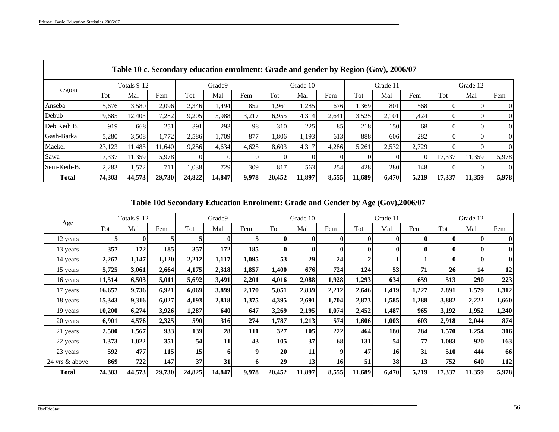г

|              |        |             |        |        |        | Table 10 c. Secondary education enrolment: Grade and gender by Region (Gov), 2006/07 |                  |          |       |        |          |          |        |          |                |
|--------------|--------|-------------|--------|--------|--------|--------------------------------------------------------------------------------------|------------------|----------|-------|--------|----------|----------|--------|----------|----------------|
| Region       |        | Totals 9-12 |        |        | Grade9 |                                                                                      |                  | Grade 10 |       |        | Grade 11 |          |        | Grade 12 |                |
|              | Tot    | Mal         | Fem    | Tot    | Mal    | Fem                                                                                  | Tot              | Mal      | Fem   | Tot    | Mal      | Fem      | Tot    | Mal      | Fem            |
| Anseba       | 5,676  | 3,580       | 2,096  | 2,346  | 1,494  | 852                                                                                  | 1,961            | .285     | 676   | 1,369  | 801      | 568      |        |          | $\overline{0}$ |
| Debub        | 19,685 | 12,403      | 7,282  | 9,205  | 5,988  | 3,217                                                                                | 6,955            | 4,314    | 2,641 | 3,525  | 2,101    | 1,424    |        |          | $\Omega$       |
| Deb Keih B.  | 919    | 668         | 251    | 391    | 293    | 98                                                                                   | 310 <sup>-</sup> | 225      | 85    | 218    | 150      | 68       |        | OI.      | $\overline{0}$ |
| Gash-Barka   | 5,280  | 3,508       | 1,772  | 2,586  | 1,709  | 877                                                                                  | 1,806            | 1,193    | 613   | 888    | 606      | 282      |        | $_{0}$   | $\overline{0}$ |
| Maekel       | 23,123 | 11.483      | 11.640 | 9,256  | 4.634  | 4,625                                                                                | 8.603            | 4,317    | 4,286 | 5,261  | 2,532    | 2.729    |        |          | $\Omega$       |
| Sawa         | 17,337 | 11,359      | 5,978  |        |        |                                                                                      |                  |          |       |        |          | $\Omega$ | 17,337 | 11,359   | 5,978          |
| Sem-Keih-B.  | 2,283  | 1,572       | 711    | 1.038  | 729    | 309                                                                                  | 817              | 563      | 254   | 428    | 2801     | 148      |        |          | $\Omega$       |
| <b>Total</b> | 74,303 | 44,573      | 29,730 | 24,822 | 14,847 | 9,978                                                                                | 20,452           | 11,897   | 8,555 | 11,689 | 6,470    | 5,219    | 17,337 | 11,359   | 5,978          |

# **Table 10d Secondary Education Enrolment: Grade and Gender by Age (Gov),2006/07**

|                |        | Totals 9-12 |            |            | Grade9     |            |           | Grade 10 |       |              | Grade 11   |       |                 | Grade 12   |            |
|----------------|--------|-------------|------------|------------|------------|------------|-----------|----------|-------|--------------|------------|-------|-----------------|------------|------------|
| Age            | Tot    | Mal         | Fem        | Tot        | Mal        | Fem        | Tot       | Mal      | Fem   | Tot          | Mal        | Fem   | Tot             | Mal        | Fem        |
| 12 years       | 5      | $\bf{0}$    | 5          |            | $\bf{0}$   |            | $\bf{0}$  |          | 01    | $\mathbf{0}$ | $\bf{0}$   | 0     | $\mathbf{0}$    | $\bf{0}$   | $\bf{0}$   |
| 13 years       | 357    | 172         | 185        | 357        | 172        | 185        | $\bf{0}$  | 0        | 01    | $\bf{0}$     | $\bf{0}$   | 0     | $\bf{0}$        | $\bf{0}$   | $\bf{0}$   |
| 14 years       | 2,267  | 1,147       | 1,120      | 2,212      | 1,117      | 1,095      | 53        | 29       | 24    |              |            |       | $\bf{0}$        | $\bf{0}$   | $\bf{0}$   |
| 15 years       | 5,725  | 3,061       | 2,664      | 4,175      | 2,318      | 1,857      | 1,400     | 676      | 724   | 124          | 53         | 71    | 26 <sup>l</sup> | 14         | 12         |
| 16 years       | 11,514 | 6,503       | 5,011      | 5,692      | 3,491      | 2,201      | 4,016     | 2,088    | 1,928 | 1,293        | 634        | 659   | 513             | <b>290</b> | 223        |
| 17 years       | 16,657 | 9,736       | 6,921      | 6,069      | 3,899      | 2,170      | 5,051     | 2,839    | 2,212 | 2,646        | 1,419      | 1,227 | 2,891           | 1,579      | 1,312      |
| 18 years       | 15,343 | 9,316       | 6,027      | 4,193      | 2,818      | 1,375      | 4,395     | 2,691    | 1,704 | 2,873        | 1,585      | 1,288 | 3,882           | 2,222      | 1,660      |
| 19 years       | 10,200 | 6,274       | 3,926      | 1,287      | <b>640</b> | 647        | 3,269     | 2,195    | 1,074 | 2,452        | 1,487      | 965   | 3,192           | 1,952      | 1,240      |
| 20 years       | 6,901  | 4,576       | 2,325      | <b>590</b> | <b>316</b> | 274        | 1,787     | 1,213    | 574   | 1,606        | 1,003      | 603   | 2,918           | 2,044      | 874        |
| 21 years       | 2,500  | 1,567       | 933        | 139        | 28         | <b>111</b> | 327       | 105      | 222   | 464          | <b>180</b> | 284   | 1,570           | 1,254      | 316        |
| 22 years       | 1,373  | 1,022       | 351        | 54         | 11         | 43         | 105       | 37       | 68    | 131          | 54         | 77    | 1,083           | 920        | 163        |
| 23 years       | 592    | 477         | <b>115</b> | 15         | 6          | 9          | <b>20</b> | 11       | 9     | 47           | 16         | 31    | <b>510</b>      | 444        | 66         |
| 24 yrs & above | 869    | 722         | 147        | 37         | 31         | 6          | 29        | 13       | 16    | 51           | 38         | 13    | 752             | 640        | <b>112</b> |
| <b>Total</b>   | 74,303 | 44,573      | 29,730     | 24,825     | 14,847     | 9,978      | 20,452    | 11,897   | 8,555 | 11,689       | 6,470      | 5,219 | 17,337          | 11,359     | 5,978      |

\_\_\_\_\_\_\_\_\_\_\_\_\_\_\_\_\_\_\_\_\_\_\_\_\_\_\_\_\_\_\_\_\_\_\_\_\_\_\_\_\_\_\_\_\_\_\_\_\_\_\_\_\_\_\_\_\_\_\_\_\_\_\_\_\_\_\_\_\_\_\_\_\_\_\_\_\_\_\_\_\_\_\_\_\_\_\_\_\_\_\_\_\_\_\_\_\_\_\_\_\_\_\_\_\_\_\_\_\_\_\_\_\_\_\_\_\_\_\_\_\_\_\_\_\_\_\_\_\_\_\_\_\_\_\_\_\_\_\_\_\_\_\_\_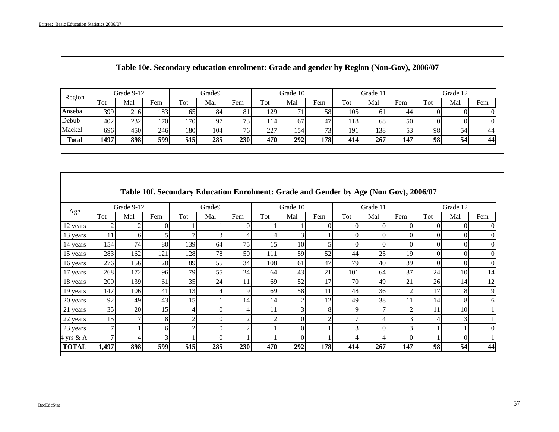Т

|              |      |            |      | Table 10e. Secondary education enrolment: Grade and gender by Region (Non-Gov), 2006/07 |        |     |      |          |      |     |          |                 |     |          |     |
|--------------|------|------------|------|-----------------------------------------------------------------------------------------|--------|-----|------|----------|------|-----|----------|-----------------|-----|----------|-----|
| Region       |      | Grade 9-12 |      |                                                                                         | Grade9 |     |      | Grade 10 |      |     | Grade 11 |                 |     | Grade 12 |     |
|              | Tot  | Mal        | Fem  | Tot                                                                                     | Mal    | Fem | Tot  | Mal      | Fem  | Tot | Mal      | Fem             | Tot | Mal      | Fem |
| Anseba       | 399  | 216        | 1831 | 165                                                                                     | 84     | 81  | 1291 |          | 58   | 105 | 61       | 44              |     |          |     |
| Debub        | 402  | 232        | 1701 | 1701                                                                                    | 97     | 73. | 1141 | 67       | 47   | 118 | 68       | 50I             |     |          |     |
| Maekel       | 696I | 450        | 246  | 180 <sup>1</sup>                                                                        | 104    | 76  | 227  | 154      | 731  | 191 | 1381     | 53 <sup>I</sup> | 98  | 54       | 44  |
| <b>Total</b> | 1497 | 898        | 599  | 515                                                                                     | 285    | 230 | 4701 | 292      | 178I | 414 | 267      | 147             | 98  | 54       | 44  |
|              |      |            |      |                                                                                         |        |     |      |          |      |     |          |                 |     |          |     |

|              |       |            |               |     |          | Table 10f. Secondary Education Enrolment: Grade and Gender by Age (Non Gov), 2006/07 |     |                         |     |          |          |                |          |          |     |
|--------------|-------|------------|---------------|-----|----------|--------------------------------------------------------------------------------------|-----|-------------------------|-----|----------|----------|----------------|----------|----------|-----|
|              |       | Grade 9-12 |               |     | Grade9   |                                                                                      |     | Grade 10                |     |          | Grade 11 |                |          | Grade 12 |     |
| Age          | Tot   | Mal        | Fem           | Tot | Mal      | Fem                                                                                  | Tot | Mal                     | Fem | Tot      | Mal      | Fem            | Tot      | Mal      | Fem |
| 12 years     |       |            | $\Omega$      |     |          | ΩI                                                                                   |     |                         |     | $\Omega$ |          | $\Omega$       |          |          |     |
| 13 years     | 11    | 6          |               | Ξ   |          |                                                                                      | 4   |                         |     | $\Omega$ |          | $\Omega$       |          |          |     |
| 14 years     | 154   | 74         | 80            | 139 | 64       | 75                                                                                   | 15  | 10                      |     | $\Omega$ |          | $\Omega$       |          |          |     |
| 15 years     | 283   | 162        | 121           | 128 | 78       | 50                                                                                   | 111 | 59                      | 52  | 44       | 25       | 19             |          |          |     |
| 16 years     | 276   | 156        | 120           | 89  | 55       | 34                                                                                   | 108 | 61                      | 47  | 79       | 40       | 39             | $\Omega$ |          |     |
| 17 years     | 268   | 172        | 96            | 79  | 55       | 24                                                                                   | 64  | 43                      | 21  | 101      | 64       | 37             | 24       | 10       | 14  |
| 18 years     | 200   | 139        | 61            | 35  | 24       | 11                                                                                   | 69  | 52                      | 17  | 70       | 49       | 21             | 26       | 14       | 12  |
| 19 years     | 147   | 106        | 41            | 13  |          | 9                                                                                    | 69  | 58                      | 11  | 48       | 36       | 12             | 17       |          | 9   |
| 20 years     | 92    | 49         | 43            | 15  |          | 14                                                                                   | 14  | $\mathcal{D}_{1}^{(1)}$ | 12  | 49       | 38       | 11             | 14       | 8        | 6   |
| 21 years     | 35    | 20         | 15            | 4   | $\Omega$ |                                                                                      | 11  | 3                       | 8   | 9        |          | $\overline{c}$ | 11       | 10       |     |
| 22 years     | 15    |            | 8             | C   | $\Omega$ | 2                                                                                    | 2   | 0                       |     |          | 4        |                |          |          |     |
| 23 years     |       |            | 61            | ŋ   |          | 2                                                                                    |     | 0                       |     |          |          |                |          |          |     |
| $4$ yrs & A  |       |            | $\mathcal{F}$ |     |          |                                                                                      |     | 0                       |     |          | 4        |                |          |          |     |
| <b>TOTAL</b> | 1,497 | 898        | 599           | 515 | 285      | 230                                                                                  | 470 | 292                     | 178 | 414      | 267      | 147            | 98       | 54       | 44  |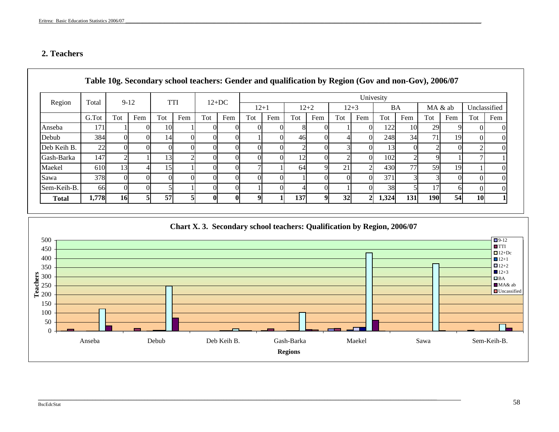## **2. Teachers**

|              |       |                |     |                 |            | Table 10g. Secondary school teachers: Gender and qualification by Region (Gov and non-Gov), 2006/07 |              |          |     |     |          |                 |          |                 |           |                 |         |           |              |
|--------------|-------|----------------|-----|-----------------|------------|-----------------------------------------------------------------------------------------------------|--------------|----------|-----|-----|----------|-----------------|----------|-----------------|-----------|-----------------|---------|-----------|--------------|
|              |       |                |     |                 |            |                                                                                                     |              |          |     |     |          |                 |          | Univesity       |           |                 |         |           |              |
| Region       | Total | $9-12$         |     |                 | <b>TTI</b> |                                                                                                     | $12+DC$      | $12 + 1$ |     |     | $12 + 2$ |                 | $12 + 3$ |                 | <b>BA</b> |                 | MA & ab |           | Unclassified |
|              | G.Tot | Tot            | Fem | Tot             | Fem        | Tot                                                                                                 | Fem          | Tot      | Fem | Tot | Fem      | Tot             | Fem      | Tot             | Fem       | Tot             | Fem     | Tot       | Fem          |
| Anseba       | 171   |                |     | 10              |            |                                                                                                     |              |          |     |     |          |                 |          | 1221            | 10        | 29              |         |           |              |
| Debub        | 384   | OI             | ΩI  | 14              |            |                                                                                                     |              |          |     | 46  |          |                 |          | 248             | 34        | 71              | 19      | $\Omega$  | $\Omega$     |
| Deb Keih B.  | 22    | $\Omega$       | OI  |                 |            |                                                                                                     |              |          |     |     |          |                 |          | 13 <sup>1</sup> | 0I        |                 |         | ◠         |              |
| Gash-Barka   | 147   | $\overline{2}$ |     | 13              |            |                                                                                                     |              |          |     | 12  |          |                 |          | 102             |           |                 |         |           |              |
| Maekel       | 610   | 13             |     | 15 <sup>1</sup> |            |                                                                                                     |              |          |     | 64  |          | 21              |          | 430             | 77        | 59              | 19      |           |              |
| Sawa         | 378   | $\overline{0}$ |     |                 |            |                                                                                                     |              |          |     |     |          |                 |          | 371             | 31        |                 |         |           |              |
| Sem-Keih-B.  | 66    | Ol             | ΩI  |                 |            |                                                                                                     |              |          |     |     |          |                 |          | 38              |           | $\overline{17}$ |         |           | $\Omega$     |
| <b>Total</b> | 1,778 | <b>16</b>      |     | 57              |            |                                                                                                     | $\mathbf{0}$ | Q        |     | 137 | Q        | 32 <sup>l</sup> |          | 1,324           | 131       | <b>190</b>      | 54      | <b>10</b> |              |

#### **Chart X. 3. Secondary school teachers: Qualification by Region, 2006/07**  $500$  +  $12$  $\Box$ 9-12 500 .<br>TTI 450  $+$  1 10 0 0 8 1 122 29 0 $12+Dc$ 400 $400 +$  $12+1$  4 248 71 0 12+2 350  $\leftarrow$  0002 3 13 2 212+3 **Teachers** 300  $\blacksquare$ BA  $500 -$  7 MA& ab 250  $\Box$ Uncassified 200  $\overline{\qquad \qquad }$  0 0 0 1 0 371 3 150 $\overline{100}$  5 0 1 4 1 38 17 50  $\overline{\blacksquare}$ 冖  $\mathbf 0$ Sem-Keih-B. Anseba Debub Deb Keih B. Gash-Barka Maekel Sawa Sem-Keih-B.**Regions**

\_\_\_\_\_\_\_\_\_\_\_\_\_\_\_\_\_\_\_\_\_\_\_\_\_\_\_\_\_\_\_\_\_\_\_\_\_\_\_\_\_\_\_\_\_\_\_\_\_\_\_\_\_\_\_\_\_\_\_\_\_\_\_\_\_\_\_\_\_\_\_\_\_\_\_\_\_\_\_\_\_\_\_\_\_\_\_\_\_\_\_\_\_\_\_\_\_\_\_\_\_\_\_\_\_\_\_\_\_\_\_\_\_\_\_\_\_\_\_\_\_\_\_\_\_\_\_\_\_\_\_\_\_\_\_\_\_\_\_\_\_\_\_\_\_\_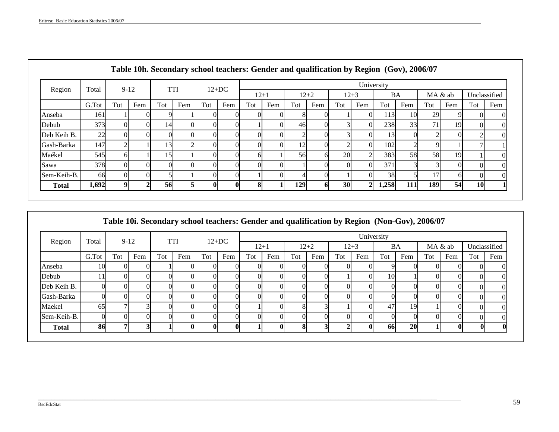| Region       | Total     | $9-12$ |     |     | <b>TTI</b> |              | $12+DC$      |        |     |     |          |          |                | University |     |         |     |              |     |
|--------------|-----------|--------|-----|-----|------------|--------------|--------------|--------|-----|-----|----------|----------|----------------|------------|-----|---------|-----|--------------|-----|
|              |           |        |     |     |            |              |              | $12+1$ |     |     | $12 + 2$ | $12 + 3$ |                | BA         |     | MA & ab |     | Unclassified |     |
|              | G.Tot     | Tot    | Fem | Tot | Fem        | Tot          | Fem          | Tot    | Fem | Tot | Fem      | Tot      | Fem            | Tot        | Fem | Tot     | Fem | Tot          | Fem |
| Anseba       | 161       |        |     |     |            |              |              |        |     |     |          |          | ОI             | 113        | 10  | 29      |     |              |     |
| Debub        | 373       |        |     | 14  |            |              |              |        | ΩI  | 46  |          |          | $\Omega$       | 238        | 33  | 71      | 19  |              |     |
| Deb Keih B.  | <b>22</b> |        | ΩI  |     |            |              |              |        | O   |     |          |          | $\Omega$       | 13         |     |         |     |              |     |
| Gash-Barka   | 147       |        |     | 13  |            |              |              |        | O   | 12  |          |          | $\Omega$       | 102        |     | Q       |     |              |     |
| Maékel       | 545       |        |     | 15  |            |              |              |        |     | 56  |          | 20       | $\sim$         | 383        | 58  | 58      | 19  |              |     |
| Sawa         | 378       |        |     |     |            |              |              |        | OI. |     |          |          | $\Omega$       | 371        |     | 3       | ΩI  |              |     |
| Sem-Keih-B.  | <b>66</b> |        |     |     |            |              | ΩI           |        | O   |     |          |          | ОI             | 38         |     | 17      |     |              |     |
| <b>Total</b> | 1,692     | A      |     | 56  |            | $\mathbf{0}$ | $\mathbf{0}$ |        |     | 129 |          | 30       | 2 <sup>1</sup> | 1,258      | 111 | 189     | 54  | <b>10</b>    |     |

| Table 10i. Secondary school teachers: Gender and qualification by Region (Non-Gov), 2006/07 |  |  |  |
|---------------------------------------------------------------------------------------------|--|--|--|
|                                                                                             |  |  |  |

| Region       | Total          | $9-12$ |     |     | <b>TTI</b>   |              | $12+DC$      |        |          |     |          |          |              | University |           |     |         |              |                   |
|--------------|----------------|--------|-----|-----|--------------|--------------|--------------|--------|----------|-----|----------|----------|--------------|------------|-----------|-----|---------|--------------|-------------------|
|              |                |        |     |     |              |              |              | $12+1$ |          |     | $12 + 2$ | $12 + 3$ |              | BA         |           |     | MA & ab | Unclassified |                   |
|              | G.Tot          | Tot    | Fem | Tot | Fem          | Tot          | Fem          | Tot    | Fem      | Tot | Fem      | Tot      | Fem          | Tot        | Fem       | Tot | Fem     | Tot          | Fem               |
| Anseba       | 10             |        |     |     |              |              |              |        |          |     |          |          |              | O.         |           |     |         |              |                   |
| Debub        | 11             | O      |     |     |              | $\Omega$     |              |        |          |     |          |          | O            | 10         |           |     |         |              |                   |
| Deb Keih B.  | $\Omega$       |        |     |     |              |              | 0            |        |          |     |          |          | $\Omega$     | ΩI         |           |     |         |              |                   |
| Gash-Barka   | $\Omega$       |        |     |     |              |              |              |        |          |     |          |          | 0            | OI         |           |     |         |              |                   |
| Maekel       | 65             |        |     |     | 0            | $\Omega$     | O.           |        |          |     |          |          | 0l           | 47         | 19        |     |         |              | $^{\prime\prime}$ |
| Sem-Keih-B.  | $\overline{0}$ |        |     |     | ∩            | 0            | $\Omega$     |        |          |     |          |          | $\Omega$     | ΩI         |           |     |         |              |                   |
| <b>Total</b> | 86             |        |     |     | $\mathbf{0}$ | $\mathbf{0}$ | $\mathbf{0}$ |        | $\bf{0}$ |     |          |          | $\mathbf{0}$ | -661       | <b>20</b> |     |         | 0            | $\mathbf{0}$      |

\_\_\_\_\_\_\_\_\_\_\_\_\_\_\_\_\_\_\_\_\_\_\_\_\_\_\_\_\_\_\_\_\_\_\_\_\_\_\_\_\_\_\_\_\_\_\_\_\_\_\_\_\_\_\_\_\_\_\_\_\_\_\_\_\_\_\_\_\_\_\_\_\_\_\_\_\_\_\_\_\_\_\_\_\_\_\_\_\_\_\_\_\_\_\_\_\_\_\_\_\_\_\_\_\_\_\_\_\_\_\_\_\_\_\_\_\_\_\_\_\_\_\_\_\_\_\_\_\_\_\_\_\_\_\_\_\_\_\_\_\_\_\_\_\_\_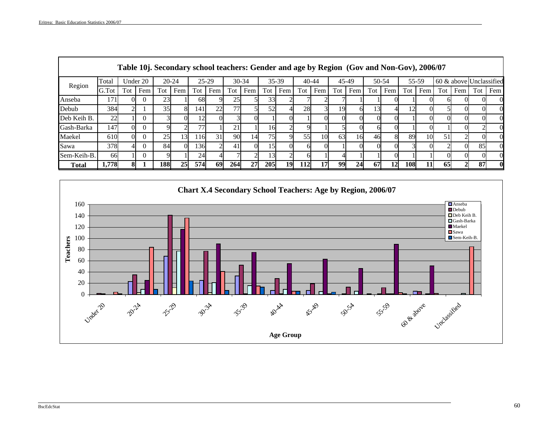|              |       |     |          | Table 10j. Secondary school teachers: Gender and age by Region (Gov and Non-Gov), 2006/07 |     |     |         |     |           |            |       |           |                 |       |     |       |     |     |       |     |     |                         |     |
|--------------|-------|-----|----------|-------------------------------------------------------------------------------------------|-----|-----|---------|-----|-----------|------------|-------|-----------|-----------------|-------|-----|-------|-----|-----|-------|-----|-----|-------------------------|-----|
| Region       | Total |     | Under 20 | $20 - 24$                                                                                 |     |     | $25-29$ |     | $30 - 34$ |            | 35-39 | $40 - 44$ |                 | 45-49 |     | 50-54 |     |     | 55-59 |     |     | 60 & above Unclassified |     |
|              | G.Tot | Tot | Fem      | Tot                                                                                       | Fem | Tot | Fem     | Tot | Fem       | Tot        | Fem   | Tot       | Fem             | Tot   | Fem | Tot   | Fem | Tot | Fem   | Tot | Fem | Tot                     | Fem |
| Anseba       | 171   |     |          | 23                                                                                        |     | 68  |         | 25  |           | 33         |       |           |                 |       |     |       |     |     |       |     |     |                         |     |
| Debub        | 384   |     |          | 35                                                                                        |     | 141 | 22      | 77  |           | 52         |       | 28        |                 | 19    | ы   | 13    |     | 12  |       |     |     |                         |     |
| Deb Keih B.  | 22    |     |          |                                                                                           |     |     |         |     |           |            |       |           |                 |       |     |       |     |     |       |     |     |                         |     |
| Gash-Barka   | 147   | ОI  |          | 9                                                                                         |     |     |         | 21  |           | .61        |       |           |                 |       |     | ы     |     |     |       |     |     |                         |     |
| Maekel       | 610   | ΩL  |          | 25                                                                                        | 13  | 116 | 31      | 90  | 14        | 75         |       | 55        | 10              | 63    | 16  | 46    | 8   | 89  | 10    | 51  |     |                         |     |
| Sawa         | 378   |     |          | 84                                                                                        |     | 136 |         | 41  |           | .51        |       |           |                 |       |     |       |     |     |       |     |     | 85                      |     |
| Sem-Keih-B.  | 66    |     |          |                                                                                           |     | 24  |         |     |           | ا31        |       |           |                 |       |     |       |     |     |       |     |     |                         |     |
| <b>Total</b> | 1.778 | 81  |          | 188                                                                                       | 25  | 574 | 69      | 264 | 27        | <b>205</b> | 19    | 112       | 17 <sup>1</sup> | 99    | 24  | 67    | 12  | 108 | 11    | 65  |     | 87                      |     |



\_\_\_\_\_\_\_\_\_\_\_\_\_\_\_\_\_\_\_\_\_\_\_\_\_\_\_\_\_\_\_\_\_\_\_\_\_\_\_\_\_\_\_\_\_\_\_\_\_\_\_\_\_\_\_\_\_\_\_\_\_\_\_\_\_\_\_\_\_\_\_\_\_\_\_\_\_\_\_\_\_\_\_\_\_\_\_\_\_\_\_\_\_\_\_\_\_\_\_\_\_\_\_\_\_\_\_\_\_\_\_\_\_\_\_\_\_\_\_\_\_\_\_\_\_\_\_\_\_\_\_\_\_\_\_\_\_\_\_\_\_\_\_\_\_\_\_\_\_\_\_\_\_\_\_\_\_\_\_\_\_\_\_\_\_\_\_\_\_\_\_

#### BscEdcStat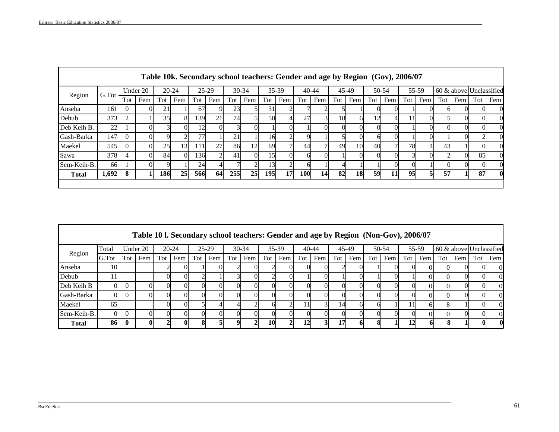г

**r** 

|              |       |          |          |     |           |     |               |     |           |     | Table 10k. Secondary school teachers: Gender and age by Region (Gov), 2006/07 |           |     |     |       |     |       |     |       |     |     |                         |             |
|--------------|-------|----------|----------|-----|-----------|-----|---------------|-----|-----------|-----|-------------------------------------------------------------------------------|-----------|-----|-----|-------|-----|-------|-----|-------|-----|-----|-------------------------|-------------|
|              | G.Tot |          | Under 20 |     | $20 - 24$ |     | $25 - 29$     |     | $30 - 34$ |     | 35-39                                                                         | $40 - 44$ |     |     | 45-49 |     | 50-54 |     | 55-59 |     |     | 60 & above Unclassified |             |
| Region       |       | Tot      | Fem      | Tot | Fem       | Tot | Fem           | Tot | Fem       | Tot | Fem                                                                           | Tot       | Fem | Tot | Fem   | Tot | Fem   | Tot | Fem   | Tot | Fem | Tot                     | Fem         |
| Anseba       | 161   | $\Omega$ |          | 21  |           | 67  |               | 23  |           | 31  |                                                                               |           |     |     |       |     |       |     |       |     |     |                         |             |
| Debub        | 373   |          |          | 35  |           | 139 | <b>21</b>     | 74  |           | 50  |                                                                               | 27        |     | 18  | ы     | 12  |       |     |       |     |     |                         |             |
| Deb Keih B.  | 22    |          |          |     |           | 12  |               |     |           |     |                                                                               |           |     |     |       | O.  |       |     |       |     |     |                         |             |
| Gash-Barka   | 147   | $\Omega$ | ΩI       |     |           | 77  |               | 21  |           | 16  |                                                                               |           |     |     |       | 61  |       |     |       |     |     |                         |             |
| Maekel       | 545   |          |          | 25  | 13        | 111 | 27            | 86  | 12        | 69  |                                                                               | 44        |     | 49  | 10    | 40  |       | 78  |       | 43  |     |                         |             |
| Sawa         | 378   | 4        | ΩI       | 84  |           | 136 | $\mathcal{D}$ | 41  |           | 15  |                                                                               |           |     |     |       | 0   |       |     |       |     |     | 85                      |             |
| Sem-Keih-B.  | 66    |          |          |     |           | 24  |               |     |           | 13I |                                                                               |           |     |     |       |     |       |     |       |     |     |                         |             |
| <b>Total</b> | 1,692 | 8        |          | 186 | 25        | 566 | 64            | 255 | 25        | 195 | <b>17</b>                                                                     | 100       | 14  | 82  | 18    | 59  | 11    | 95  | 51    | 57  |     | 87                      | $\mathbf 0$ |
|              |       |          |          |     |           |     |               |     |           |     |                                                                               |           |     |     |       |     |       |     |       |     |     |                         |             |

|              |       |     |          |     |           |     | Table 10 l. Secondary school teachers: Gender and age by Region (Non-Gov), 2006/07 |     |         |     |       |           |     |     |       |     |       |     |       |     |     |                         |             |
|--------------|-------|-----|----------|-----|-----------|-----|------------------------------------------------------------------------------------|-----|---------|-----|-------|-----------|-----|-----|-------|-----|-------|-----|-------|-----|-----|-------------------------|-------------|
| Region       | Total |     | Under 20 |     | $20 - 24$ |     | $25-29$                                                                            |     | $30-34$ |     | 35-39 | $40 - 44$ |     |     | 45-49 |     | 50-54 |     | 55-59 |     |     | 60 & above Unclassified |             |
|              | G.Tot | Tot | Fem      | Tot | Fem       | Tot | Fem                                                                                | Tot | Fem     | Tot | Fem   | Tot       | Fem | Tot | Fem   | Tot | Fem   | Tot | Fem   | Tot | Fem | Tot                     | Fem         |
| Anseba       | 10    |     |          |     |           |     |                                                                                    |     |         |     |       |           |     |     |       |     |       |     |       |     |     |                         |             |
| Debub        |       |     |          |     |           |     |                                                                                    |     |         |     |       |           |     |     |       |     |       |     |       |     |     |                         |             |
| Deb Keih B   |       |     |          |     |           |     |                                                                                    |     |         |     |       |           |     |     |       |     |       |     |       |     |     |                         |             |
| Gash-Barka   |       |     |          |     |           |     |                                                                                    |     |         |     |       |           |     |     |       |     |       |     |       |     |     |                         |             |
| Maekel       | 65    |     |          |     |           |     |                                                                                    |     |         |     |       |           |     | 14  |       |     |       |     |       |     |     |                         | $\Omega$    |
| Sem-Keih-B.  |       |     |          |     |           |     |                                                                                    |     |         |     |       |           |     |     |       |     |       |     |       |     |     |                         |             |
| <b>Total</b> | 86    |     |          |     |           |     |                                                                                    |     |         | 10  |       | 12        |     |     |       |     |       |     |       |     |     |                         | $\mathbf 0$ |

\_\_\_\_\_\_\_\_\_\_\_\_\_\_\_\_\_\_\_\_\_\_\_\_\_\_\_\_\_\_\_\_\_\_\_\_\_\_\_\_\_\_\_\_\_\_\_\_\_\_\_\_\_\_\_\_\_\_\_\_\_\_\_\_\_\_\_\_\_\_\_\_\_\_\_\_\_\_\_\_\_\_\_\_\_\_\_\_\_\_\_\_\_\_\_\_\_\_\_\_\_\_\_\_\_\_\_\_\_\_\_\_\_\_\_\_\_\_\_\_\_\_\_\_\_\_\_\_\_\_\_\_\_\_\_\_\_\_\_\_\_\_\_\_\_\_\_\_\_\_\_\_\_\_\_\_\_\_\_\_\_\_\_\_\_\_\_\_\_\_\_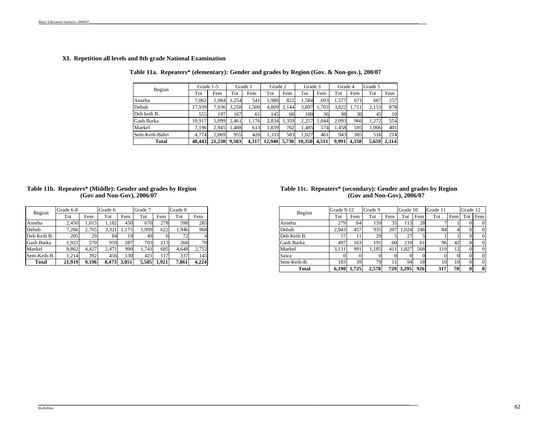#### **XI. Repetition all levels and 8th grade National Examination**

**Table 11a. Repeaters\* (elementary): Gender and grades by Region (Gov. & Non-gov.), 200/07**

| Region         |        | Grade 1-5 |       | Grade 1 | Grade 2 |       | Grade 3 |       | Grade 4 |       | Grade 5 |       |
|----------------|--------|-----------|-------|---------|---------|-------|---------|-------|---------|-------|---------|-------|
|                | Tot    | Fem       | Tot   | Fem     | Tot     | Fem   | Tot     | Fem   | Tot     | Fem   | Tot     | Fem   |
| Anseba         | 7.062  | 2,984     | 1.254 | 541     | 1.980   | 822   | 1.584   | 693   | 1,577   | 671   | 667     | 257   |
| Debub          | 17,939 | 7,936     | 3,258 | 1,500   | 4,809   | 2.144 | 3,897   | 1,703 | 3,822   | 1.711 | 2,153   | 878   |
| Deb keih B.    | 555    | 197       | 167   | 61      | 1451    | 60    | 100     | 36    | 98      | 30    | 45      | 10    |
| Gash Barka     | 10,917 | 5,099     | 2.461 | 1.176   | 2.834   | .359  | 2,257   | 1.044 | 2.093   | 966   | 1,272   | 554   |
| Maekel         | 7,196  | 2.945     | .408  | 613     | 1,839   | 762   | 1,485   | 574   | 1.458   | 5951  | 1.006   | 401   |
| Sem-Keih-Bahri | 4,774  | 2.069     | 955   | 426     | 1,333   | 583   | 1,027   | 461   | 943     | 385   | 516     | 214   |
| Total          | 48,443 | 21,230    | 9,503 | 4,317   | 12.940  | 5,730 | 10.350  | 4.511 | 9.991   | 4,358 | 5,659   | 2,314 |

#### **(Gov and Non-Gov), 2006/07 Table 11b. Repeaters\* (Middle): Gender and grades by Region**

| Region      | Grade 6-8 |       | Grade 6 |       | Grade 7 |       | Grade 8 |       |
|-------------|-----------|-------|---------|-------|---------|-------|---------|-------|
|             | Tot       | Fem   | Tot     | Fem   | Tot     | Fem   | Tot     | Fem   |
| Anseba      | 2.450     | 1.013 | 1,182   | 450   | 670     | 278   | 598     | 285   |
| Debub       | 7.266     | 2,765 | 3.321   | 1.175 | 1.999   | 622   | 1.946   | 968   |
| Deb Keih B. | 205       | 29    | 84      | 19    | 49      |       | 72      |       |
| Gash Barka  | 1.922     | 570   | 959     | 287   | 703     | 213   | 260     | 70    |
| Maekel      | 8.862     | 4.427 | 2.471   | 990   | 1.743   | 685   | 4.648   | 2.752 |
| Sem-Keih-B. | 1.214     | 392   | 456     | 130   | 421     | 117   | 337     | 145   |
| Total       | 21.919    | 9.196 | 8.473   | 3.051 | 5.585   | 1.921 | 7.861   | 4.224 |

#### **(Gov and Non-Gov), 2006/07 Table 11c. Repeaters\* (secondary): Gender and grades by Region**

|             | Grade 6-8 |       | Grade 6 |       | Grade 7 |       | Grade 8 |       | Region      | Grade 9-12 |       | Grade 9         |                  | Grade 10  |               | Grade 11 |           | Grade 12     |          |
|-------------|-----------|-------|---------|-------|---------|-------|---------|-------|-------------|------------|-------|-----------------|------------------|-----------|---------------|----------|-----------|--------------|----------|
| Region      | Tot       | Fem   | Tot     | Fem   | ľot     | Fem   | Tot     | Fem   |             | Tot        | Fem   | Tot             | Fem              | Tot       | Fem           | Tot      | Fem       | Tot Fem      |          |
| Anseba      | 2,450     | 1,013 | 182     | 450   | 670     | 278   | 598     | 285   | Anseba      | 279        | 64    | ا59،            |                  | 13        | 28            |          |           |              | $\Omega$ |
| Debub       | 7,266     | 2.765 | 3.321   | 1,175 | 1,999   | 622   | 1,946   | 968   | Debub       | 2,043      | 457   | 935             | 207              | 1,024     | 246           | 84       |           |              | $\Omega$ |
| Deb Keih B. | 205       | 29    | -84     |       | 49.     |       |         |       | Deb Keih B. | 57         |       | 29 <sub>1</sub> |                  |           |               |          |           | $\Omega$     |          |
| Gash Barka  | 1,922     | 570   | 959     | 287   | 703     | 213   | 260     | 70    | Gash Barka  | 497        | 163   | 191             | 60               | 210       | <sup>61</sup> | 96       |           | $\Omega$     |          |
| Maekel      | 8,862     | 4,427 | 2.471   | 990   | .743    | 685   | 4,648   | 2,752 | Maekel      | 3,131      | 991   | .185            | 411 <sup>-</sup> | 1,827     | 568           | 119      |           | $\Omega$     |          |
| Sem-Keih-B. | 1.214     | 392   | 456     | 130   | 4211    | 117   | 337     | 145   | Sawa        |            |       |                 |                  |           |               |          |           | $\Omega$     |          |
| Total       | 21,919    | 9.196 | 8,473   | 3,051 | 5,585   | 1,921 | 7,861   | 4,224 | Sem-Keih-B. | 183        | 39    | 79              |                  | 94        | 18            | 10       | 10        | $\Omega$     |          |
|             |           |       |         |       |         |       |         |       | Total       | 6.190      | 1.725 | 2.578           |                  | 729 3,295 | 926           | 317      | <b>70</b> | $\mathbf{0}$ |          |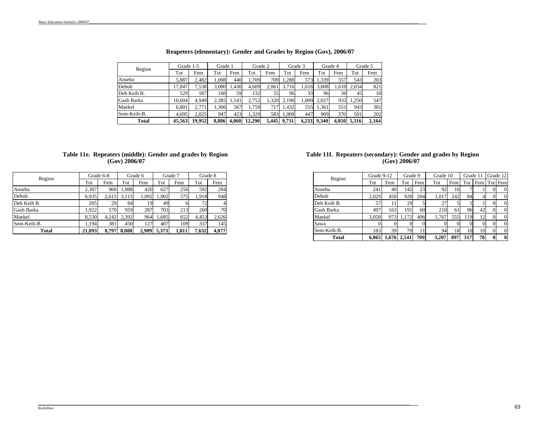| Region      | Grade 1-5 |        | Grade 1 |       | Grade 2 |       |       | Grade 3 |       | Grade 4 |             | Grade 5 |
|-------------|-----------|--------|---------|-------|---------|-------|-------|---------|-------|---------|-------------|---------|
|             | Tot       | Fem    | Tot     | Fem   | Tot     | Fem   | Tot   | Fem     | Tot   | Fem     | Tot         | Fem     |
| Anseba      | 5,887     | 2.482  | 1.008   | 440   | 1.709   | 709   | .288  | 573     | 1.339 | 557     | 543         | 203     |
| Debub       | 17.047    | .538   | 3.080   | .430  | 4.609   | 2.061 | 3.716 | .616    | 3.608 | 1.610   | 2.034       | 821     |
| Deb Keih B. | 529       | 187    | 160     | 59    | 1321    | 55    | 96    | 33      | 96    | 30      | 45          | 10      |
| Gash Barka  | 10.604    | 4.949  | 2.385   | .141  | 2.752   | 1.320 | 2.190 | 1.009   | 2.027 | 932     | .250        | 547     |
| Maekel      | 6.801     | 2.771  | 1.306   | 567   | 1,759   | 717   | 1.432 | 555     | 1.361 | 551     | 943         | 381     |
| Sem-Keih-B. | 4.695     | 2.025  | 947     | 423   | 1.329   | 583   | 1.009 | 447     | 909   | 370     | 501         | 202     |
| Total       | 45.563    | 19.952 | 8.886   | 4.060 | 12.290  | 5.445 | 9.731 | 4.233   | 9.340 |         | 4,050 5,316 | 2,164   |

#### **Reapeters (elementary): Gender and Grades by Region (Gov), 2006/07**

#### **Table 11e. Repeaters (middle): Gender and grades by Region (Gov) 2006/07**

| Region      |        | Grade 6-8 |       | Grade 6 |       | Grade 7 | Grade 8 |                |
|-------------|--------|-----------|-------|---------|-------|---------|---------|----------------|
|             | Tot    | Fem       | Tot   | Fem     | Tot   | Fem     | Tot     | Fem            |
| Anseba      | 2.307  | 960       | 1.088 | 420     | 627   | 256     | 592     | 284            |
| Debub       | 6,935  | 2.615     | 3.115 | 1.092   | 1.902 | 575     | 1.918   | 948            |
| Deb Keih B. | 205    | 29        | 84    | 19      | 49    |         |         | $\overline{4}$ |
| Gash Barka  | 1.922  | 570       | 959   | 287     | 703   | 213     | 260     | 70             |
| Maekel      | 8.530  | 4.242     | 2,392 | 964     | 1,685 | 652     | 4,453   | 2,626          |
| Sem-Keih-B. | 1.194  | 381       | 450   | 127     | 407   | 109     | 337     | 145            |
| Total       | 21.093 | 8.797     | 8.088 | 2.909   | 5.373 | 1,811   | 7,632   | 4,077          |

#### **Table 11f. Repeaters (secondary): Gender and grades by Region (Gov) 2006/07**

| Region       |        | Grade 8    | Grade 7        |       | Grade 6 |             | Grade 6-8      |
|--------------|--------|------------|----------------|-------|---------|-------------|----------------|
|              |        | Tot<br>Fem | Fem            | Tot   | Fem     | Tot         |                |
| Anseba       |        | 284<br>592 | 256            | 627   | 420     |             | 1,088          |
| Debub        |        |            | 948<br>1.918   | 575   | 1,902   | 1.092       | 2,615<br>3,115 |
| Deb Keih B.  |        |            |                |       | 49      |             | 84             |
| Gash Barka   |        |            | 70<br>260      |       | 703     | 287         | 959            |
|              | Maekel |            | 2,626<br>4,453 | 652   | 1,685   | 964         | 2,392<br>4,242 |
| Sawa         |        |            | 145<br>337     | 109   | 407     | 127         | 450            |
| Sem-Keih-B.  |        |            | 4,077<br>7,632 | 1,811 |         | 2,909 5,373 | 8,088<br>8.797 |
| <b>Total</b> |        |            |                |       |         |             |                |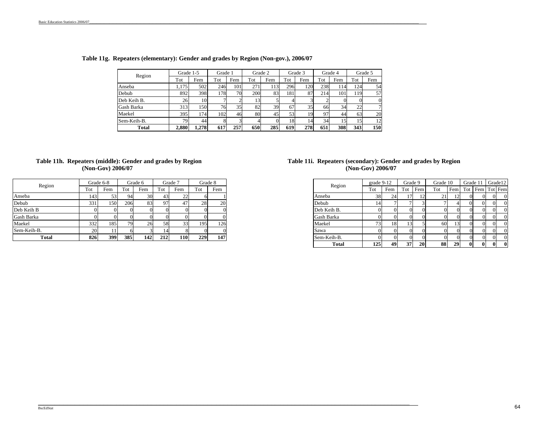| Region      | Grade 1-5 |       | Grade 1 |     |     | Grade 2 | Grade 3 |     |     | Grade 4 | Grade 5 |          |  |
|-------------|-----------|-------|---------|-----|-----|---------|---------|-----|-----|---------|---------|----------|--|
|             | Tot       | Fem   | Tot     | Fem | Tot | Fem     | Tot     | Fem | Tot | Fem     | Tot     | Fem      |  |
| Anseba      | 1.175     | 502   | 246     | 101 | 271 | 113     | 296     | 120 | 238 | 114     | 124     | 54       |  |
| Debub       | 892       | 398   | l 78I   | 70  | 200 | 83      | 1811    | 87  | 214 | 101     | 119     | 57       |  |
| Deb Keih B. | 26        | 10    |         |     | 13  |         |         |     |     |         |         | $\theta$ |  |
| Gash Barka  | 313       | 1501  | 76      | 35  | 82  | 39      | 67      | 35  | 66  | 34      | 22      | 7        |  |
| Maekel      | 395       | 174   | 102     | 46  | 80  | 45      | 53      | 19  | 97  | 44      | 63      | 20       |  |
| Sem-Keih-B. | 79        | 44    |         |     |     |         | 18      | 14  | 34  | 15      | 15      | 12       |  |
| Total       | 2,880     | 1.278 | 617     | 257 | 650 | 285     | 619     | 278 | 651 | 308     | 343     | 150      |  |

#### **Table 11g. Repeaters (elementary): Gender and grades by Region (Non-gov.), 2006/07**

#### **(Non-Gov) 2006/07 Table 11h. Repeaters (middle): Gender and grades by Region**

| Region      |     | Grade 6-8 |     | Grade 6 |     | Grade 7 | Grade 8 |     |  |
|-------------|-----|-----------|-----|---------|-----|---------|---------|-----|--|
|             | Tot | Fem       | Tot | Fem     | Tot | Fem     | Tot     | Fem |  |
| Anseba      | 143 | 53        | 94  | 30      | 43  | 22      |         |     |  |
| Debub       | 331 | 150       | 206 | 83      | 97  | 47      | 28      | 20  |  |
| Deb Keih B  |     |           |     |         |     |         |         |     |  |
| Gash Barka  |     |           |     |         |     |         |         |     |  |
| Maekel      | 332 | 185       | 79  | 26      | 58  | 33      | 195     | 126 |  |
| Sem-Keih-B. | 20  |           |     |         | 14  |         |         |     |  |
| Total       | 826 | 399       | 385 | 142     | 212 | 110     | 229     | 147 |  |

#### **Table 11i. Repeaters (secondary): Gender and grades by Region (Non-Gov) 2006/07**

|     | Grade 6-8 |     | Grade 6 |     | Grade 7    |     | Grade 8 | Region       | grade $9-12$ |     |                 | Grade 9   | Grade 10 |     | Grade 1  |                 | Grade12  |  |
|-----|-----------|-----|---------|-----|------------|-----|---------|--------------|--------------|-----|-----------------|-----------|----------|-----|----------|-----------------|----------|--|
| Tot | Fem       | Tot | Fem     | Tot | Fem        | Tot | Fem     |              | Tot          | Fem | Tot             | Fem       | Tot      | Fem |          | Tot Fem Tot Fem |          |  |
| 143 | 53        | 94  |         | 43  | 22         |     |         | Anseba       | 38           | 24  |                 | 12        | 21       |     |          |                 | $\Omega$ |  |
| 331 | 150       | 206 | 83      | 97  | 47         | 28  | 20      | Debub        | 14           |     |                 |           |          |     | $\Omega$ | 01              | $\Omega$ |  |
|     |           |     |         |     |            |     |         | Deb Keih B.  |              |     |                 |           |          |     |          |                 | $\Omega$ |  |
|     |           |     |         |     |            |     |         | Gash Barka   |              |     |                 |           |          |     |          |                 | $\Omega$ |  |
| 332 | 185       | 79. |         | 58  | 33         | 195 | 126     | Maekel       | 731          | 18  |                 |           | 60       |     |          |                 | $\Omega$ |  |
| 20  |           |     |         |     |            |     |         | Sawa         |              |     |                 |           |          |     |          |                 | $\Omega$ |  |
| 826 | 399       | 385 | 142     | 212 | <b>110</b> | 229 | 147     | Sem-Keih-B.  |              |     |                 |           |          |     |          |                 | $\Omega$ |  |
|     |           |     |         |     |            |     |         | <b>Total</b> | 125          | 49  | 37 <sup>1</sup> | <b>20</b> | 88       | 29  | $\bf{0}$ | $\bf{0}$        | $\bf{0}$ |  |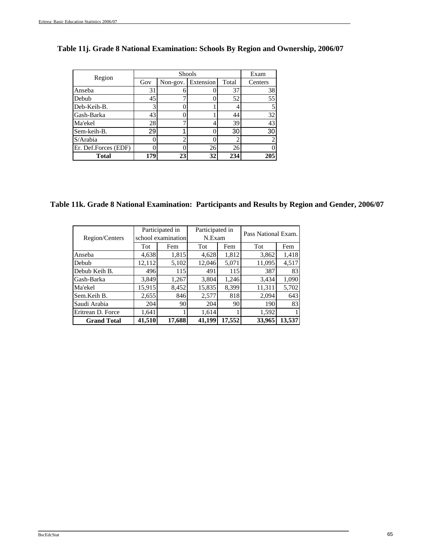|                      |     | Exam     |           |       |         |
|----------------------|-----|----------|-----------|-------|---------|
| Region               | Gov | Non-gov. | Extension | Total | Centers |
| Anseba               | 31  |          |           | 37    | 38      |
| Debub                | 45  |          |           | 52    | 55      |
| Deb-Keih-B.          | 3   |          |           |       |         |
| Gash-Barka           | 43  |          |           | 44    | 32      |
| Ma'ekel              | 28  |          |           | 39    | 43      |
| Sem-keih-B.          | 29  |          |           | 30    | 30      |
| S/Arabia             |     |          |           |       |         |
| Er. Def.Forces (EDF) |     |          | 26        | 26    |         |
| <b>Total</b>         | 179 | 23       | 32        | 234   | 205     |

## **Table 11j. Grade 8 National Examination: Schools By Region and Ownership, 2006/07**

**Table 11k. Grade 8 National Examination: Participants and Results by Region and Gender, 2006/07**

|                    |        | Participated in    | Participated in |        | Pass National Exam. |        |  |  |
|--------------------|--------|--------------------|-----------------|--------|---------------------|--------|--|--|
| Region/Centers     |        | school examination | N.Exam          |        |                     |        |  |  |
|                    | Tot    | Fem                | Tot             | Fem    | Tot                 | Fem    |  |  |
| Anseba             | 4,638  | 1,815              | 4,628           | 1,812  | 3,862               | 1,418  |  |  |
| Debub              | 12,112 | 5,102              | 12,046          | 5,071  | 11,095              | 4,517  |  |  |
| Debub Keih B.      | 496    | 115                | 491             | 115    | 387                 | 83     |  |  |
| Gash-Barka         | 3,849  | 1,267              | 3,804           | 1,246  | 3,434               | 1,090  |  |  |
| Ma'ekel            | 15,915 | 8,452              | 15,835          | 8,399  | 11,311              | 5,702  |  |  |
| Sem.Keih B.        | 2,655  | 846                | 2,577           | 818    | 2,094               | 643    |  |  |
| Saudi Arabia       | 204    | 90                 | 204             | 90     | 190                 | 83     |  |  |
| Eritrean D. Force  | 1,641  |                    | 1,614           |        | 1,592               |        |  |  |
| <b>Grand Total</b> | 41,510 | 17,688             | 41,199          | 17,552 | 33,965              | 13,537 |  |  |

\_\_\_\_\_\_\_\_\_\_\_\_\_\_\_\_\_\_\_\_\_\_\_\_\_\_\_\_\_\_\_\_\_\_\_\_\_\_\_\_\_\_\_\_\_\_\_\_\_\_\_\_\_\_\_\_\_\_\_\_\_\_\_\_\_\_\_\_\_\_\_\_\_\_\_\_\_\_\_\_\_\_\_\_\_\_\_\_\_\_\_\_\_\_\_\_\_\_\_\_\_\_\_\_\_\_\_\_\_\_\_\_\_\_\_\_\_\_\_\_\_\_\_\_\_\_\_\_\_\_\_\_\_\_\_\_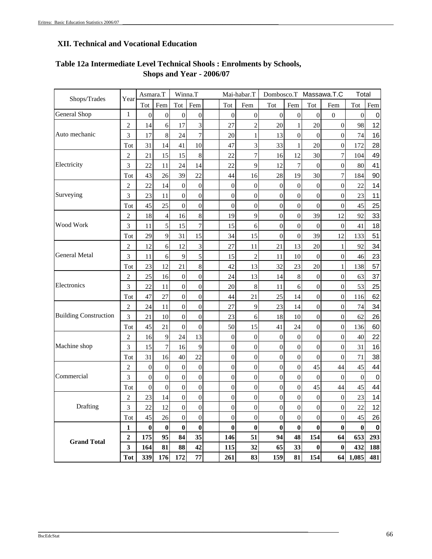# **XII. Technical and Vocational Education**

| Shops/Trades                 | Year             | Asmara.T         |                  |                  | Winna.T          |                  | Mai-habar.T      |                  |                  |                  | Dombosco.T Massawa.T.C | Total          |             |
|------------------------------|------------------|------------------|------------------|------------------|------------------|------------------|------------------|------------------|------------------|------------------|------------------------|----------------|-------------|
|                              |                  | Tot              | Fem              | Tot              | Fem              | Tot              | Fem              | Tot              | Fem              | Tot              | Fem                    | <b>Tot</b>     | Fem         |
| General Shop                 | $\mathbf{1}$     | $\boldsymbol{0}$ | $\boldsymbol{0}$ | $\boldsymbol{0}$ | $\boldsymbol{0}$ | $\overline{0}$   | $\boldsymbol{0}$ | $\boldsymbol{0}$ | $\boldsymbol{0}$ | $\boldsymbol{0}$ | $\mathbf{0}$           | $\overline{0}$ | $\mathbf 0$ |
|                              | $\overline{2}$   | 14               | 6                | 17               | 3                | 27               | $\overline{2}$   | 20               | $\mathbf{1}$     | 20               | $\overline{0}$         | 98             | 12          |
| Auto mechanic                | 3                | 17               | 8                | 24               | $\overline{7}$   | 20               | 1                | 13               | $\boldsymbol{0}$ | $\boldsymbol{0}$ | $\overline{0}$         | 74             | 16          |
|                              | Tot              | 31               | 14               | 41               | 10               | 47               | 3                | 33               |                  | 20               | $\boldsymbol{0}$       | 172            | 28          |
|                              | $\overline{2}$   | 21               | 15               | 15               | 8                | 22               | 7                | 16               | 12               | 30               | $\boldsymbol{7}$       | 104            | 49          |
| Electricity                  | 3                | 22               | 11               | 24               | 14               | 22               | 9                | 12               | 7                | $\boldsymbol{0}$ | $\boldsymbol{0}$       | 80             | 41          |
|                              | Tot              | 43               | 26               | 39               | 22               | 44               | 16               | 28               | 19               | 30               | 7                      | 184            | 90          |
|                              | $\overline{c}$   | 22               | 14               | $\boldsymbol{0}$ | $\overline{0}$   | $\overline{0}$   | $\boldsymbol{0}$ | $\boldsymbol{0}$ | $\boldsymbol{0}$ | $\boldsymbol{0}$ | $\boldsymbol{0}$       | 22             | 14          |
| Surveying                    | 3                | 23               | 11               | $\boldsymbol{0}$ | $\boldsymbol{0}$ | $\overline{0}$   | 0                | $\boldsymbol{0}$ | $\boldsymbol{0}$ | $\boldsymbol{0}$ | $\boldsymbol{0}$       | 23             | 11          |
|                              | Tot              | 45               | 25               | $\mathbf{0}$     | $\overline{0}$   | $\overline{0}$   | $\boldsymbol{0}$ | $\boldsymbol{0}$ | $\boldsymbol{0}$ | $\boldsymbol{0}$ | $\overline{0}$         | 45             | 25          |
|                              | 2                | 18               | 4                | 16               | 8                | 19               | 9                | $\overline{0}$   | $\boldsymbol{0}$ | 39               | 12                     | 92             | 33          |
| Wood Work                    | 3                | 11               | 5                | 15               | $\overline{7}$   | 15               | 6                | $\boldsymbol{0}$ | $\boldsymbol{0}$ | $\boldsymbol{0}$ | $\boldsymbol{0}$       | 41             | 18          |
|                              | Tot              | 29               | 9                | 31               | 15               | 34               | 15               | $\overline{0}$   | $\boldsymbol{0}$ | 39               | 12                     | 133            | 51          |
|                              | 2                | 12               | 6                | 12               | 3                | 27               | 11               | 21               | 13               | 20               | 1                      | 92             | 34          |
| <b>General Metal</b>         | 3                | 11               | 6                | 9                | 5                | 15               | $\overline{c}$   | 11               | 10               | $\mathbf{0}$     | $\overline{0}$         | 46             | 23          |
|                              | Tot              | 23               | 12               | 21               | 8                | 42               | 13               | 32               | 23               | 20               | 1                      | 138            | 57          |
|                              | 2                | 25               | 16               | $\boldsymbol{0}$ | $\boldsymbol{0}$ | 24               | 13               | 14               | $\,$ 8 $\,$      | $\boldsymbol{0}$ | $\boldsymbol{0}$       | 63             | 37          |
| Electronics                  | 3                | 22               | 11               | $\boldsymbol{0}$ | $\mathbf{0}$     | 20               | 8                | 11               | 6                | $\boldsymbol{0}$ | $\overline{0}$         | 53             | 25          |
|                              | Tot              | 47               | 27               | $\boldsymbol{0}$ | $\boldsymbol{0}$ | 44               | 21               | 25               | 14               | $\boldsymbol{0}$ | $\boldsymbol{0}$       | 116            | 62          |
|                              | $\mathfrak{2}$   | 24               | 11               | $\boldsymbol{0}$ | $\boldsymbol{0}$ | 27               | 9                | 23               | 14               | $\boldsymbol{0}$ | $\boldsymbol{0}$       | 74             | 34          |
| <b>Building Construction</b> | 3                | 21               | 10               | $\mathbf{0}$     | $\boldsymbol{0}$ | 23               | 6                | 18               | 10               | $\boldsymbol{0}$ | $\boldsymbol{0}$       | 62             | 26          |
|                              | Tot              | 45               | 21               | $\boldsymbol{0}$ | $\boldsymbol{0}$ | 50               | 15               | 41               | 24               | $\boldsymbol{0}$ | $\boldsymbol{0}$       | 136            | 60          |
|                              | $\overline{c}$   | 16               | 9                | 24               | 13               | $\boldsymbol{0}$ | $\boldsymbol{0}$ | $\boldsymbol{0}$ | $\boldsymbol{0}$ | $\boldsymbol{0}$ | $\boldsymbol{0}$       | 40             | 22          |
| Machine shop                 | 3                | 15               | 7                | 16               | 9                | $\overline{0}$   | 0                | $\overline{0}$   | $\boldsymbol{0}$ | $\boldsymbol{0}$ | $\overline{0}$         | 31             | 16          |
|                              | Tot              | 31               | 16               | 40               | 22               | $\overline{0}$   | 0                | $\boldsymbol{0}$ | $\boldsymbol{0}$ | $\boldsymbol{0}$ | $\overline{0}$         | 71             | 38          |
|                              | $\overline{c}$   | $\boldsymbol{0}$ | $\boldsymbol{0}$ | $\boldsymbol{0}$ | $\boldsymbol{0}$ | $\overline{0}$   | 0                | $\overline{0}$   | $\mathbf 0$      | 45               | 44                     | 45             | 44          |
| Commercial                   | 3                | $\boldsymbol{0}$ | $\overline{0}$   | $\boldsymbol{0}$ | $\boldsymbol{0}$ | $\overline{0}$   | $\boldsymbol{0}$ | $\boldsymbol{0}$ | $\boldsymbol{0}$ | $\boldsymbol{0}$ | $\overline{0}$         | $\overline{0}$ | $\mathbf 0$ |
|                              | Tot              | $\boldsymbol{0}$ | $\overline{0}$   | $\boldsymbol{0}$ | $\boldsymbol{0}$ | $\overline{0}$   | $\boldsymbol{0}$ | $\boldsymbol{0}$ | $\boldsymbol{0}$ | 45               | 44                     | 45             | 44          |
|                              | 2                | 23               | 14               | $\mathbf{0}$     | $\overline{0}$   | $\overline{0}$   | 0                | $\boldsymbol{0}$ | $\mathbf 0$      | $\boldsymbol{0}$ | $\boldsymbol{0}$       | 23             | 14          |
| Drafting                     | 3                | 22               | 12               | $\boldsymbol{0}$ | $\vert 0 \vert$  | $\boldsymbol{0}$ | $\vert 0 \vert$  | $\boldsymbol{0}$ | $\boldsymbol{0}$ | $\mathbf{0}$     | $\boldsymbol{0}$       | 22             | 12          |
|                              | Tot              | 45               | 26               | $\mathbf{0}$     | $\boldsymbol{0}$ | $\overline{0}$   | $\mathbf{0}$     | $\mathbf{0}$     | $\overline{0}$   | $\boldsymbol{0}$ | $\mathbf{0}$           | 45             | 26          |
|                              | $\mathbf{1}$     | $\bf{0}$         | $\bf{0}$         | $\bf{0}$         | $\bf{0}$         | $\bf{0}$         | $\bf{0}$         | $\bf{0}$         | $\bf{0}$         | $\bf{0}$         | $\bf{0}$               | $\bf{0}$       | 0           |
| <b>Grand Total</b>           | $\boldsymbol{2}$ | 175              | 95               | 84               | 35               | 146              | 51               | 94               | 48               | 154              | 64                     | 653            | 293         |
|                              | 3                | 164              | 81               | 88               | 42               | 115              | 32               | 65               | 33               | $\bf{0}$         | $\bf{0}$               | 432            | 188         |
|                              | <b>Tot</b>       | 339              | 176              | 172              | ${\bf 77}$       | 261              | 83               | 159              | 81               | 154              | 64                     | 1,085          | 481         |

\_\_\_\_\_\_\_\_\_\_\_\_\_\_\_\_\_\_\_\_\_\_\_\_\_\_\_\_\_\_\_\_\_\_\_\_\_\_\_\_\_\_\_\_\_\_\_\_\_\_\_\_\_\_\_\_\_\_\_\_\_\_\_\_\_\_\_\_\_\_\_\_\_\_\_\_\_\_\_\_\_\_\_\_\_\_\_\_\_\_\_\_\_\_\_\_\_\_\_\_\_\_\_\_\_\_\_\_\_\_\_\_\_\_\_\_

# **Table 12a Intermediate Level Technical Shools : Enrolments by Schools, Shops and Year - 2006/07**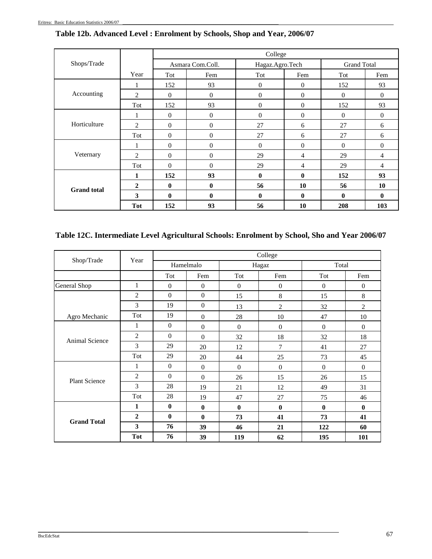|                    |                |              |                  | College         |              |                    |              |
|--------------------|----------------|--------------|------------------|-----------------|--------------|--------------------|--------------|
| Shops/Trade        |                |              | Asmara Com.Coll. | Hagaz.Agro.Tech |              | <b>Grand Total</b> |              |
|                    | Year           | Tot          | Fem              | Tot             | Fem          | Tot                | Fem          |
|                    |                | 152          | 93               | $\overline{0}$  | $\mathbf{0}$ | 152                | 93           |
| Accounting         | 2              | $\Omega$     | $\mathbf{0}$     | $\Omega$        | $\mathbf{0}$ | $\theta$           | $\Omega$     |
|                    | Tot            | 152          | 93               | $\theta$        | $\theta$     | 152                | 93           |
|                    | 1              | $\Omega$     | $\mathbf{0}$     | $\Omega$        | $\Omega$     | $\theta$           | $\mathbf{0}$ |
| Horticulture       | 2              | $\theta$     | $\boldsymbol{0}$ | 27              | 6            | 27                 | 6            |
|                    | Tot            | $\Omega$     | $\boldsymbol{0}$ | 27              | 6            | 27                 | 6            |
|                    | 1              | $\Omega$     | $\overline{0}$   | $\Omega$        | $\Omega$     | $\theta$           | $\mathbf{0}$ |
| Veternary          | $\overline{2}$ | $\Omega$     | $\overline{0}$   | 29              | 4            | 29                 | 4            |
|                    | Tot            | $\Omega$     | $\overline{0}$   | 29              | 4            | 29                 | 4            |
|                    | 1              | 152          | 93               | $\mathbf{0}$    | $\bf{0}$     | 152                | 93           |
| <b>Grand</b> total | $\mathbf{2}$   | $\mathbf{0}$ | $\mathbf{0}$     | 56              | 10           | 56                 | 10           |
|                    | 3              | $\mathbf{0}$ | $\bf{0}$         | $\mathbf{0}$    | $\mathbf{0}$ | $\mathbf{0}$       | $\bf{0}$     |
|                    | <b>Tot</b>     | 152          | 93               | 56              | 10           | 208                | 103          |

# **Table 12b. Advanced Level : Enrolment by Schools, Shop and Year, 2006/07**

# **Table 12C. Intermediate Level Agricultural Schools: Enrolment by School, Sho and Year 2006/07**

| Shop/Trade            | Year           |                |                |                  | College        |                  |                |
|-----------------------|----------------|----------------|----------------|------------------|----------------|------------------|----------------|
|                       |                |                | Hamelmalo      |                  | Hagaz          | Total            |                |
|                       |                | Tot            | Fem            | Tot              | Fem            | Tot              | Fem            |
| General Shop          | 1              | $\theta$       | $\theta$       | $\mathbf{0}$     | $\mathbf{0}$   | $\theta$         | $\mathbf{0}$   |
|                       | $\overline{2}$ | $\overline{0}$ | $\theta$       | 15               | 8              | 15               | 8              |
|                       | 3              | 19             | $\mathbf{0}$   | 13               | $\overline{2}$ | 32               | $\overline{2}$ |
| Agro Mechanic         | Tot            | 19             | $\theta$       | 28               | 10             | 47               | 10             |
|                       | 1              | $\mathbf{0}$   | $\overline{0}$ | $\mathbf{0}$     | $\mathbf{0}$   | $\boldsymbol{0}$ | $\mathbf{0}$   |
| <b>Animal Science</b> | $\overline{2}$ | $\overline{0}$ | $\overline{0}$ | 32               | 18             | 32               | 18             |
|                       | 3              | 29             | 20             | 12               | 7              | 41               | 27             |
|                       | Tot            | 29             | 20             | 44               | 25             | 73               | 45             |
|                       | 1              | $\theta$       | $\overline{0}$ | $\mathbf{0}$     | $\mathbf{0}$   | $\mathbf{0}$     | $\mathbf{0}$   |
| <b>Plant Science</b>  | $\overline{2}$ | $\Omega$       | $\mathbf{0}$   | 26               | 15             | 26               | 15             |
|                       | 3              | 28             | 19             | 21               | 12             | 49               | 31             |
|                       | Tot            | 28             | 19             | 47               | 27             | 75               | 46             |
|                       | 1              | $\bf{0}$       | $\bf{0}$       | $\boldsymbol{0}$ | $\bf{0}$       | $\bf{0}$         | $\bf{0}$       |
| <b>Grand Total</b>    | $\overline{2}$ | $\mathbf{0}$   | $\bf{0}$       | 73               | 41             | 73               | 41             |
|                       | 3              | 76             | 39             | 46               | 21             | 122              | 60             |
|                       | <b>Tot</b>     | 76             | 39             | 119              | 62             | 195              | 101            |

\_\_\_\_\_\_\_\_\_\_\_\_\_\_\_\_\_\_\_\_\_\_\_\_\_\_\_\_\_\_\_\_\_\_\_\_\_\_\_\_\_\_\_\_\_\_\_\_\_\_\_\_\_\_\_\_\_\_\_\_\_\_\_\_\_\_\_\_\_\_\_\_\_\_\_\_\_\_\_\_\_\_\_\_\_\_\_\_\_\_\_\_\_\_\_\_\_\_\_\_\_\_\_\_\_\_\_\_\_\_\_\_\_\_\_\_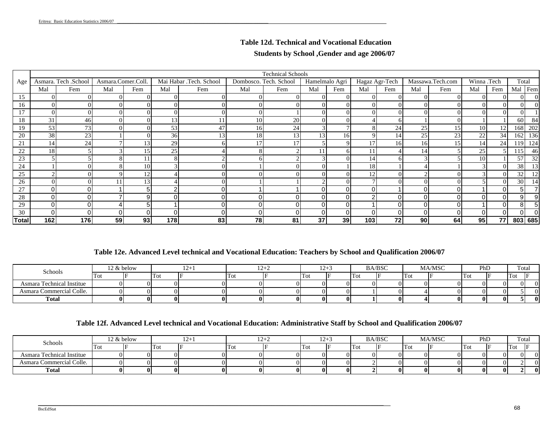# **Table 12d. Technical and Vocational Education Students by School ,Gender and age 2006/07**

|              |          |                      |                    |                 |     |                         |                        | <b>Technical Schools</b> |                |     |                |     |          |                  |             |     |          |     |
|--------------|----------|----------------------|--------------------|-----------------|-----|-------------------------|------------------------|--------------------------|----------------|-----|----------------|-----|----------|------------------|-------------|-----|----------|-----|
| Age          |          | Asmara. Tech .School | Asmara.Comer.Coll. |                 |     | Mai Habar .Tech. School | Dombosco. Tech. School |                          | Hamelmalo Agri |     | Hagaz Agr-Tech |     |          | Massawa.Tech.com | Winna .Tech |     | Total    |     |
|              | Mal      | Fem                  | Mal                | Fem             | Mal | Fem                     | Mal                    | Fem                      | Mal            | Fem | Mal            | Fem | Mal      | Fem              | Mal         | Fem | Mal Fem  |     |
| 15           |          |                      | $\Omega$           |                 |     |                         |                        | 0                        | $\Omega$       |     | $\Omega$       |     | $\Omega$ |                  | ΩL          |     | 0        |     |
| 16           |          |                      | $\Omega$           |                 |     |                         |                        |                          | $\Omega$       |     | $\Omega$       |     | $\Omega$ |                  | ΩI          |     |          |     |
|              |          |                      | $\Omega$           |                 |     |                         |                        |                          | $\Omega$       |     |                |     | $\theta$ |                  |             |     |          |     |
| 18           | 31       | 46                   | $\Omega$           |                 | 13  |                         | 10                     | 20                       | $\overline{0}$ |     |                |     |          |                  |             |     | 60       | 84  |
| 19           | 53       | 73                   | $\Omega$           |                 | 53  | 4 <sup>7</sup>          | 16                     | 24                       | 3 <sub>l</sub> |     |                | 24  | 25       | 15 <sub>l</sub>  | 10          | 12  | 168      | 202 |
| 20           | 38       | 23                   |                    |                 | 36  | 1 <sub>2</sub>          | 18                     | 13 <sub>1</sub>          | 13             | 16  |                | 14  | 25       | 23               | 22          | 34  | 162      | 136 |
| 21           | 14       | 24                   |                    | 13              | 29  |                         | 17                     | 17                       |                |     |                | 16  | 16       | 15               | 14          | 24  | 119      | 124 |
| 22           | 18       |                      |                    | 15              | 25  |                         |                        |                          | 11             |     |                |     | 14       |                  | 25          |     | 115      | 46  |
| 23           |          |                      |                    |                 |     |                         |                        |                          |                |     | 14             |     |          |                  | 10          |     | 57       | 32  |
| 24           |          |                      |                    | 10              |     |                         |                        |                          | $\Omega$       |     | 18             |     |          |                  |             |     | 38       | 13  |
| 25           |          |                      |                    | 12              |     |                         |                        |                          | $\Omega$       |     | 12             |     |          |                  |             |     | 32       | 12  |
| 26           |          |                      |                    | 13              |     |                         |                        |                          | ◠              |     |                |     | $\Omega$ |                  |             |     | 30       | 14  |
| 27           | 0        |                      |                    | 5               |     |                         |                        |                          | ΩI             |     | $\Omega$       |     | 0        |                  |             |     | 5        |     |
| 28           | $\Omega$ |                      |                    | 9               |     |                         |                        |                          | 01             |     | C              |     | 0        |                  | ΩI          |     | 9        |     |
| 29           | $\Omega$ |                      |                    |                 |     |                         |                        |                          | ΩI             |     |                |     | $\Omega$ |                  |             |     | 8        |     |
| 30           | $\Omega$ |                      |                    | $\Omega$        |     |                         |                        |                          | ΩI             |     |                |     | 0        |                  | ΩI          |     | $\Omega$ |     |
| <b>Total</b> | 162      | 176                  | 59                 | 93 <sub>1</sub> | 178 | 83                      | 78                     | 81                       | 37             | 39  | 103            | 72  | 90       | 64               | 95          | 77  | 803 685  |     |

### **Table 12e. Advanced Level technical and Vocational Education: Teachers by School and Qualification 2006/07**

| Schools                   |       | 2 & below |     | 14 L |      | $12 +$ | $12 +$   |     | <b>BA/BSC</b> |       | <b>MA/MSC</b> | PhD | Total    |            |
|---------------------------|-------|-----------|-----|------|------|--------|----------|-----|---------------|-------|---------------|-----|----------|------------|
|                           | ' 10ì |           | Tot |      | TIOL |        | Tot      | Tot |               | 1 O U |               | Tot | Tot      |            |
| Asmara Technical Institue |       |           |     |      |      |        |          |     |               |       | n.            | ∩∎  | $\Omega$ | OI.        |
| Asmara Commercial Colle.  |       |           |     |      |      |        |          |     |               |       |               | ∩∎  |          | П          |
| <b>Total</b>              |       |           |     |      |      |        | $\bf{0}$ |     |               |       | 01            | 01  |          | $^{\rm o}$ |

### **Table 12f. Advanced Level technical and Vocational Education: Administrative Staff by School and Qualification 2006/07**

|                           |     | 12 & below |     | $1 \leq i$ |           | 1∠⊤∠ | $12^{+}$ |   |     | <b>BA/BSC</b> |     | <b>MA/MSC</b> | PhD |    | Total    |  |
|---------------------------|-----|------------|-----|------------|-----------|------|----------|---|-----|---------------|-----|---------------|-----|----|----------|--|
| Schools                   | Tot |            | Tot |            | <b>TO</b> |      | Tot      | œ | lTo |               | Tot |               | Tot |    | 'Tot     |  |
| Asmara Technical Institue |     |            |     |            |           |      |          |   |     |               |     |               |     |    | $\Omega$ |  |
| Asmara Commercial Colle.  |     |            |     |            |           |      | 01       |   |     |               |     |               |     |    |          |  |
| Total                     |     |            |     |            |           |      | 01       |   |     |               |     |               |     | 01 |          |  |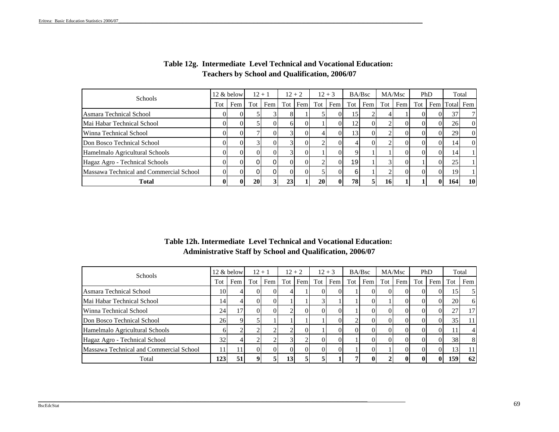| Schools                                 |     | 12 & below |                | $12 + 1$ |                 | $12 + 2$ |           | $12 + 3$ |                 | BA/Bsc |    | MA/Msc      |       | PhD |               | Total    |
|-----------------------------------------|-----|------------|----------------|----------|-----------------|----------|-----------|----------|-----------------|--------|----|-------------|-------|-----|---------------|----------|
|                                         | Tot | Fem        | $Tot$ $\vdash$ | Fem      |                 | Tot Fem  |           | Tot Fem  | Tot             | Fem    |    | Tot Fem     | Tot 1 |     | Fem Total Fem |          |
| Asmara Technical School                 |     |            |                |          |                 |          |           |          | 15              |        |    |             |       |     | 37            | 7        |
| Mai Habar Technical School              |     |            |                |          |                 |          |           |          | 12              | $_{0}$ |    |             |       |     | <b>26</b>     | $\Omega$ |
| Winna Technical School                  |     |            |                |          |                 |          |           |          | 131             | $_{0}$ |    | $^{\prime}$ |       |     | 29            | $\Omega$ |
| Don Bosco Technical School              |     |            |                |          |                 |          |           |          |                 |        |    |             |       |     | 14            | $\Omega$ |
| Hamelmalo Agricultural Schools          |     |            | 01             |          |                 |          |           |          |                 |        |    |             |       |     | 14            |          |
| Hagaz Agro - Technical Schools          |     | ΩI         | 01             |          | DТ              |          |           |          | 19 <sub>l</sub> |        |    | $^{\circ}$  |       |     | 25            |          |
| Massawa Technical and Commercial School |     |            |                |          | O.              |          |           |          | 61              |        |    |             |       |     | 19            |          |
| <b>Total</b>                            |     | $\bf{0}$   | <b>20</b>      |          | 23 <sub>1</sub> |          | <b>20</b> |          | 78              |        | 16 |             |       |     | <b>164</b>    | 10       |

### **Table 12g. Intermediate Level Technical and Vocational Education: Teachers by School and Qualification, 2006/07**

### **Table 12h. Intermediate Level Technical and Vocational Education: Administrative Staff by School and Qualification, 2006/07**

| <b>Schools</b>                          |     | 12 & below |     | $12 + 1$ |    | $12 + 2$ |     | $12 + 3$ |       | BA/Bsc |     | MA/Msc   |     | PhD |     | Total          |
|-----------------------------------------|-----|------------|-----|----------|----|----------|-----|----------|-------|--------|-----|----------|-----|-----|-----|----------------|
|                                         | Tot | Fem        | Tot | Fem      |    | Tot Fem  | Tot | Fem      | Tot 1 | Fem    | Tot | Fem      | Tot | Fem | Tot | Fem            |
| Asmara Technical School                 | 10  |            |     | $_{0}$   |    |          |     |          |       |        |     | ΩL       |     |     | 15  | 5              |
| Mai Habar Technical School              | 14  |            |     |          |    |          |     |          |       |        |     |          |     |     | 20  | 6              |
| Winna Technical School                  | 24  |            |     | $\Omega$ |    | 0        |     |          |       |        |     | $\Omega$ |     |     | 27  | 17             |
| Don Bosco Technical School              | 26  |            |     |          |    |          |     |          |       |        |     | $\Omega$ |     |     | 35  | 11             |
| Hamelmalo Agricultural Schools          |     |            |     |          |    |          |     |          | OI.   |        |     | $\Omega$ |     |     |     | $\overline{4}$ |
| Hagaz Agro - Technical School           | 32  |            |     |          |    |          |     |          |       |        |     | $\Omega$ |     |     | 38  | 8              |
| Massawa Technical and Commercial School | 11  |            |     | $\Omega$ |    | $\Omega$ |     |          |       |        |     | $\Omega$ |     |     | 13  | 11             |
| Total                                   | 123 | 51         |     |          | 13 |          |     |          |       |        |     | 01       |     |     | 159 | 62             |

\_\_\_\_\_\_\_\_\_\_\_\_\_\_\_\_\_\_\_\_\_\_\_\_\_\_\_\_\_\_\_\_\_\_\_\_\_\_\_\_\_\_\_\_\_\_\_\_\_\_\_\_\_\_\_\_\_\_\_\_\_\_\_\_\_\_\_\_\_\_\_\_\_\_\_\_\_\_\_\_\_\_\_\_\_\_\_\_\_\_\_\_\_\_\_\_\_\_\_\_\_\_\_\_\_\_\_\_\_\_\_\_\_\_\_\_\_\_\_\_\_\_\_\_\_\_\_\_\_\_\_\_\_\_\_\_\_\_\_\_\_\_\_\_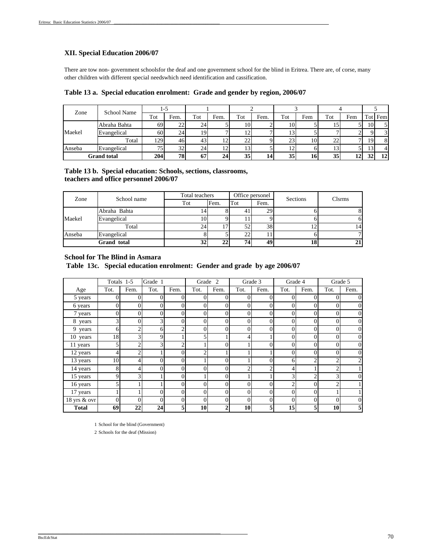#### **XII. Special Education 2006/07**

There are tow non- government schoolsfor the deaf and one government school for the blind in Eritrea. There are, of corse, many other children with different special needswhich need identification and cassification.

| Zone   | School Name        | 1-5             |      |                 |                |     |      |     |     |     |     |                 |         |
|--------|--------------------|-----------------|------|-----------------|----------------|-----|------|-----|-----|-----|-----|-----------------|---------|
|        |                    | Tot             | Fem. | Tot             | Fem.           | Tot | Fem. | Tot | Fem | Tot | Fem |                 | Tot Fem |
|        | Abraha Bahta       | 69              | 22   | 24              |                | 101 |      | 10  |     |     |     | 10 <sup>1</sup> |         |
| Maekel | Evangelical        | 60              | 24   | 19              |                |     |      | 13  |     |     |     |                 |         |
|        | Total              | 129             | 46   | 43 <sub>1</sub> | $\overline{1}$ | 22  |      | 23  | 10  | 22  |     | 19              |         |
| Anseba | Evangelical        | 75 <sub>1</sub> | 32   | 24              | 1∠             |     |      | 12  |     |     |     | 13              |         |
|        | <b>Grand</b> total | 204             | 78   | 67              | 24             | 35  | 14   | 35  | 16  | 35  | 12  | 32              | 12      |

#### **Table 13 b. Special education: Schools, sections, classrooms, teachers and office personnel 2006/07**

| Zone   | School name  | Total teachers |      |     | Office personel | Sections | <b>Clsrms</b> |
|--------|--------------|----------------|------|-----|-----------------|----------|---------------|
|        |              | Tot            | Fem. | Tot | Fem.            |          |               |
|        | Abraha Bahta |                |      | 41  | 29              |          | 8             |
| Maekel | Evangelical  | 10             |      |     |                 |          | 6             |
|        | Total        | 24             | 17   | 52  | 38              |          | 14            |
| Anseba | Evangelical  |                |      | 22  |                 |          | $\mathcal{L}$ |
|        | Grand total  | 32             | 22   | 74  | 49              | 18       | 21            |

#### **School for The Blind in Asmara**

 **Table 13c. Special education enrolment: Gender and grade by age 2006/07**

|              |      | Totals 1-5   | Grade 1        |          | Grade          | $\overline{2}$ |                | Grade 3        | Grade 4        |      |                | Grade 5          |
|--------------|------|--------------|----------------|----------|----------------|----------------|----------------|----------------|----------------|------|----------------|------------------|
| Age          | Tot. | Fem.         | Tot.           | Fem.     | Tot.           | Fem.           | Tot.           | Fem.           | Tot.           | Fem. | Tot.           | Fem.             |
| 5 years      | 0    | 0            | 0              | 0        | 0              | $\Omega$       | 0              | 0              | 0              |      | $\Omega$       | $\mathbf{0}$     |
| 6 years      | 0    | $\mathbf{0}$ | $\overline{0}$ | $\Omega$ | 0              | $\Omega$       | $\overline{0}$ | $\theta$       | 0              |      | $\theta$       | $\boldsymbol{0}$ |
| 7 years      | 0    | 0            | $\overline{0}$ | $\Omega$ | 0              | 0              | $\overline{0}$ | $\overline{0}$ | 0              | 0    | $\Omega$       | $\boldsymbol{0}$ |
| 8 years      | 3    | 0            | 3              | 0        | 0              | 0              | 0              | 0              | 0              |      | $\Omega$       | $\boldsymbol{0}$ |
| 9 years      | 6    | ◠            | 6              | ◠        | 0              | 0              | 0              | 0              | $\Omega$       |      | 0              | $\boldsymbol{0}$ |
| 10 years     | 18   | 3            | 9              |          | 5              |                | 4              |                | $\theta$       |      | $\Omega$       | $\boldsymbol{0}$ |
| 11 years     | 5    | ◠            | 3              | ◠        |                | $\Omega$       |                | 0              | $\theta$       |      | $\Omega$       | $\boldsymbol{0}$ |
| 12 years     | 4    | ◠            |                | $\Omega$ | $\overline{c}$ |                |                |                | $\theta$       |      | $\theta$       | $\overline{0}$   |
| 13 years     | 10   | 4            | $\theta$       | $\Omega$ |                | 0              |                | $\Omega$       | 6              | ◠    | $\overline{c}$ | 2                |
| 14 years     | 8    |              | $\theta$       | 0        | 0              | $\theta$       | $\overline{c}$ | 2              | 4              |      | ↑              |                  |
| 15 years     | 9    | 3            |                | 0        |                | $\theta$       |                |                | $\mathcal{R}$  |      | 3              | $\boldsymbol{0}$ |
| 16 years     |      |              |                | $\Omega$ | 0              | $\mathbf{0}$   | $\theta$       | 0              | $\overline{c}$ |      | ∍              |                  |
| 17 years     |      |              | $\theta$       | $\Omega$ | 0              | $\Omega$       | 0              | 0              | $\theta$       |      |                |                  |
| 18 yrs & ovr | 0    | $\theta$     | $\theta$       | $\Omega$ | $\Omega$       | $\Omega$       | $\mathbf{0}$   | $\overline{0}$ | $\Omega$       | 0    | $\Omega$       | $\boldsymbol{0}$ |
| <b>Total</b> | 69   | 22           | 24             | 5        | 10             |                | 10             | 5              | 15             |      | 10             | 5                |

1 School for the blind (Government)

\_\_\_\_\_\_\_\_\_\_\_\_\_\_\_\_\_\_\_\_\_\_\_\_\_\_\_\_\_\_\_\_\_\_\_\_\_\_\_\_\_\_\_\_\_\_\_\_\_\_\_\_\_\_\_\_\_\_\_\_\_\_\_\_\_\_\_\_\_\_\_\_\_\_\_\_\_\_\_\_\_\_\_\_\_\_\_\_

2 Schools for the deaf (Mission)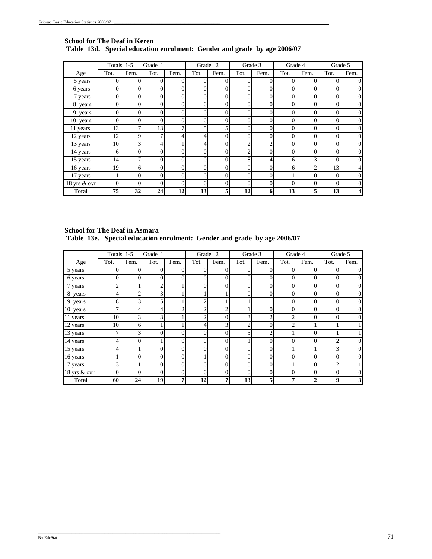#### **Table 13d. Special education enrolment: Gender and grade by age 2006/07 School for The Deaf in Keren**

|                      |          | Totals 1-5   | Grade 1        |                | Grade 2  |              |              | Grade 3  | Grade 4 |          | Grade 5  |                  |
|----------------------|----------|--------------|----------------|----------------|----------|--------------|--------------|----------|---------|----------|----------|------------------|
| Age                  | Tot.     | Fem.         | Tot.           | Fem.           | Tot.     | Fem.         | Tot.         | Fem.     | Tot.    | Fem.     | Tot.     | Fem.             |
| 5 years              |          | 0            | 0              | 0              | 0        | $\Omega$     | 0            | 0        | 0       | $\Omega$ |          | $\boldsymbol{0}$ |
| 6 years              |          | $\theta$     | $\theta$       | $\theta$       | $\theta$ | $\Omega$     | $\theta$     | $\theta$ | 0       | 0        | $\Omega$ | 0                |
| 7 years              | 0        | 0            | 0              | 0              | 0        | $\Omega$     | $\Omega$     | 0        | 0       | 0        | $\theta$ | 0                |
| 8 years              |          | $\theta$     | $\theta$       | 0              | $\Omega$ | $\theta$     | $\theta$     | 0        | 0       | 0        | $\theta$ | 0                |
| $\overline{9}$ years |          | 0            | $\theta$       | 0              | $\theta$ | $\theta$     | $\theta$     | 0        | 0       | 0        | $\Omega$ | 0                |
| 10 years             | $\Omega$ | 0            | $\overline{0}$ | $\Omega$       | 0        | $\mathbf{0}$ | $\mathbf{0}$ | 0        | 0       | 0        | $\theta$ | 0                |
| 11 years             | 13       | $\mathbf{r}$ | 13             | 7              | 5        | 5            | $\mathbf{0}$ | 0        | 0       | 0        | $\theta$ | $\boldsymbol{0}$ |
| 12 years             | 12       | Q            | 7              | $\overline{4}$ | 4        | $\Omega$     | $\Omega$     | $\theta$ | 0       | 0        | $\Omega$ | 0                |
| 13 years             | 10       | 3            | 4              |                | 4        | $\mathbf{0}$ | 2            | 2        | 0       | 0        | $\theta$ | 0                |
| 14 years             | 6        | $\Omega$     | 0              | 0              | $\theta$ | $\Omega$     | 2            | 0        | 0       | 0        | 0        | 0                |
| 15 years             | 14       | ⇁            | $\Omega$       | 0              | 0        | $\theta$     | 8            |          | 6       | 3        | $\Omega$ | $\boldsymbol{0}$ |
| 16 years             | 19       | 6            | 0              | $\Omega$       | $\theta$ | $\Omega$     | $\Omega$     | 0        | 6       |          | 13       | 4                |
| 17 years             |          | 0            | 0              | 0              | $\theta$ | $\Omega$     | $\theta$     | $\Omega$ |         | $\theta$ | $\theta$ | 0                |
| 18 yrs & ovr         | $\theta$ | $\theta$     | $\theta$       | $\Omega$       | $\Omega$ | $\Omega$     | $\theta$     | $\theta$ | 0       | 0        | $\Omega$ | $\mathbf{0}$     |
| <b>Total</b>         | 75       | 32           | 24             | 12             | 13       |              | 12           | 6        | 13      | 5        | 13       | 4                |

 **Table 13e. Special education enrolment: Gender and grade by age 2006/07 School for The Deaf in Asmara**

|                        |      | Totals 1-5 | Grade 1        |                | Grade 2  |                |                | Grade 3        | Grade 4        |      |                | Grade 5                 |
|------------------------|------|------------|----------------|----------------|----------|----------------|----------------|----------------|----------------|------|----------------|-------------------------|
| Age                    | Tot. | Fem.       | Tot.           | Fem.           | Tot.     | Fem.           | Tot.           | Fem.           | Tot.           | Fem. | Tot.           | Fem.                    |
| 5 years                | 0    | 0          | 0              | 0              | 0        | $\overline{0}$ | 0              | 0              | 0              | 0    |                | 0                       |
| 6 years                | 0    | 0          | $\theta$       | 0              | 0        | $\Omega$       | $\Omega$       | $\theta$       | $\theta$       | 0    | $\Omega$       | $\mathbf{0}$            |
| 7 years                | ↑    |            | 2              |                | $\Omega$ | $\Omega$       | $\overline{0}$ | $\theta$       | $\mathbf{0}$   | 0    | $\Omega$       | $\boldsymbol{0}$        |
| 8 years                | 4    | າ          | 3              |                |          |                | 0              | 0              | $\theta$       | 0    | $\Omega$       | 0                       |
| 9 years                | 8    | 3          | 5              |                | ◠        |                |                |                | 0              |      |                | 0                       |
| $10$ years             | ┑    | 4          | 4              | 2              | 2        | $\overline{2}$ |                | 0              | 0              | 0    | $\Omega$       | $\boldsymbol{0}$        |
| 11 years               | 10   | 3          | 3              |                | 2        | $\Omega$       | 3              | 2              | 2              | 0    | $\Omega$       | $\boldsymbol{0}$        |
| 12 years               | 10   | h          |                |                | 4        | 3              | 2              | $\theta$       | $\overline{2}$ |      |                |                         |
| 13 years               | ┑    | 3          | $\theta$       | 0              | $\theta$ | 0              | 5              | $\overline{c}$ |                | 0    |                |                         |
| 14 years               |      |            |                | 0              | $\Omega$ | 0              |                | $\Omega$       | $\Omega$       |      | ◠              | 0                       |
| 15 years               |      |            | $\Omega$       | 0              | 0        | $\theta$       | 0              | $\Omega$       |                |      | 3              | $\boldsymbol{0}$        |
| 16 years               |      | 0          | 0              | $\overline{0}$ |          | $\Omega$       | 0              | 0              | $\theta$       | 0    | $\Omega$       | $\boldsymbol{0}$        |
| 17 years               | 3    |            | $\overline{0}$ | $\overline{0}$ | $\Omega$ | $\theta$       | $\overline{0}$ | 0              |                | 0    | $\overline{2}$ |                         |
| $18 \text{ yrs}$ & ovr | 0    | 0          | $\theta$       | $\Omega$       | 0        | $\Omega$       | $\theta$       | $\theta$       | $\theta$       | 0    | $\Omega$       | 0                       |
| <b>Total</b>           | 60   | 24         | 19             | 7 <sub>1</sub> | 12       | 7              | 13             | 5              | 7              |      | 9              | $\overline{\mathbf{3}}$ |

\_\_\_\_\_\_\_\_\_\_\_\_\_\_\_\_\_\_\_\_\_\_\_\_\_\_\_\_\_\_\_\_\_\_\_\_\_\_\_\_\_\_\_\_\_\_\_\_\_\_\_\_\_\_\_\_\_\_\_\_\_\_\_\_\_\_\_\_\_\_\_\_\_\_\_\_\_\_\_\_\_\_\_\_\_\_\_\_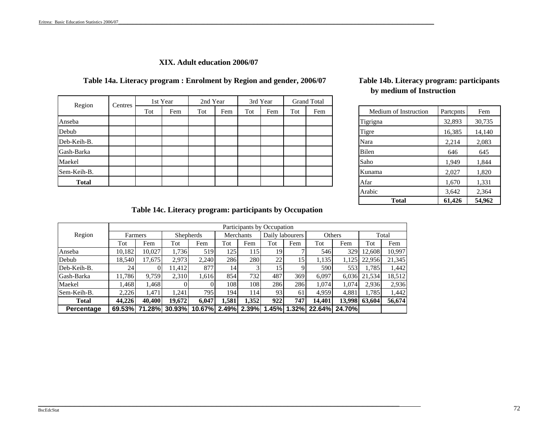### **XIX. Adult education 2006/07**

### **Table 14a. Literacy program : Enrolment by Region and gender, 2006/07**

| Region       | Centres                                              |  | 1st Year              | 2nd Year  |     | 3rd Year | <b>Grand Total</b> |          |        |       |
|--------------|------------------------------------------------------|--|-----------------------|-----------|-----|----------|--------------------|----------|--------|-------|
|              | Tot<br>Tot<br>Tot<br>Fem<br>Tot<br>Fem<br>Fem<br>Fem |  | Medium of Instruction | Partcpnts | Fem |          |                    |          |        |       |
| Anseba       |                                                      |  |                       |           |     |          |                    | Tigrigna | 32,893 | 30,73 |
| Debub        |                                                      |  |                       |           |     |          |                    | Tigre    | 16,385 | 14,14 |
| Deb-Keih-B.  |                                                      |  |                       |           |     |          |                    | Nara     | 2,214  | 2,083 |
| Gash-Barka   |                                                      |  |                       |           |     |          |                    | Bilen    | 646    | 645   |
| Maekel       |                                                      |  |                       |           |     |          |                    | Saho     | 1,949  | 1,844 |
| Sem-Keih-B.  |                                                      |  |                       |           |     |          |                    | Kunama   | 2,027  | 1,820 |
| <b>Total</b> |                                                      |  |                       |           |     |          |                    | Afar     | 1,670  | 1,331 |

# **Table 14b. Literacy program: participants by medium of Instruction**

| Medium of Instruction | Partopnts | Fem    |
|-----------------------|-----------|--------|
| Tigrigna              | 32,893    | 30,735 |
| Tigre                 | 16,385    | 14,140 |
| Nara                  | 2,214     | 2,083  |
| Bilen                 | 646       | 645    |
| Saho                  | 1,949     | 1,844  |
| Kunama                | 2,027     | 1,820  |
| Afar                  | 1,670     | 1,331  |
| Arabic                | 3,642     | 2,364  |
| Total                 | 61,426    | 54,962 |

**Table 14c. Literacy program: participants by Occupation**

|             |        |         |                  |        |       |                  | Participants by Occupation |                 |        |               |               |        |
|-------------|--------|---------|------------------|--------|-------|------------------|----------------------------|-----------------|--------|---------------|---------------|--------|
| Region      |        | Farmers | <b>Shepherds</b> |        |       | Merchants        |                            | Daily labourers |        | <b>Others</b> |               | Total  |
|             | Tot    | Fem     | Tot              | Fem    | Tot   | Fem              | Tot                        | Fem             | Tot    | Fem           | Tot           | Fem    |
| Anseba      | 10,182 | 10.027  | 1,736            | 519    | 1251  | 115              | 19                         |                 | 546    | 329           | 12.608        | 10,997 |
| Debub       | 18,540 | 17,675  | 2,973            | 2,240  | 286   | 280              | 22                         | 15 <sup>1</sup> | 1,135  | 1,125         | 22,956        | 21,345 |
| Deb-Keih-B. | 24     |         | 11,412           | 877    | 14    |                  | 15                         | a               | 590    | 553           | 1,785         | 1,442  |
| Gash-Barka  | 11.786 | 9,759   | 2,310            | 1,616  | 854   | 732 <sub>1</sub> | 487                        | 369             | 6,097  | 6,036         | 21,534        | 18,512 |
| Maekel      | 1,468  | 1,468   |                  |        | 1081  | 108              | 286                        | 286             | 1,074  | 1,074         | 2,936         | 2,936  |
| Sem-Keih-B. | 2,226  | 1.471   | 1.241            | 795    | 194   | 114              | 93                         | 61              | 4,959  | 4,881         | 1,785         | 1,442  |
| Total       | 44.226 | 40,400  | 19.672           | 6.047  | 1.581 | 1.352            | 922                        | 747             | 14.401 |               | 13,998 63,604 | 56,674 |
| Percentage  | 69.53% | 71.28%  | 30.93%           | 10.67% | 2.49% | 2.39%            | 1.45%                      | 1.32%           | 22.64% | 24.70%        |               |        |

\_\_\_\_\_\_\_\_\_\_\_\_\_\_\_\_\_\_\_\_\_\_\_\_\_\_\_\_\_\_\_\_\_\_\_\_\_\_\_\_\_\_\_\_\_\_\_\_\_\_\_\_\_\_\_\_\_\_\_\_\_\_\_\_\_\_\_\_\_\_\_\_\_\_\_\_\_\_\_\_\_\_\_\_\_\_\_\_\_\_\_\_\_\_\_\_\_\_\_\_\_\_\_\_\_\_\_\_\_\_\_\_\_\_\_\_\_\_\_\_\_\_\_\_\_\_\_\_\_\_\_\_\_\_\_\_\_\_\_\_\_\_\_\_\_\_\_\_\_\_\_\_\_\_\_\_\_\_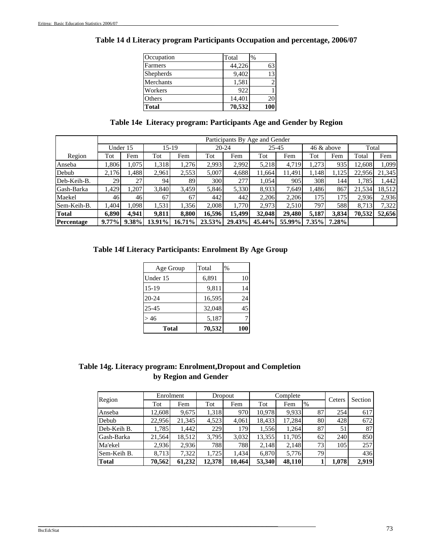| Occupation   | Total  | $\%$ |
|--------------|--------|------|
| Farmers      | 44,226 |      |
| Shepherds    | 9,402  | 13   |
| Merchants    | 1,581  |      |
| Workers      | 922    |      |
| Others       | 14,401 |      |
| <b>Total</b> | 70,532 |      |

# **Table 14 d Literacy program Participants Occupation and percentage, 2006/07**

|  |  |  | Table 14e Literacy program: Participants Age and Gender by Region |
|--|--|--|-------------------------------------------------------------------|
|  |  |  |                                                                   |

|              |          | Participants By Age and Gender |        |        |           |        |        |           |       |            |        |        |
|--------------|----------|--------------------------------|--------|--------|-----------|--------|--------|-----------|-------|------------|--------|--------|
|              | Under 15 |                                | 15-19  |        | $20 - 24$ |        |        | $25 - 45$ |       | 46 & above | Total  |        |
| Region       | Tot      | Fem                            | Tot    | Fem    | Tot       | Fem    | Tot    | Fem       | Tot   | Fem        | Total  | Fem    |
| Anseba       | 1.806    | 1.075                          | 1,318  | 1,276  | 2,993     | 2,992  | 5,218  | 4,719     | 1,273 | 935        | 12,608 | 1.099  |
| Debub        | 2,176    | .488                           | 2,961  | 2,553  | 5,007     | 4.688  | 11.664 | 11,491    | 1,148 | 1.125      | 22,956 | 21,345 |
| Deb-Keih-B.  | 29       | 27                             | 94     | 89     | 300       | 277    | 1,054  | 905       | 308   | 144        | 1,785  | 1,442  |
| Gash-Barka   | 1,429    | ,207                           | 3,840  | 3,459  | 5,846     | 5,330  | 8.933  | 7,649     | 1,486 | 867        | 21,534 | 18,512 |
| Maekel       | 461      | 46                             | 67     | 67     | 442       | 442    | 2,206  | 2,206     | 1751  | 175        | 2,936  | 2,936  |
| Sem-Keih-B.  | 1,404    | .098                           | 1,531  | 1,356  | 2,008     | 1,770  | 2,973  | 2,510     | 797   | 588        | 8,713  | 7,322  |
| <b>Total</b> | 6.890    | 4.941                          | 9,811  | 8,800  | 16.596    | 15.499 | 32,048 | 29.480    | 5,187 | 3,834      | 70,532 | 52,656 |
| Percentage   | $9.77\%$ | $9.38\%$                       | 13.91% | 16.71% | 23.53%    | 29.43% | 45.44% | 55.99%    | 7.35% | 7.28%      |        |        |

# **Table 14f Literacy Participants: Enrolment By Age Group**

| Age Group | Total  | $\%$ |
|-----------|--------|------|
| Under 15  | 6,891  | 10   |
| $15-19$   | 9,811  | 14   |
| 20-24     | 16,595 | 24   |
| 25-45     | 32,048 | 45   |
| >46       | 5,187  |      |
| Total     | 70,532 | 100  |

# **Table 14g. Literacy program: Enrolment,Dropout and Completion by Region and Gender**

\_\_\_\_\_\_\_\_\_\_\_\_\_\_\_\_\_\_\_\_\_\_\_\_\_\_\_\_\_\_\_\_\_\_\_\_\_\_\_\_\_\_\_\_\_\_\_\_\_\_\_\_\_\_\_\_\_\_\_\_\_\_\_\_\_\_\_\_\_\_\_\_\_\_\_\_\_\_\_\_\_\_\_\_\_\_\_\_\_\_\_\_\_\_\_\_\_\_\_\_\_\_\_\_\_

| Region       | Enrolment |        |        | Dropout |        | Complete |               | Ceters | Section |
|--------------|-----------|--------|--------|---------|--------|----------|---------------|--------|---------|
|              | Tot       | Fem    | Tot    | Fem     | Tot    | Fem      | $\frac{9}{6}$ |        |         |
| Anseba       | 12,608    | 9,675  | 1,318  | 970     | 10,978 | 9,933    | 87            | 254    | 617     |
| Debub        | 22,956    | 21,345 | 4,523  | 4,061   | 18,433 | 17,284   | 80            | 428    | 672     |
| Deb-Keih B.  | 1,785     | 1.442  | 229    | 179     | 1,556  | 1.264    | 87            | 51     | 87      |
| Gash-Barka   | 21,564    | 18.512 | 3,795  | 3,032   | 13,355 | 11.705   | 62            | 240    | 850     |
| Ma'ekel      | 2.936     | 2.936  | 788    | 788     | 2.148  | 2.148    | 73.           | 105    | 257     |
| Sem-Keih B.  | 8.713     | 7.322  | 1.725  | 1.434   | 6.870  | 5.776    | 79            |        | 436     |
| <b>Total</b> | 70,562    | 61.232 | 12.378 | 10,464  | 53,340 | 48.110   |               | 1.078  | 2.919   |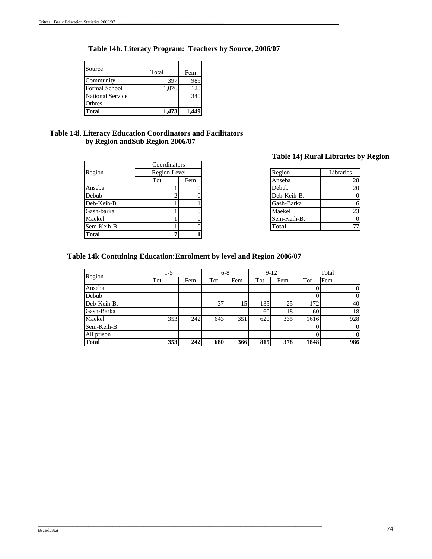# **Table 14h. Literacy Program: Teachers by Source, 2006/07**

| Source                  | Total | Fem |
|-------------------------|-------|-----|
| Community               | 397   | 989 |
| Formal School           | 1,076 | 120 |
| <b>National Service</b> |       | 34  |
| Othres                  |       |     |
| <b>Total</b>            | 1,473 |     |

### **by Region andSub Region 2006/07 Table 14i. Literacy Education Coordinators and Facilitators**

|              |              |     | TANIC THE    |
|--------------|--------------|-----|--------------|
|              | Coordinators |     |              |
| Region       | Region Level |     | Region       |
|              | Tot          | Fem | Anseba       |
| Anseba       |              |     | Debub        |
| Debub        |              |     | Deb-Keih-B.  |
| Deb-Keih-B.  |              |     | Gash-Barka   |
| Gash-barka   |              |     | Maekel       |
| Maekel       |              |     | Sem-Keih-B.  |
| Sem-Keih-B.  |              |     | <b>Total</b> |
| <b>Total</b> |              |     |              |

# **Table 14j Rural Libraries by Region**

| Region Level |     | Region       | Libraries |
|--------------|-----|--------------|-----------|
| Tot          | Fem | Anseba       | 28        |
|              |     | Debub        | 20        |
|              |     | Deb-Keih-B.  |           |
|              |     | Gash-Barka   |           |
|              |     | Maekel       | 23        |
|              |     | Sem-Keih-B.  |           |
|              |     | <b>Total</b> | 71        |

### **Table 14k Contuining Education:Enrolment by level and Region 2006/07**

\_\_\_\_\_\_\_\_\_\_\_\_\_\_\_\_\_\_\_\_\_\_\_\_\_\_\_\_\_\_\_\_\_\_\_\_\_\_\_\_\_\_\_\_\_\_\_\_\_\_\_\_\_\_\_\_\_\_\_\_\_\_\_\_\_\_\_\_\_\_\_\_\_\_\_\_\_\_\_\_\_\_\_\_\_\_\_\_\_\_\_\_\_\_\_\_\_\_\_\_\_\_\_\_\_\_\_\_\_\_\_\_\_\_\_\_\_\_\_\_\_\_\_\_\_\_\_\_\_

| Region       | $1-5$ |     | $6 - 8$ |     | $9-12$          |     | Total |                |
|--------------|-------|-----|---------|-----|-----------------|-----|-------|----------------|
|              | Tot   | Fem | Tot     | Fem | Tot             | Fem | Tot   | Fem            |
| Anseba       |       |     |         |     |                 |     |       | $\overline{0}$ |
| Debub        |       |     |         |     |                 |     |       | $\overline{0}$ |
| Deb-Keih-B.  |       |     | 37      | 15  | 135             | 25  | 172   | 40             |
| Gash-Barka   |       |     |         |     | 60 <sup>1</sup> | 18  | 60    | 18             |
| Maekel       | 353   | 242 | 643     | 351 | 620             | 335 | 1616  | 928            |
| Sem-Keih-B.  |       |     |         |     |                 |     |       | $\overline{0}$ |
| All prison   |       |     |         |     |                 |     |       | $\overline{0}$ |
| <b>Total</b> | 353   | 242 | 680     | 366 | 815             | 378 | 1848  | 986            |